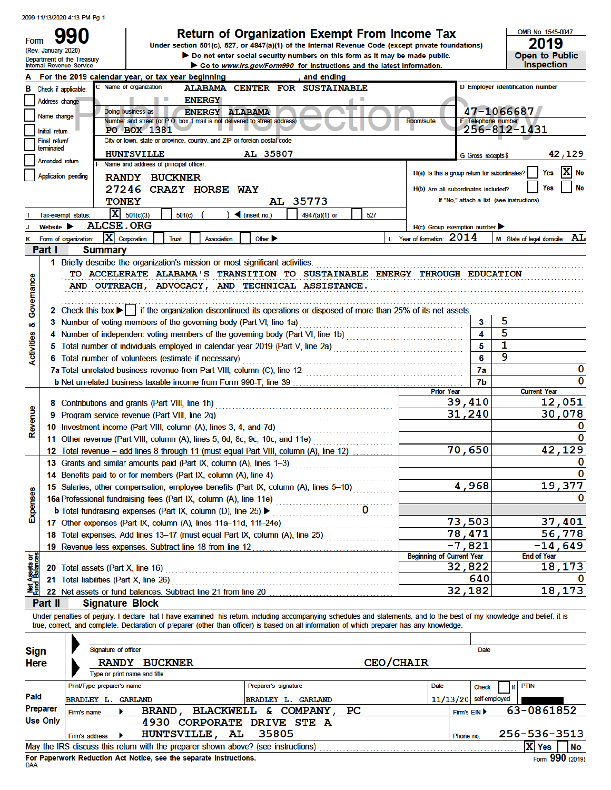| Form              | (Rev. January 2020)<br>Department of the Treasury<br><b>Internal Revenue Service</b> |                                                                                                 | Return of Organization Exempt From Income Tax<br>Under section 501(c), 527, or 4947(a)(1) of the Internal Revenue Code (except private foundations)<br>Do not enter social security numbers on this form as it may be made public.<br>Go to www.irs.gov/Form990 for instructions and the latest information. |     |                                               |                                            |        | OMB No. 1545-0047<br>2019<br>Open to Public<br><b>Inspection</b> |
|-------------------|--------------------------------------------------------------------------------------|-------------------------------------------------------------------------------------------------|--------------------------------------------------------------------------------------------------------------------------------------------------------------------------------------------------------------------------------------------------------------------------------------------------------------|-----|-----------------------------------------------|--------------------------------------------|--------|------------------------------------------------------------------|
|                   |                                                                                      | For the 2019 calendar year, or tax year beginning                                               | , and ending                                                                                                                                                                                                                                                                                                 |     |                                               |                                            |        |                                                                  |
|                   | <b>B</b> Check if applicable:                                                        | C Name of organization                                                                          | ALABAMA CENTER FOR SUSTAINABLE                                                                                                                                                                                                                                                                               |     |                                               |                                            |        | D Employer identification number                                 |
|                   | Address change                                                                       | <b>ENERGY</b>                                                                                   |                                                                                                                                                                                                                                                                                                              |     |                                               |                                            |        |                                                                  |
|                   | Name change                                                                          | Doing business as<br>Number and street (or P.O. box if mail is not delivered to street address) | <b>ENERGY ALABAMA</b>                                                                                                                                                                                                                                                                                        |     | <b>Room/suite</b>                             | 47-1066687<br><b>E</b> Telephone number    |        |                                                                  |
|                   | Initial return                                                                       | <b>PO BOX 1381</b>                                                                              |                                                                                                                                                                                                                                                                                                              |     |                                               | 256-812-1431                               |        |                                                                  |
|                   | Final return/                                                                        | City or town, state or province, country, and ZIP or foreign postal code                        |                                                                                                                                                                                                                                                                                                              |     |                                               |                                            |        |                                                                  |
|                   | terminated                                                                           | <b>HUNTSVILLE</b>                                                                               | AL 35807                                                                                                                                                                                                                                                                                                     |     |                                               | G Gross receipts \$                        |        | 42,129                                                           |
|                   | Amended return                                                                       | F Name and address of principal officer:                                                        |                                                                                                                                                                                                                                                                                                              |     |                                               |                                            |        |                                                                  |
|                   | Application pending                                                                  | <b>RANDY BUCKNER</b>                                                                            |                                                                                                                                                                                                                                                                                                              |     | H(a) Is this a group return for subordinates? |                                            |        | No<br>Yes                                                        |
|                   |                                                                                      | 27246 CRAZY HORSE WAY                                                                           |                                                                                                                                                                                                                                                                                                              |     | H(b) Are all subordinates included?           |                                            |        | Yes<br>No                                                        |
|                   | <b>TONEY</b>                                                                         |                                                                                                 | AL 35773                                                                                                                                                                                                                                                                                                     |     |                                               | If "No," attach a list. (see instructions) |        |                                                                  |
|                   | Tax-exempt status:                                                                   | $X = 501(c)(3)$<br>501(c)                                                                       | $\triangleleft$ (insert no.)<br>4947(a)(1) or                                                                                                                                                                                                                                                                | 527 |                                               |                                            |        |                                                                  |
|                   | <b>ALCSE.ORG</b><br>Website <b>D</b>                                                 |                                                                                                 |                                                                                                                                                                                                                                                                                                              |     | $H(c)$ Group exemption number                 |                                            |        |                                                                  |
| Κ                 | X Corporation<br>Form of organization:                                               | <b>Trust</b><br>Association                                                                     | Other $\blacktriangleright$                                                                                                                                                                                                                                                                                  |     | L Year of formation: 2014                     |                                            |        | M State of legal domicile: AL                                    |
| Part I            | <b>Summary</b>                                                                       |                                                                                                 |                                                                                                                                                                                                                                                                                                              |     |                                               |                                            |        |                                                                  |
|                   |                                                                                      | 1 Briefly describe the organization's mission or most significant activities:                   |                                                                                                                                                                                                                                                                                                              |     |                                               |                                            |        |                                                                  |
|                   |                                                                                      |                                                                                                 | AND OUTREACH, ADVOCACY, AND TECHNICAL ASSISTANCE.                                                                                                                                                                                                                                                            |     |                                               |                                            |        |                                                                  |
| Govemance<br>οö   |                                                                                      | 3 Number of voting members of the governing body (Part VI, line 1a)                             | 2 Check this box   if the organization discontinued its operations or disposed of more than 25% of its net assets.                                                                                                                                                                                           |     |                                               | 3                                          | 5<br>5 |                                                                  |
|                   |                                                                                      |                                                                                                 |                                                                                                                                                                                                                                                                                                              |     |                                               | 5                                          | 1      |                                                                  |
|                   |                                                                                      | 6 Total number of volunteers (estimate if necessary)                                            |                                                                                                                                                                                                                                                                                                              |     |                                               | 6                                          | 9      |                                                                  |
| <b>Activities</b> |                                                                                      |                                                                                                 |                                                                                                                                                                                                                                                                                                              |     |                                               | 7a                                         |        | 0                                                                |
|                   |                                                                                      |                                                                                                 |                                                                                                                                                                                                                                                                                                              |     |                                               | 7b                                         |        | 0                                                                |
|                   |                                                                                      |                                                                                                 |                                                                                                                                                                                                                                                                                                              |     | <b>Prior Year</b>                             |                                            |        | <b>Current Year</b>                                              |
|                   |                                                                                      | 8 Contributions and grants (Part VIII, line 1h)                                                 |                                                                                                                                                                                                                                                                                                              |     |                                               | 39,410                                     |        | 12,051                                                           |
|                   |                                                                                      | 9 Program service revenue (Part VIII, line 2g)                                                  |                                                                                                                                                                                                                                                                                                              |     |                                               | 31,240                                     |        | 30,078                                                           |
| Revenue           |                                                                                      | 10 Investment income (Part VIII, column (A), lines 3, 4, and 7d)                                |                                                                                                                                                                                                                                                                                                              |     |                                               |                                            |        | 0                                                                |
|                   |                                                                                      | 11 Other revenue (Part VIII, column (A), lines 5, 6d, 8c, 9c, 10c, and 11e)                     |                                                                                                                                                                                                                                                                                                              |     |                                               |                                            |        | 0                                                                |
|                   |                                                                                      |                                                                                                 | 12 Total revenue - add lines 8 through 11 (must equal Part VIII, column (A), line 12)                                                                                                                                                                                                                        |     |                                               | 70,650                                     |        | 42, 129                                                          |
|                   |                                                                                      | 13 Grants and similar amounts paid (Part IX, column (A), lines 1-3)                             |                                                                                                                                                                                                                                                                                                              |     |                                               |                                            |        | 0                                                                |
|                   |                                                                                      | 14 Benefits paid to or for members (Part IX, column (A), line 4)                                |                                                                                                                                                                                                                                                                                                              |     |                                               |                                            |        | 0                                                                |
|                   |                                                                                      |                                                                                                 | 15 Salaries, other compensation, employee benefits (Part IX, column (A), lines 5-10)                                                                                                                                                                                                                         |     |                                               | 4,968                                      |        | 19,377                                                           |
|                   |                                                                                      | 16a Professional fundraising fees (Part IX, column (A), line 11e)                               |                                                                                                                                                                                                                                                                                                              |     |                                               |                                            |        | 0                                                                |
| <b>Expenses</b>   |                                                                                      | <b>b</b> Total fundraising expenses (Part IX, column (D), line 25) ▶                            |                                                                                                                                                                                                                                                                                                              |     |                                               |                                            |        |                                                                  |
|                   |                                                                                      | 17 Other expenses (Part IX, column (A), lines 11a-11d, 11f-24e)                                 |                                                                                                                                                                                                                                                                                                              |     |                                               | 73,503                                     |        | 37,401                                                           |
|                   |                                                                                      |                                                                                                 | 18 Total expenses. Add lines 13-17 (must equal Part IX, column (A), line 25)                                                                                                                                                                                                                                 |     |                                               | 78,471                                     |        | 56,778                                                           |
|                   |                                                                                      | 19 Revenue less expenses. Subtract line 18 from line 12                                         |                                                                                                                                                                                                                                                                                                              |     | <b>Beginning of Current Year</b>              | $-7,821$                                   |        | $-14,649$<br><b>End of Year</b>                                  |
| ಕ ಕೆ              |                                                                                      |                                                                                                 |                                                                                                                                                                                                                                                                                                              |     |                                               | 32,822                                     |        | 18,173                                                           |
| Assets<br>Balan   | 21 Total liabilities (Part X, line 26)                                               |                                                                                                 | 20 Total assets (Part X, line 16) <b>Construction</b> and assets (Part X, line 16)                                                                                                                                                                                                                           |     |                                               | 640                                        |        |                                                                  |
|                   |                                                                                      | 22 Net assets or fund balances. Subtract line 21 from line 20                                   |                                                                                                                                                                                                                                                                                                              |     |                                               | 32,182                                     |        | 18,173                                                           |

| <b>Sign</b>     | Signature of officer         |                                                                                   |                                   |                          | Date         |      |              |           |
|-----------------|------------------------------|-----------------------------------------------------------------------------------|-----------------------------------|--------------------------|--------------|------|--------------|-----------|
| <b>Here</b>     | <b>RANDY</b>                 | <b>BUCKNER</b>                                                                    | CEO/CHAIR                         |                          |              |      |              |           |
|                 | Type or print name and title |                                                                                   |                                   |                          |              |      |              |           |
|                 | Print/Type preparer's name   |                                                                                   | Preparer's signature              | Date                     | <b>Check</b> | 1 if | <b>PTIN</b>  |           |
| Paid            | BRADLEY L.                   | <b>GARLAND</b>                                                                    | <b>GARLAND</b><br>BRADLEY L.      | $11/13/20$ self-employed |              |      |              |           |
| <b>Preparer</b> | Firm's name                  | <b>BRAND</b><br><b>BLACKWELL</b>                                                  | <b>PC</b><br><b>COMPANY</b><br>æ. |                          | Firm's EIN ▶ |      | 63-0861852   |           |
| <b>Use Only</b> |                              | <b>CORPORATE</b><br>4930                                                          | DRIVE STE A                       |                          |              |      |              |           |
|                 | Firm's address               | <b>HUNTSVILLE,</b><br>AL.                                                         | 35805                             | Phone no.                |              |      | 256-536-3513 |           |
|                 |                              | May the IRS discuss this return with the preparer shown above? (see instructions) |                                   |                          |              |      | X Yes        | <b>No</b> |

For Paperwork Reduction Act Notice, see the separate instructions.<br>DAA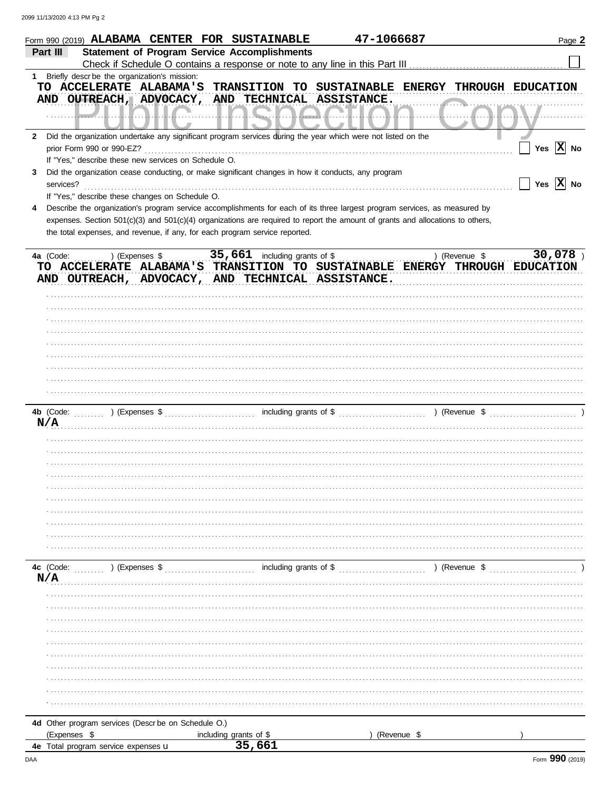|              | 47-1066687<br>Form 990 (2019) ALABAMA CENTER FOR SUSTAINABLE                                                                                                                                                  | Page 2                |
|--------------|---------------------------------------------------------------------------------------------------------------------------------------------------------------------------------------------------------------|-----------------------|
|              | <b>Statement of Program Service Accomplishments</b><br>Part III                                                                                                                                               |                       |
|              |                                                                                                                                                                                                               |                       |
|              | 1 Briefly descr be the organization's mission:                                                                                                                                                                |                       |
|              | TO ACCELERATE ALABAMA'S<br>TRANSITION TO<br>SUSTAINABLE ENERGY THROUGH EDUCATION<br>AND OUTREACH, ADVOCACY, AND TECHNICAL ASSISTANCE.                                                                         |                       |
|              |                                                                                                                                                                                                               |                       |
| $\mathbf{2}$ | Did the organization undertake any significant program services during the year which were not listed on the                                                                                                  |                       |
|              | prior Form 990 or 990-EZ?                                                                                                                                                                                     | Yes $\overline{X}$ No |
|              | If "Yes," describe these new services on Schedule O.                                                                                                                                                          |                       |
| 3            | Did the organization cease conducting, or make significant changes in how it conducts, any program<br>services?                                                                                               | Yes $\overline{X}$ No |
|              | If "Yes," describe these changes on Schedule O.                                                                                                                                                               |                       |
|              | Describe the organization's program service accomplishments for each of its three largest program services, as measured by                                                                                    |                       |
|              | expenses. Section 501(c)(3) and 501(c)(4) organizations are required to report the amount of grants and allocations to others,<br>the total expenses, and revenue, if any, for each program service reported. |                       |
|              | 35,661 including grants of \$<br>4a (Code:<br>) (Revenue \$<br>) (Expenses \$<br>TO ACCELERATE ALABAMA'S TRANSITION TO SUSTAINABLE ENERGY THROUGH EDUCATION                                                   | 30,078)               |
|              | AND OUTREACH, ADVOCACY, AND TECHNICAL ASSISTANCE.                                                                                                                                                             |                       |
|              |                                                                                                                                                                                                               |                       |
|              |                                                                                                                                                                                                               |                       |
|              |                                                                                                                                                                                                               |                       |
|              |                                                                                                                                                                                                               |                       |
|              |                                                                                                                                                                                                               |                       |
|              |                                                                                                                                                                                                               |                       |
|              |                                                                                                                                                                                                               |                       |
|              |                                                                                                                                                                                                               |                       |
|              |                                                                                                                                                                                                               |                       |
|              |                                                                                                                                                                                                               |                       |
|              | 4b (Code:<br>) (Expenses $\sqrt[6]{\frac{1}{2}$                                                                                                                                                               |                       |
|              | N/A                                                                                                                                                                                                           |                       |
|              |                                                                                                                                                                                                               |                       |
|              |                                                                                                                                                                                                               |                       |
|              |                                                                                                                                                                                                               |                       |
|              |                                                                                                                                                                                                               |                       |
|              |                                                                                                                                                                                                               |                       |
|              |                                                                                                                                                                                                               |                       |
|              |                                                                                                                                                                                                               |                       |
|              |                                                                                                                                                                                                               |                       |
|              |                                                                                                                                                                                                               |                       |
|              |                                                                                                                                                                                                               |                       |
|              |                                                                                                                                                                                                               |                       |
|              | including grants of \$<br>4c (Code:<br>) (Revenue \$<br>) (Expenses \$                                                                                                                                        |                       |
|              | N/A                                                                                                                                                                                                           |                       |
|              |                                                                                                                                                                                                               |                       |
|              |                                                                                                                                                                                                               |                       |
|              |                                                                                                                                                                                                               |                       |
|              |                                                                                                                                                                                                               |                       |
|              |                                                                                                                                                                                                               |                       |
|              |                                                                                                                                                                                                               |                       |
|              |                                                                                                                                                                                                               |                       |
|              |                                                                                                                                                                                                               |                       |
|              |                                                                                                                                                                                                               |                       |
|              |                                                                                                                                                                                                               |                       |
|              |                                                                                                                                                                                                               |                       |
|              | 4d Other program services (Descr be on Schedule O.)                                                                                                                                                           |                       |
|              | (Expenses \$<br>including grants of \$<br>(Revenue \$                                                                                                                                                         |                       |
|              | 35,661<br>4e Total program service expenses u                                                                                                                                                                 |                       |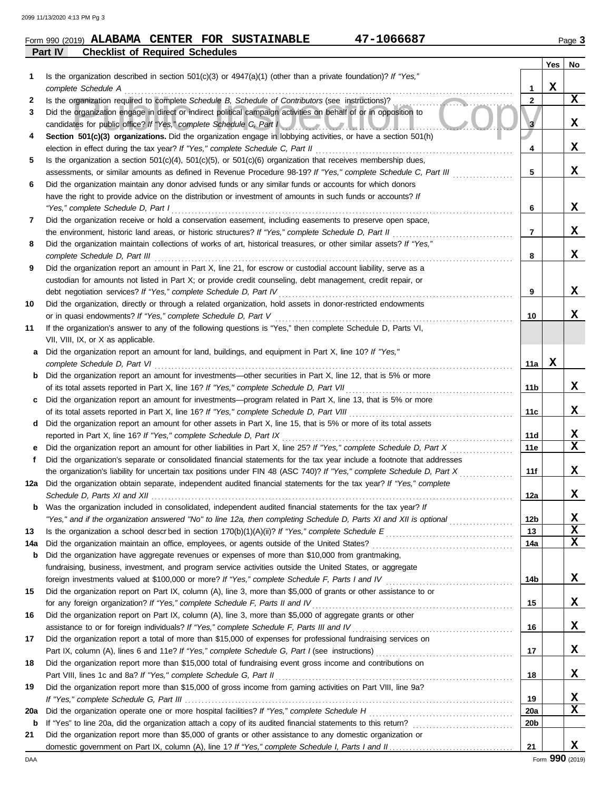### **Part IV Checklist of Required Schedules Form 990 (2019) ALABAMA CENTER FOR SUSTAINABLE 47-1066687** Page 3

| 1<br>2<br>3<br>4<br>5<br>6 | Is the organization described in section $501(c)(3)$ or $4947(a)(1)$ (other than a private foundation)? If "Yes,"<br>complete Schedule A<br>Is the organization required to complete Schedule B, Schedule of Contributors (see instructions)?<br>Did the organization engage in direct or indirect political campaign activities on behalf of or in opposition to<br>candidates for public office? If "Yes," complete Schedule C, Part I<br>Section 501(c)(3) organizations. Did the organization engage in lobbying activities, or have a section 501(h)<br>election in effect during the tax year? If "Yes," complete Schedule C, Part II<br>Is the organization a section $501(c)(4)$ , $501(c)(5)$ , or $501(c)(6)$ organization that receives membership dues,<br>assessments, or similar amounts as defined in Revenue Procedure 98-19? If "Yes," complete Schedule C, Part III | 1<br>$\mathbf{2}$<br>$\mathbf{3}$<br>4 | X | $\mathbf{x}$ |
|----------------------------|---------------------------------------------------------------------------------------------------------------------------------------------------------------------------------------------------------------------------------------------------------------------------------------------------------------------------------------------------------------------------------------------------------------------------------------------------------------------------------------------------------------------------------------------------------------------------------------------------------------------------------------------------------------------------------------------------------------------------------------------------------------------------------------------------------------------------------------------------------------------------------------|----------------------------------------|---|--------------|
|                            |                                                                                                                                                                                                                                                                                                                                                                                                                                                                                                                                                                                                                                                                                                                                                                                                                                                                                       |                                        |   |              |
|                            |                                                                                                                                                                                                                                                                                                                                                                                                                                                                                                                                                                                                                                                                                                                                                                                                                                                                                       |                                        |   |              |
|                            |                                                                                                                                                                                                                                                                                                                                                                                                                                                                                                                                                                                                                                                                                                                                                                                                                                                                                       |                                        |   |              |
|                            |                                                                                                                                                                                                                                                                                                                                                                                                                                                                                                                                                                                                                                                                                                                                                                                                                                                                                       |                                        |   | X            |
|                            |                                                                                                                                                                                                                                                                                                                                                                                                                                                                                                                                                                                                                                                                                                                                                                                                                                                                                       |                                        |   |              |
|                            |                                                                                                                                                                                                                                                                                                                                                                                                                                                                                                                                                                                                                                                                                                                                                                                                                                                                                       |                                        |   | x            |
|                            |                                                                                                                                                                                                                                                                                                                                                                                                                                                                                                                                                                                                                                                                                                                                                                                                                                                                                       |                                        |   |              |
|                            |                                                                                                                                                                                                                                                                                                                                                                                                                                                                                                                                                                                                                                                                                                                                                                                                                                                                                       | 5                                      |   | x            |
|                            | Did the organization maintain any donor advised funds or any similar funds or accounts for which donors                                                                                                                                                                                                                                                                                                                                                                                                                                                                                                                                                                                                                                                                                                                                                                               |                                        |   |              |
|                            | have the right to provide advice on the distribution or investment of amounts in such funds or accounts? If                                                                                                                                                                                                                                                                                                                                                                                                                                                                                                                                                                                                                                                                                                                                                                           |                                        |   |              |
|                            | "Yes," complete Schedule D, Part I                                                                                                                                                                                                                                                                                                                                                                                                                                                                                                                                                                                                                                                                                                                                                                                                                                                    | 6                                      |   | X            |
| 7                          | Did the organization receive or hold a conservation easement, including easements to preserve open space,                                                                                                                                                                                                                                                                                                                                                                                                                                                                                                                                                                                                                                                                                                                                                                             | $\overline{7}$                         |   | x            |
|                            | the environment, historic land areas, or historic structures? If "Yes," complete Schedule D, Part II                                                                                                                                                                                                                                                                                                                                                                                                                                                                                                                                                                                                                                                                                                                                                                                  |                                        |   |              |
| 8                          | Did the organization maintain collections of works of art, historical treasures, or other similar assets? If "Yes,"                                                                                                                                                                                                                                                                                                                                                                                                                                                                                                                                                                                                                                                                                                                                                                   | 8                                      |   | x            |
| 9                          | complete Schedule D, Part III<br>Did the organization report an amount in Part X, line 21, for escrow or custodial account liability, serve as a                                                                                                                                                                                                                                                                                                                                                                                                                                                                                                                                                                                                                                                                                                                                      |                                        |   |              |
|                            | custodian for amounts not listed in Part X; or provide credit counseling, debt management, credit repair, or                                                                                                                                                                                                                                                                                                                                                                                                                                                                                                                                                                                                                                                                                                                                                                          |                                        |   |              |
|                            | debt negotiation services? If "Yes," complete Schedule D, Part IV                                                                                                                                                                                                                                                                                                                                                                                                                                                                                                                                                                                                                                                                                                                                                                                                                     | 9                                      |   | x            |
| 10                         | Did the organization, directly or through a related organization, hold assets in donor-restricted endowments                                                                                                                                                                                                                                                                                                                                                                                                                                                                                                                                                                                                                                                                                                                                                                          |                                        |   |              |
|                            | or in quasi endowments? If "Yes," complete Schedule D, Part V                                                                                                                                                                                                                                                                                                                                                                                                                                                                                                                                                                                                                                                                                                                                                                                                                         | 10                                     |   | x            |
| 11                         | If the organization's answer to any of the following questions is "Yes," then complete Schedule D, Parts VI,                                                                                                                                                                                                                                                                                                                                                                                                                                                                                                                                                                                                                                                                                                                                                                          |                                        |   |              |
|                            | VII, VIII, IX, or X as applicable.                                                                                                                                                                                                                                                                                                                                                                                                                                                                                                                                                                                                                                                                                                                                                                                                                                                    |                                        |   |              |
| а                          | Did the organization report an amount for land, buildings, and equipment in Part X, line 10? If "Yes,"                                                                                                                                                                                                                                                                                                                                                                                                                                                                                                                                                                                                                                                                                                                                                                                |                                        |   |              |
|                            | complete Schedule D, Part VI                                                                                                                                                                                                                                                                                                                                                                                                                                                                                                                                                                                                                                                                                                                                                                                                                                                          | 11a                                    | X |              |
| b                          | Did the organization report an amount for investments—other securities in Part X, line 12, that is 5% or more                                                                                                                                                                                                                                                                                                                                                                                                                                                                                                                                                                                                                                                                                                                                                                         |                                        |   |              |
|                            | of its total assets reported in Part X, line 16? If "Yes," complete Schedule D, Part VII                                                                                                                                                                                                                                                                                                                                                                                                                                                                                                                                                                                                                                                                                                                                                                                              | 11 <sub>b</sub>                        |   | x            |
| c                          | Did the organization report an amount for investments—program related in Part X, line 13, that is 5% or more                                                                                                                                                                                                                                                                                                                                                                                                                                                                                                                                                                                                                                                                                                                                                                          |                                        |   |              |
|                            |                                                                                                                                                                                                                                                                                                                                                                                                                                                                                                                                                                                                                                                                                                                                                                                                                                                                                       | 11c                                    |   | X            |
| d                          | Did the organization report an amount for other assets in Part X, line 15, that is 5% or more of its total assets                                                                                                                                                                                                                                                                                                                                                                                                                                                                                                                                                                                                                                                                                                                                                                     |                                        |   |              |
|                            | reported in Part X, line 16? If "Yes," complete Schedule D, Part IX                                                                                                                                                                                                                                                                                                                                                                                                                                                                                                                                                                                                                                                                                                                                                                                                                   | 11d                                    |   | X            |
|                            | Did the organization report an amount for other liabilities in Part X, line 25? If "Yes," complete Schedule D, Part X                                                                                                                                                                                                                                                                                                                                                                                                                                                                                                                                                                                                                                                                                                                                                                 | 11e                                    |   | $\mathbf x$  |
| f                          | Did the organization's separate or consolidated financial statements for the tax year include a footnote that addresses                                                                                                                                                                                                                                                                                                                                                                                                                                                                                                                                                                                                                                                                                                                                                               |                                        |   |              |
|                            | the organization's liability for uncertain tax positions under FIN 48 (ASC 740)? If "Yes," complete Schedule D, Part X                                                                                                                                                                                                                                                                                                                                                                                                                                                                                                                                                                                                                                                                                                                                                                | 11f                                    |   | x            |
| 12a                        | Did the organization obtain separate, independent audited financial statements for the tax year? If "Yes," complete                                                                                                                                                                                                                                                                                                                                                                                                                                                                                                                                                                                                                                                                                                                                                                   | 12a                                    |   | x            |
|                            | Was the organization included in consolidated, independent audited financial statements for the tax year? If                                                                                                                                                                                                                                                                                                                                                                                                                                                                                                                                                                                                                                                                                                                                                                          |                                        |   |              |
|                            | "Yes," and if the organization answered "No" to line 12a, then completing Schedule D, Parts XI and XII is optional                                                                                                                                                                                                                                                                                                                                                                                                                                                                                                                                                                                                                                                                                                                                                                    | 12b                                    |   | X            |
| 13                         |                                                                                                                                                                                                                                                                                                                                                                                                                                                                                                                                                                                                                                                                                                                                                                                                                                                                                       | 13                                     |   | $\mathbf x$  |
| 14a                        |                                                                                                                                                                                                                                                                                                                                                                                                                                                                                                                                                                                                                                                                                                                                                                                                                                                                                       | 14a                                    |   | $\mathbf x$  |
| b                          | Did the organization have aggregate revenues or expenses of more than \$10,000 from grantmaking,                                                                                                                                                                                                                                                                                                                                                                                                                                                                                                                                                                                                                                                                                                                                                                                      |                                        |   |              |
|                            | fundraising, business, investment, and program service activities outside the United States, or aggregate                                                                                                                                                                                                                                                                                                                                                                                                                                                                                                                                                                                                                                                                                                                                                                             |                                        |   |              |
|                            |                                                                                                                                                                                                                                                                                                                                                                                                                                                                                                                                                                                                                                                                                                                                                                                                                                                                                       | 14b                                    |   | X            |
| 15                         | Did the organization report on Part IX, column (A), line 3, more than \$5,000 of grants or other assistance to or                                                                                                                                                                                                                                                                                                                                                                                                                                                                                                                                                                                                                                                                                                                                                                     |                                        |   |              |
|                            | for any foreign organization? If "Yes," complete Schedule F, Parts II and IV                                                                                                                                                                                                                                                                                                                                                                                                                                                                                                                                                                                                                                                                                                                                                                                                          | 15                                     |   | X            |
| 16                         | Did the organization report on Part IX, column (A), line 3, more than \$5,000 of aggregate grants or other                                                                                                                                                                                                                                                                                                                                                                                                                                                                                                                                                                                                                                                                                                                                                                            |                                        |   |              |
|                            | assistance to or for foreign individuals? If "Yes," complete Schedule F, Parts III and IV                                                                                                                                                                                                                                                                                                                                                                                                                                                                                                                                                                                                                                                                                                                                                                                             | 16                                     |   | X            |
| 17                         | Did the organization report a total of more than \$15,000 of expenses for professional fundraising services on                                                                                                                                                                                                                                                                                                                                                                                                                                                                                                                                                                                                                                                                                                                                                                        |                                        |   |              |
|                            |                                                                                                                                                                                                                                                                                                                                                                                                                                                                                                                                                                                                                                                                                                                                                                                                                                                                                       | 17                                     |   | X            |
| 18                         | Did the organization report more than \$15,000 total of fundraising event gross income and contributions on                                                                                                                                                                                                                                                                                                                                                                                                                                                                                                                                                                                                                                                                                                                                                                           |                                        |   |              |
|                            | Part VIII, lines 1c and 8a? If "Yes," complete Schedule G, Part II                                                                                                                                                                                                                                                                                                                                                                                                                                                                                                                                                                                                                                                                                                                                                                                                                    | 18                                     |   | X            |
| 19                         | Did the organization report more than \$15,000 of gross income from gaming activities on Part VIII, line 9a?                                                                                                                                                                                                                                                                                                                                                                                                                                                                                                                                                                                                                                                                                                                                                                          |                                        |   |              |
|                            | Did the organization operate one or more hospital facilities? If "Yes," complete Schedule H                                                                                                                                                                                                                                                                                                                                                                                                                                                                                                                                                                                                                                                                                                                                                                                           | 19                                     |   | X<br>X       |
| 20a<br>b                   |                                                                                                                                                                                                                                                                                                                                                                                                                                                                                                                                                                                                                                                                                                                                                                                                                                                                                       | <b>20a</b><br>20 <sub>b</sub>          |   |              |
| 21                         | Did the organization report more than \$5,000 of grants or other assistance to any domestic organization or                                                                                                                                                                                                                                                                                                                                                                                                                                                                                                                                                                                                                                                                                                                                                                           |                                        |   |              |
|                            |                                                                                                                                                                                                                                                                                                                                                                                                                                                                                                                                                                                                                                                                                                                                                                                                                                                                                       | 21                                     |   | x            |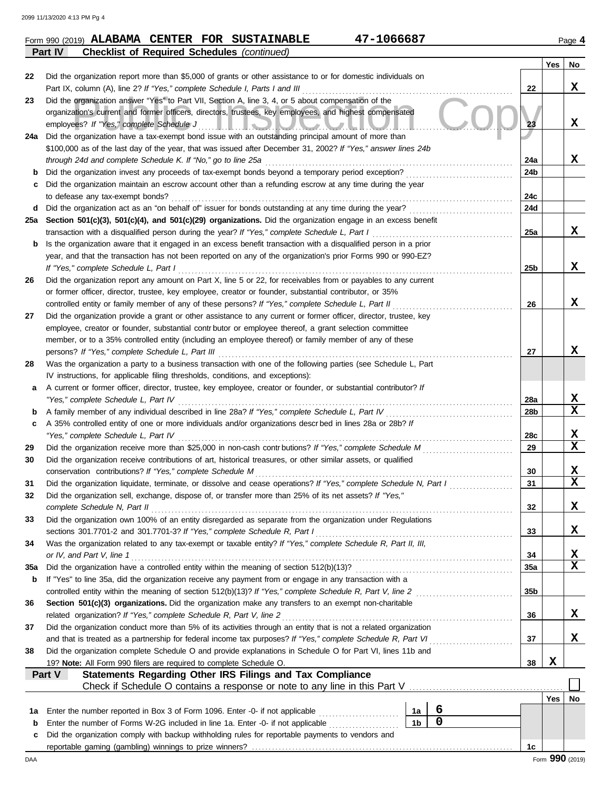# **Form 990 (2019) ALABAMA CENTER FOR SUSTAINABLE 47-1066687** Page 4 **Part IV Checklist of Required Schedules** *(continued)*

|     |                                                                                                                                                                                                                                                                              |                 | Yes        | No |
|-----|------------------------------------------------------------------------------------------------------------------------------------------------------------------------------------------------------------------------------------------------------------------------------|-----------------|------------|----|
| 22  | Did the organization report more than \$5,000 of grants or other assistance to or for domestic individuals on                                                                                                                                                                |                 |            |    |
|     | Part IX, column (A), line 2? If "Yes," complete Schedule I, Parts I and III                                                                                                                                                                                                  | 22              |            | x  |
| 23  | Did the organization answer "Yes" to Part VII, Section A, line 3, 4, or 5 about compensation of the<br>organization's current and former officers, directors, trustees, key employees, and highest compensated<br>employees? If "Yes," complete Schedule J<br>$\blacksquare$ | 23              |            | x  |
| 24a | Did the organization have a tax-exempt bond issue with an outstanding principal amount of more than                                                                                                                                                                          |                 |            |    |
|     | \$100,000 as of the last day of the year, that was issued after December 31, 2002? If "Yes," answer lines 24b                                                                                                                                                                |                 |            |    |
|     | through 24d and complete Schedule K. If "No," go to line 25a                                                                                                                                                                                                                 | 24a             |            | x  |
| b   |                                                                                                                                                                                                                                                                              | 24b             |            |    |
| с   | Did the organization maintain an escrow account other than a refunding escrow at any time during the year                                                                                                                                                                    |                 |            |    |
|     | to defease any tax-exempt bonds?                                                                                                                                                                                                                                             | 24c             |            |    |
| d   | Did the organization act as an "on behalf of" issuer for bonds outstanding at any time during the year?                                                                                                                                                                      | 24d             |            |    |
| 25a | Section 501(c)(3), 501(c)(4), and 501(c)(29) organizations. Did the organization engage in an excess benefit                                                                                                                                                                 |                 |            |    |
|     | transaction with a disqualified person during the year? If "Yes," complete Schedule L, Part I                                                                                                                                                                                | 25a             |            | x  |
| b   | Is the organization aware that it engaged in an excess benefit transaction with a disqualified person in a prior                                                                                                                                                             |                 |            |    |
|     | year, and that the transaction has not been reported on any of the organization's prior Forms 990 or 990-EZ?                                                                                                                                                                 |                 |            |    |
|     | If "Yes," complete Schedule L, Part I                                                                                                                                                                                                                                        | 25b             |            | x  |
| 26  | Did the organization report any amount on Part X, line 5 or 22, for receivables from or payables to any current                                                                                                                                                              |                 |            |    |
|     | or former officer, director, trustee, key employee, creator or founder, substantial contributor, or 35%                                                                                                                                                                      |                 |            | x  |
|     | controlled entity or family member of any of these persons? If "Yes," complete Schedule L, Part II                                                                                                                                                                           | 26              |            |    |
| 27  | Did the organization provide a grant or other assistance to any current or former officer, director, trustee, key<br>employee, creator or founder, substantial contributor or employee thereof, a grant selection committee                                                  |                 |            |    |
|     | member, or to a 35% controlled entity (including an employee thereof) or family member of any of these                                                                                                                                                                       |                 |            |    |
|     | persons? If "Yes," complete Schedule L, Part III                                                                                                                                                                                                                             | 27              |            | x  |
| 28  | Was the organization a party to a business transaction with one of the following parties (see Schedule L, Part                                                                                                                                                               |                 |            |    |
|     | IV instructions, for applicable filing thresholds, conditions, and exceptions):                                                                                                                                                                                              |                 |            |    |
| а   | A current or former officer, director, trustee, key employee, creator or founder, or substantial contributor? If                                                                                                                                                             |                 |            |    |
|     | "Yes," complete Schedule L, Part IV                                                                                                                                                                                                                                          | 28a             |            | X  |
| b   | A family member of any individual described in line 28a? If "Yes," complete Schedule L, Part IV                                                                                                                                                                              | 28b             |            | X  |
| c   | A 35% controlled entity of one or more individuals and/or organizations descrbed in lines 28a or 28b? If                                                                                                                                                                     |                 |            |    |
|     | "Yes," complete Schedule L, Part IV                                                                                                                                                                                                                                          | 28c             |            | X  |
| 29  |                                                                                                                                                                                                                                                                              | 29              |            | X  |
| 30  | Did the organization receive contributions of art, historical treasures, or other similar assets, or qualified                                                                                                                                                               |                 |            |    |
|     | conservation contributions? If "Yes," complete Schedule M                                                                                                                                                                                                                    | 30              |            | X  |
| 31  | Did the organization liquidate, terminate, or dissolve and cease operations? If "Yes," complete Schedule N, Part I                                                                                                                                                           | 31              |            | X  |
| 32  | Did the organization sell, exchange, dispose of, or transfer more than 25% of its net assets? If "Yes,"                                                                                                                                                                      |                 |            |    |
|     | complete Schedule N, Part II                                                                                                                                                                                                                                                 | 32              |            | х  |
| 33  | Did the organization own 100% of an entity disregarded as separate from the organization under Regulations                                                                                                                                                                   |                 |            |    |
|     | sections 301.7701-2 and 301.7701-3? If "Yes," complete Schedule R, Part I                                                                                                                                                                                                    | 33              |            | X  |
| 34  | Was the organization related to any tax-exempt or taxable entity? If "Yes," complete Schedule R, Part II, III,                                                                                                                                                               |                 |            |    |
|     | or IV, and Part V, line 1                                                                                                                                                                                                                                                    | 34              |            | х  |
| 35a |                                                                                                                                                                                                                                                                              | 35a             |            | X  |
| b   | If "Yes" to line 35a, did the organization receive any payment from or engage in any transaction with a                                                                                                                                                                      |                 |            |    |
|     | controlled entity within the meaning of section 512(b)(13)? If "Yes," complete Schedule R, Part V, line 2                                                                                                                                                                    | 35 <sub>b</sub> |            |    |
| 36  | Section 501(c)(3) organizations. Did the organization make any transfers to an exempt non-charitable<br>related organization? If "Yes," complete Schedule R, Part V, line 2                                                                                                  | 36              |            | x  |
| 37  | Did the organization conduct more than 5% of its activities through an entity that is not a related organization                                                                                                                                                             |                 |            |    |
|     | and that is treated as a partnership for federal income tax purposes? If "Yes," complete Schedule R, Part VI                                                                                                                                                                 | 37              |            | x  |
| 38  | Did the organization complete Schedule O and provide explanations in Schedule O for Part VI, lines 11b and                                                                                                                                                                   |                 |            |    |
|     | 19? Note: All Form 990 filers are required to complete Schedule O.                                                                                                                                                                                                           | 38              | X          |    |
|     | <b>Statements Regarding Other IRS Filings and Tax Compliance</b><br>Part V                                                                                                                                                                                                   |                 |            |    |
|     |                                                                                                                                                                                                                                                                              |                 |            |    |
|     |                                                                                                                                                                                                                                                                              |                 | <b>Yes</b> | No |
| 1а  | 6<br>Enter the number reported in Box 3 of Form 1096. Enter -0- if not applicable<br>1a                                                                                                                                                                                      |                 |            |    |
| b   | $\overline{0}$<br>1 <sub>b</sub><br>Enter the number of Forms W-2G included in line 1a. Enter -0- if not applicable                                                                                                                                                          |                 |            |    |
| с   | Did the organization comply with backup withholding rules for reportable payments to vendors and                                                                                                                                                                             |                 |            |    |
|     |                                                                                                                                                                                                                                                                              | 1c              |            |    |

DAA Form **990** (2019)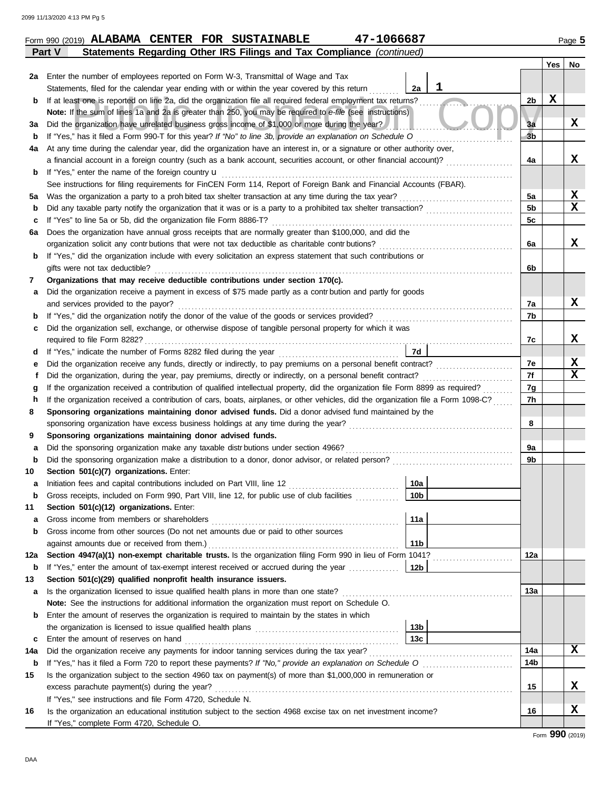| 2a     | Enter the number of employees reported on Form W-3, Transmittal of Wage and Tax                                                                                               |                 |   |                |             |                   |
|--------|-------------------------------------------------------------------------------------------------------------------------------------------------------------------------------|-----------------|---|----------------|-------------|-------------------|
|        | Statements, filed for the calendar year ending with or within the year covered by this return                                                                                 | 2a              | ı |                |             |                   |
| b      | If at least one is reported on line 2a, did the organization file all required federal employment tax returns?                                                                |                 |   | 2b             | $\mathbf x$ |                   |
|        | Note: If the sum of lines 1a and 2a is greater than 250, you may be required to e-file (see instructions)                                                                     |                 |   |                |             |                   |
| За     | Did the organization have unrelated business gross income of \$1,000 or more during the year?                                                                                 |                 |   | 3a             |             | x                 |
| b      | If "Yes," has it filed a Form 990-T for this year? If "No" to line 3b, provide an explanation on Schedule O                                                                   |                 |   | 3 <sub>b</sub> |             |                   |
| 4a     | At any time during the calendar year, did the organization have an interest in, or a signature or other authority over,                                                       |                 |   |                |             |                   |
|        | a financial account in a foreign country (such as a bank account, securities account, or other financial account)?                                                            |                 |   | 4a             |             | x                 |
| b      | If "Yes," enter the name of the foreign country <b>u</b>                                                                                                                      |                 |   |                |             |                   |
|        | See instructions for filing requirements for FinCEN Form 114, Report of Foreign Bank and Financial Accounts (FBAR).                                                           |                 |   |                |             |                   |
| 5a     |                                                                                                                                                                               |                 |   | 5а             |             | х                 |
| b      | Did any taxable party notify the organization that it was or is a party to a prohibited tax shelter transaction?                                                              |                 |   | 5 <sub>b</sub> |             | $\mathbf x$       |
| c      | If "Yes" to line 5a or 5b, did the organization file Form 8886-T?                                                                                                             |                 |   | 5 <sub>c</sub> |             |                   |
| 6a     | Does the organization have annual gross receipts that are normally greater than \$100,000, and did the                                                                        |                 |   |                |             |                   |
|        | organization solicit any contributions that were not tax deductible as charitable contributions?                                                                              |                 |   | 6a             |             | x                 |
| b      | If "Yes," did the organization include with every solicitation an express statement that such contributions or                                                                |                 |   |                |             |                   |
|        | gifts were not tax deductible?                                                                                                                                                |                 |   | 6b             |             |                   |
| 7      | Organizations that may receive deductible contributions under section 170(c).                                                                                                 |                 |   |                |             |                   |
| а      | Did the organization receive a payment in excess of \$75 made partly as a contr bution and partly for goods                                                                   |                 |   |                |             |                   |
|        | and services provided to the payor?                                                                                                                                           |                 |   | 7a             |             | X                 |
| b      |                                                                                                                                                                               |                 |   | 7b             |             |                   |
| c      | Did the organization sell, exchange, or otherwise dispose of tangible personal property for which it was                                                                      |                 |   |                |             |                   |
|        |                                                                                                                                                                               | 7d              |   | 7c             |             | X                 |
| d      | Did the organization receive any funds, directly or indirectly, to pay premiums on a personal benefit contract?                                                               |                 |   | 7e             |             | X                 |
| е<br>f |                                                                                                                                                                               |                 |   | 7f             |             | $\mathbf x$       |
| g      | If the organization received a contribution of qualified intellectual property, did the organization file Form 8899 as required?                                              |                 |   | 7g             |             |                   |
| h      | If the organization received a contribution of cars, boats, airplanes, or other vehicles, did the organization file a Form 1098-C?                                            |                 |   | 7h             |             |                   |
| 8      | Sponsoring organizations maintaining donor advised funds. Did a donor advised fund maintained by the                                                                          |                 |   |                |             |                   |
|        | sponsoring organization have excess business holdings at any time during the year?                                                                                            |                 |   | 8              |             |                   |
| 9      | Sponsoring organizations maintaining donor advised funds.                                                                                                                     |                 |   |                |             |                   |
| a      | Did the sponsoring organization make any taxable distributions under section 4966?                                                                                            |                 |   | 9а             |             |                   |
| b      |                                                                                                                                                                               |                 |   | 9b             |             |                   |
| 10     | Section 501(c)(7) organizations. Enter:                                                                                                                                       |                 |   |                |             |                   |
| а      |                                                                                                                                                                               | 10a             |   |                |             |                   |
| b      | Gross receipts, included on Form 990, Part VIII, line 12, for public use of club facilities                                                                                   | 10 <sub>b</sub> |   |                |             |                   |
| 11     | Section 501(c)(12) organizations. Enter:                                                                                                                                      |                 |   |                |             |                   |
| a      | Gross income from members or shareholders                                                                                                                                     | 11a             |   |                |             |                   |
| b      | Gross income from other sources (Do not net amounts due or paid to other sources                                                                                              |                 |   |                |             |                   |
|        | against amounts due or received from them.)                                                                                                                                   | 11 <sub>b</sub> |   |                |             |                   |
| 12a    | Section 4947(a)(1) non-exempt charitable trusts. Is the organization filing Form 990 in lieu of Form 1041?                                                                    |                 |   | 12a            |             |                   |
| b      |                                                                                                                                                                               |                 |   |                |             |                   |
| 13     | Section 501(c)(29) qualified nonprofit health insurance issuers.                                                                                                              |                 |   |                |             |                   |
| a      |                                                                                                                                                                               |                 |   | 13a            |             |                   |
|        | Note: See the instructions for additional information the organization must report on Schedule O.                                                                             |                 |   |                |             |                   |
| b      | Enter the amount of reserves the organization is required to maintain by the states in which                                                                                  |                 |   |                |             |                   |
|        |                                                                                                                                                                               | 13b             |   |                |             |                   |
| c      | Enter the amount of reserves on hand                                                                                                                                          | 13c             |   |                |             |                   |
| 14a    |                                                                                                                                                                               |                 |   | 14a            |             | X                 |
| b      |                                                                                                                                                                               |                 |   | 14b            |             |                   |
| 15     | Is the organization subject to the section 4960 tax on payment(s) of more than \$1,000,000 in remuneration or                                                                 |                 |   |                |             | х                 |
|        | excess parachute payment(s) during the year?                                                                                                                                  |                 |   | 15             |             |                   |
| 16     | If "Yes," see instructions and file Form 4720, Schedule N.<br>Is the organization an educational institution subject to the section 4968 excise tax on net investment income? |                 |   | 16             |             | X                 |
|        | If "Yes," complete Form 4720, Schedule O.                                                                                                                                     |                 |   |                |             |                   |
|        |                                                                                                                                                                               |                 |   |                |             | Eorm $990$ (2019) |

**Part V Statements Regarding Other IRS Filings and Tax Compliance** *(continued)*

### Form **990** (2019)

**Yes No**

**Form 990 (2019) ALABAMA CENTER FOR SUSTAINABLE 47-1066687** Page 5

 $\blacksquare$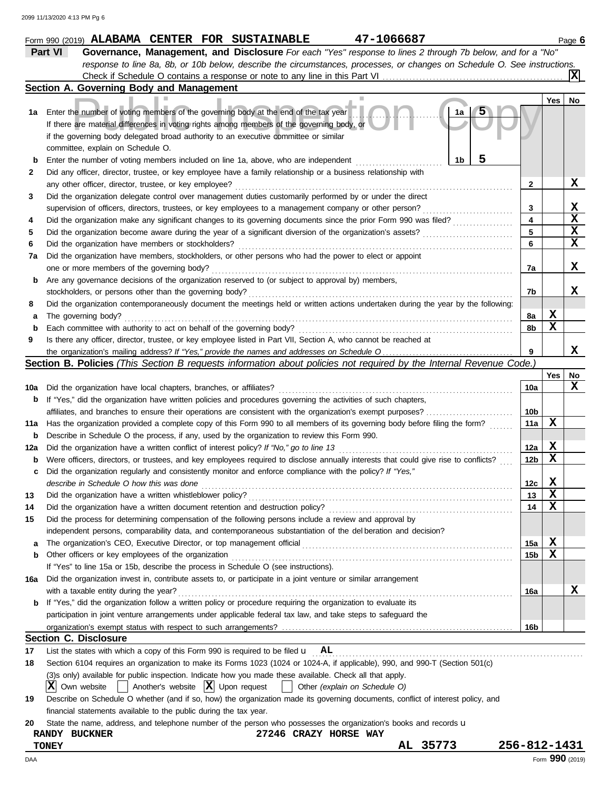|     | 47-1066687<br>Form 990 (2019) ALABAMA CENTER FOR SUSTAINABLE                                                                        |                 |        | Page 6          |
|-----|-------------------------------------------------------------------------------------------------------------------------------------|-----------------|--------|-----------------|
|     | Part VI<br>Governance, Management, and Disclosure For each "Yes" response to lines 2 through 7b below, and for a "No"               |                 |        |                 |
|     | response to line 8a, 8b, or 10b below, describe the circumstances, processes, or changes on Schedule O. See instructions.           |                 |        |                 |
|     |                                                                                                                                     |                 |        |                 |
|     | Section A. Governing Body and Management                                                                                            |                 |        |                 |
|     |                                                                                                                                     |                 | Yes    | No              |
| 1а  | Enter the number of voting members of the governing body at the end of the tax year<br>1a                                           |                 |        |                 |
|     | If there are material differences in voting rights among members of the governing body, or                                          |                 |        |                 |
|     | if the governing body delegated broad authority to an executive committee or similar                                                |                 |        |                 |
|     | committee, explain on Schedule O.                                                                                                   |                 |        |                 |
| b   | 1b<br>Enter the number of voting members included on line 1a, above, who are independent                                            |                 |        |                 |
| 2   | Did any officer, director, trustee, or key employee have a family relationship or a business relationship with                      |                 |        |                 |
|     | any other officer, director, trustee, or key employee?                                                                              | $\mathbf{2}$    |        | х               |
| 3   | Did the organization delegate control over management duties customarily performed by or under the direct                           |                 |        |                 |
|     | supervision of officers, directors, trustees, or key employees to a management company or other person?                             | 3               |        | X               |
| 4   | Did the organization make any significant changes to its governing documents since the prior Form 990 was filed?                    | 4               |        | X               |
| 5   | Did the organization become aware during the year of a significant diversion of the organization's assets?                          | 5               |        | X               |
| 6   | Did the organization have members or stockholders?                                                                                  | 6               |        | $\mathbf x$     |
| 7a  | Did the organization have members, stockholders, or other persons who had the power to elect or appoint                             |                 |        |                 |
|     | one or more members of the governing body?                                                                                          | 7a              |        | x               |
| b   | Are any governance decisions of the organization reserved to (or subject to approval by) members,                                   |                 |        |                 |
|     | stockholders, or persons other than the governing body?                                                                             | 7b              |        | x               |
| 8   | Did the organization contemporaneously document the meetings held or written actions undertaken during the year by the following:   |                 |        |                 |
| а   | The governing body?                                                                                                                 | 8а              | X      |                 |
| b   | Each committee with authority to act on behalf of the governing body?                                                               | 8b              | X      |                 |
| 9   | Is there any officer, director, trustee, or key employee listed in Part VII, Section A, who cannot be reached at                    |                 |        |                 |
|     |                                                                                                                                     | 9               |        | x               |
|     | <b>Section B. Policies</b> (This Section B requests information about policies not required by the Internal Revenue Code.)          |                 |        |                 |
|     |                                                                                                                                     |                 | Yes    | No              |
|     | Did the organization have local chapters, branches, or affiliates?                                                                  | 10a             |        | X               |
| 10a |                                                                                                                                     |                 |        |                 |
| b   | If "Yes," did the organization have written policies and procedures governing the activities of such chapters,                      |                 |        |                 |
|     | affiliates, and branches to ensure their operations are consistent with the organization's exempt purposes?                         | 10b             | X      |                 |
| 11a | Has the organization provided a complete copy of this Form 990 to all members of its governing body before filing the form?         | 11a             |        |                 |
| b   | Describe in Schedule O the process, if any, used by the organization to review this Form 990.                                       |                 | X      |                 |
| 12a | Did the organization have a written conflict of interest policy? If "No," go to line 13                                             | 12a             | X      |                 |
| b   | Were officers, directors, or trustees, and key employees required to disclose annually interests that could give rise to conflicts? | 12 <sub>b</sub> |        |                 |
| с   | Did the organization regularly and consistently monitor and enforce compliance with the policy? If "Yes,"                           |                 |        |                 |
|     | describe in Schedule O how this was done                                                                                            | 12 <sub>c</sub> | X<br>X |                 |
| 13  | Did the organization have a written whistleblower policy?                                                                           | 13              |        |                 |
| 14  | Did the organization have a written document retention and destruction policy?                                                      | 14              | X      |                 |
| 15  | Did the process for determining compensation of the following persons include a review and approval by                              |                 |        |                 |
|     | independent persons, comparability data, and contemporaneous substantiation of the del beration and decision?                       |                 |        |                 |
| a   | The organization's CEO, Executive Director, or top management official                                                              | 15a             | X      |                 |
| b   | Other officers or key employees of the organization                                                                                 | 15b             | X      |                 |
|     | If "Yes" to line 15a or 15b, describe the process in Schedule O (see instructions).                                                 |                 |        |                 |
| 16a | Did the organization invest in, contribute assets to, or participate in a joint venture or similar arrangement                      |                 |        |                 |
|     | with a taxable entity during the year?                                                                                              | 16a             |        | х               |
| b   | If "Yes," did the organization follow a written policy or procedure requiring the organization to evaluate its                      |                 |        |                 |
|     | participation in joint venture arrangements under applicable federal tax law, and take steps to safeguard the                       |                 |        |                 |
|     |                                                                                                                                     | 16b             |        |                 |
|     | <b>Section C. Disclosure</b>                                                                                                        |                 |        |                 |
| 17  | List the states with which a copy of this Form 990 is required to be filed $\mathbf{u}$ AL                                          |                 |        |                 |
| 18  | Section 6104 requires an organization to make its Forms 1023 (1024 or 1024-A, if applicable), 990, and 990-T (Section 501(c)        |                 |        |                 |
|     | (3)s only) available for public inspection. Indicate how you made these available. Check all that apply.                            |                 |        |                 |
|     | $ \mathbf{X} $ Own website<br>Another's website $ \mathbf{X} $ Upon request<br>Other (explain on Schedule O)                        |                 |        |                 |
| 19  | Describe on Schedule O whether (and if so, how) the organization made its governing documents, conflict of interest policy, and     |                 |        |                 |
|     | financial statements available to the public during the tax year.                                                                   |                 |        |                 |
| 20  | State the name, address, and telephone number of the person who possesses the organization's books and records u                    |                 |        |                 |
|     | 27246 CRAZY HORSE WAY<br>RANDY BUCKNER                                                                                              |                 |        |                 |
|     | AL 35773<br><b>TONEY</b>                                                                                                            | 256-812-1431    |        |                 |
| DAA |                                                                                                                                     |                 |        | Form 990 (2019) |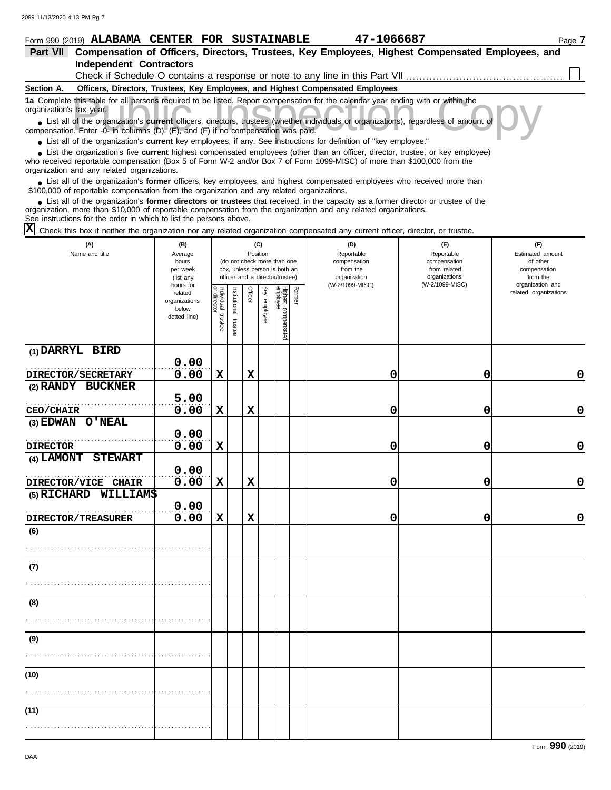# **Form 990 (2019) ALABAMA CENTER FOR SUSTAINABLE 47-1066687** Page 7

| 47–1066687 |  |  |  |
|------------|--|--|--|
|            |  |  |  |

| Part VII Compensation of Officers, Directors, Trustees, Key Employees, Highest Compensated Employees, and |  |
|-----------------------------------------------------------------------------------------------------------|--|
| Independent Contractors                                                                                   |  |
| Check if Schedule O contains a response or note to any line in this Part VII.                             |  |

#### **Section A. Officers, Directors, Trustees, Key Employees, and Highest Compensated Employees**

**1a** Complete this table for all persons required to be listed. Report compensation for the calendar year ending with or within the organization's tax year.

this table for all persons required to be listed. Report compensation for the calendar year ending with or within the tax year.<br>
of the organization's **current** officers, directors, trustees (whether individuals or organiz ■ List all of the organization's **current** officers, directors, trustees (whether individuals or organizations), regardless of amount of compensation. Enter -0- in columns (D), (E), and (F) if no compensation was paid.

● List all of the organization's **current** key employees, if any. See instructions for definition of "key employee."

who received reportable compensation (Box 5 of Form W-2 and/or Box 7 of Form 1099-MISC) of more than \$100,000 from the organization and any related organizations. ■ List the organization's five **current** highest compensated employees (other than an officer, director, trustee, or key employee)<br> **•** Preceived reportable compensation (Box 5 of Form W.2 and/or Box 7 of Form 1000 MISC)

■ List all of the organization's **former** officers, key employees, and highest compensated employees who received more than<br> **•** 00,000 of reportable compensation from the ergonization and any related ergonizations \$100,000 of reportable compensation from the organization and any related organizations.

■ List all of the organization's **former directors or trustees** that received, in the capacity as a former director or trustee of the<br>paization, more than \$10,000 of reportable compensation from the organization and any r organization, more than \$10,000 of reportable compensation from the organization and any related organizations.

See instructions for the order in which to list the persons above.

 $\overline{X}$  Check this box if neither the organization nor any related organization compensated any current officer, director, or trustee.

| (A)<br>Name and title        | (B)<br>Average<br>hours<br>per week<br>(list any               |                                   |                       | Position       | (C)          | (do not check more than one<br>box, unless person is both an<br>officer and a director/trustee) |               | (D)<br>Reportable<br>compensation<br>from the<br>organization | (E)<br>Reportable<br>compensation<br>from related<br>organizations | (F)<br>Estimated amount<br>of other<br>compensation<br>from the |
|------------------------------|----------------------------------------------------------------|-----------------------------------|-----------------------|----------------|--------------|-------------------------------------------------------------------------------------------------|---------------|---------------------------------------------------------------|--------------------------------------------------------------------|-----------------------------------------------------------------|
|                              | hours for<br>related<br>organizations<br>below<br>dotted line) | Individual trustee<br>or director | Institutional trustee | <b>Officer</b> | Key employee | Highest compensated<br>employee                                                                 | <b>Former</b> | (W-2/1099-MISC)                                               | (W-2/1099-MISC)                                                    | organization and<br>related organizations                       |
| (1) DARRYL BIRD              | 0.00                                                           |                                   |                       |                |              |                                                                                                 |               |                                                               |                                                                    |                                                                 |
| DIRECTOR/SECRETARY           | 0.00                                                           | $\mathbf x$                       |                       | $\mathbf x$    |              |                                                                                                 |               | 0                                                             | 0                                                                  | 0                                                               |
| (2) RANDY BUCKNER            | 5.00                                                           |                                   |                       |                |              |                                                                                                 |               |                                                               |                                                                    |                                                                 |
| <b>CEO/CHAIR</b>             | 0.00                                                           | $\mathbf x$                       |                       | $\mathbf x$    |              |                                                                                                 |               | 0                                                             | 0                                                                  | $\mathbf 0$                                                     |
| (3) EDWAN O'NEAL             |                                                                |                                   |                       |                |              |                                                                                                 |               |                                                               |                                                                    |                                                                 |
|                              | 0.00                                                           |                                   |                       |                |              |                                                                                                 |               |                                                               |                                                                    |                                                                 |
| <b>DIRECTOR</b>              | 0.00                                                           | $\mathbf x$                       |                       |                |              |                                                                                                 |               | 0                                                             | 0                                                                  | $\mathbf 0$                                                     |
| <b>STEWART</b><br>(4) LAMONT |                                                                |                                   |                       |                |              |                                                                                                 |               |                                                               |                                                                    |                                                                 |
|                              | 0.00                                                           |                                   |                       |                |              |                                                                                                 |               |                                                               |                                                                    |                                                                 |
| DIRECTOR/VICE CHAIR          | 0.00                                                           | $\mathbf x$                       |                       | $\mathbf x$    |              |                                                                                                 |               | 0                                                             | 0                                                                  | $\mathbf 0$                                                     |
| (5) RICHARD WILLIAM\$        |                                                                |                                   |                       |                |              |                                                                                                 |               |                                                               |                                                                    |                                                                 |
|                              | 0.00                                                           |                                   |                       |                |              |                                                                                                 |               |                                                               |                                                                    |                                                                 |
| <b>DIRECTOR/TREASURER</b>    | 0.00                                                           | $\mathbf x$                       |                       | $\mathbf x$    |              |                                                                                                 |               | 0                                                             | 0                                                                  | $\mathbf 0$                                                     |
| (6)                          |                                                                |                                   |                       |                |              |                                                                                                 |               |                                                               |                                                                    |                                                                 |
|                              |                                                                |                                   |                       |                |              |                                                                                                 |               |                                                               |                                                                    |                                                                 |
| (7)                          |                                                                |                                   |                       |                |              |                                                                                                 |               |                                                               |                                                                    |                                                                 |
|                              |                                                                |                                   |                       |                |              |                                                                                                 |               |                                                               |                                                                    |                                                                 |
| (8)                          |                                                                |                                   |                       |                |              |                                                                                                 |               |                                                               |                                                                    |                                                                 |
|                              |                                                                |                                   |                       |                |              |                                                                                                 |               |                                                               |                                                                    |                                                                 |
| (9)                          |                                                                |                                   |                       |                |              |                                                                                                 |               |                                                               |                                                                    |                                                                 |
|                              |                                                                |                                   |                       |                |              |                                                                                                 |               |                                                               |                                                                    |                                                                 |
| (10)                         |                                                                |                                   |                       |                |              |                                                                                                 |               |                                                               |                                                                    |                                                                 |
|                              |                                                                |                                   |                       |                |              |                                                                                                 |               |                                                               |                                                                    |                                                                 |
| (11)                         |                                                                |                                   |                       |                |              |                                                                                                 |               |                                                               |                                                                    |                                                                 |
|                              |                                                                |                                   |                       |                |              |                                                                                                 |               |                                                               |                                                                    |                                                                 |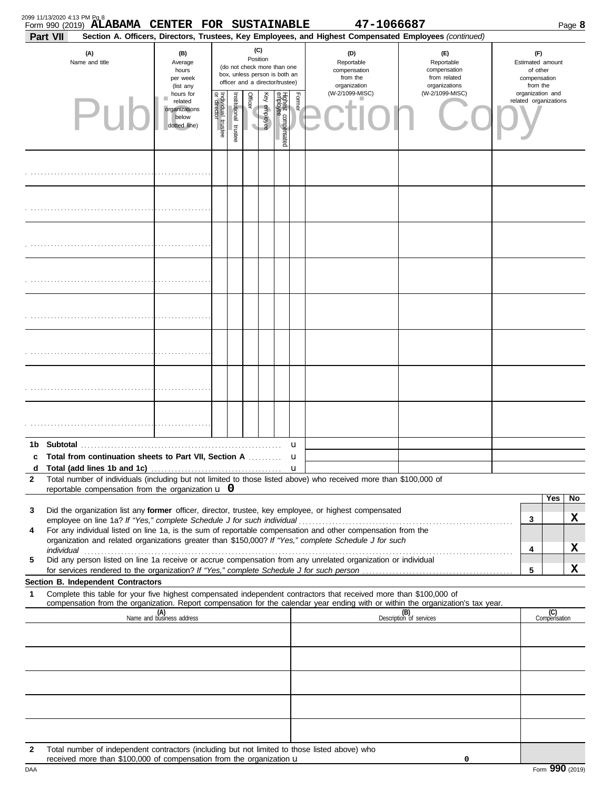| <b>Part VII</b> | Form 990 (2019) ALABAMA CENTER FOR SUSTAINABLE                                                                                                                                                                                 |                                                                |                                   |                       |                                                                                                                    |              |                                 |             | 47-1066687<br>Section A. Officers, Directors, Trustees, Key Employees, and Highest Compensated Employees (continued)                                                                                                 |                                                                                                                                  |                                                                 | Page 8                |
|-----------------|--------------------------------------------------------------------------------------------------------------------------------------------------------------------------------------------------------------------------------|----------------------------------------------------------------|-----------------------------------|-----------------------|--------------------------------------------------------------------------------------------------------------------|--------------|---------------------------------|-------------|----------------------------------------------------------------------------------------------------------------------------------------------------------------------------------------------------------------------|----------------------------------------------------------------------------------------------------------------------------------|-----------------------------------------------------------------|-----------------------|
|                 | (A)<br>Name and title                                                                                                                                                                                                          | (B)<br>Average<br>hours<br>per week<br>(list any               |                                   |                       | (C)<br>Position<br>(do not check more than one<br>box, unless person is both an<br>officer and a director/trustee) |              |                                 |             | (D)<br>Reportable<br>compensation<br>from the<br>organization                                                                                                                                                        | (E)<br>Reportable<br>compensation<br>from related<br>organizations                                                               | (F)<br>Estimated amount<br>of other<br>compensation<br>from the |                       |
|                 |                                                                                                                                                                                                                                | hours for<br>related<br>organizations<br>below<br>dotted line) | Individual trustee<br>or director | Institutional trustee | Officer                                                                                                            | Key employee | Highest compensated<br>employee | Former      | (W-2/1099-MISC)                                                                                                                                                                                                      | (W-2/1099-MISC)                                                                                                                  | organization and                                                | related organizations |
|                 |                                                                                                                                                                                                                                |                                                                |                                   |                       |                                                                                                                    |              |                                 |             |                                                                                                                                                                                                                      |                                                                                                                                  |                                                                 |                       |
|                 |                                                                                                                                                                                                                                |                                                                |                                   |                       |                                                                                                                    |              |                                 |             |                                                                                                                                                                                                                      |                                                                                                                                  |                                                                 |                       |
|                 |                                                                                                                                                                                                                                |                                                                |                                   |                       |                                                                                                                    |              |                                 |             |                                                                                                                                                                                                                      |                                                                                                                                  |                                                                 |                       |
|                 |                                                                                                                                                                                                                                |                                                                |                                   |                       |                                                                                                                    |              |                                 |             |                                                                                                                                                                                                                      |                                                                                                                                  |                                                                 |                       |
|                 |                                                                                                                                                                                                                                |                                                                |                                   |                       |                                                                                                                    |              |                                 |             |                                                                                                                                                                                                                      |                                                                                                                                  |                                                                 |                       |
|                 |                                                                                                                                                                                                                                |                                                                |                                   |                       |                                                                                                                    |              |                                 |             |                                                                                                                                                                                                                      |                                                                                                                                  |                                                                 |                       |
|                 |                                                                                                                                                                                                                                |                                                                |                                   |                       |                                                                                                                    |              |                                 |             |                                                                                                                                                                                                                      |                                                                                                                                  |                                                                 |                       |
|                 |                                                                                                                                                                                                                                |                                                                |                                   |                       |                                                                                                                    |              |                                 |             |                                                                                                                                                                                                                      |                                                                                                                                  |                                                                 |                       |
| C               | Total from continuation sheets to Part VII, Section A                                                                                                                                                                          |                                                                |                                   |                       |                                                                                                                    |              |                                 | u<br>u      |                                                                                                                                                                                                                      |                                                                                                                                  |                                                                 |                       |
|                 |                                                                                                                                                                                                                                |                                                                |                                   |                       |                                                                                                                    |              |                                 | $\mathbf u$ |                                                                                                                                                                                                                      |                                                                                                                                  |                                                                 |                       |
| 2               | reportable compensation from the organization $\bf{u}$ 0                                                                                                                                                                       |                                                                |                                   |                       |                                                                                                                    |              |                                 |             | Total number of individuals (including but not limited to those listed above) who received more than \$100,000 of                                                                                                    |                                                                                                                                  |                                                                 |                       |
|                 |                                                                                                                                                                                                                                |                                                                |                                   |                       |                                                                                                                    |              |                                 |             |                                                                                                                                                                                                                      |                                                                                                                                  |                                                                 | Yes<br>No.            |
| 3               |                                                                                                                                                                                                                                |                                                                |                                   |                       |                                                                                                                    |              |                                 |             | Did the organization list any former officer, director, trustee, key employee, or highest compensated                                                                                                                |                                                                                                                                  | 3                                                               | X                     |
| 4               |                                                                                                                                                                                                                                |                                                                |                                   |                       |                                                                                                                    |              |                                 |             | For any individual listed on line 1a, is the sum of reportable compensation and other compensation from the<br>organization and related organizations greater than \$150,000? If "Yes," complete Schedule J for such |                                                                                                                                  |                                                                 |                       |
|                 | individual communications and contact the contract of the contract of the contract of the contract of the contract of the contract of the contract of the contract of the contract of the contract of the contract of the cont |                                                                |                                   |                       |                                                                                                                    |              |                                 |             | Did any person listed on line 1a receive or accrue compensation from any unrelated organization or individual                                                                                                        |                                                                                                                                  | 4                                                               | X                     |
| 5               |                                                                                                                                                                                                                                |                                                                |                                   |                       |                                                                                                                    |              |                                 |             |                                                                                                                                                                                                                      |                                                                                                                                  | 5                                                               | X                     |
|                 | Section B. Independent Contractors                                                                                                                                                                                             |                                                                |                                   |                       |                                                                                                                    |              |                                 |             |                                                                                                                                                                                                                      |                                                                                                                                  |                                                                 |                       |
| 1               |                                                                                                                                                                                                                                |                                                                |                                   |                       |                                                                                                                    |              |                                 |             | Complete this table for your five highest compensated independent contractors that received more than \$100,000 of                                                                                                   | compensation from the organization. Report compensation for the calendar year ending with or within the organization's tax year. |                                                                 |                       |
|                 |                                                                                                                                                                                                                                | (A)<br>Name and business address                               |                                   |                       |                                                                                                                    |              |                                 |             |                                                                                                                                                                                                                      | (B)<br>Description of services                                                                                                   |                                                                 | (C)<br>Compensation   |
|                 |                                                                                                                                                                                                                                |                                                                |                                   |                       |                                                                                                                    |              |                                 |             |                                                                                                                                                                                                                      |                                                                                                                                  |                                                                 |                       |
|                 |                                                                                                                                                                                                                                |                                                                |                                   |                       |                                                                                                                    |              |                                 |             |                                                                                                                                                                                                                      |                                                                                                                                  |                                                                 |                       |
|                 |                                                                                                                                                                                                                                |                                                                |                                   |                       |                                                                                                                    |              |                                 |             |                                                                                                                                                                                                                      |                                                                                                                                  |                                                                 |                       |
|                 |                                                                                                                                                                                                                                |                                                                |                                   |                       |                                                                                                                    |              |                                 |             |                                                                                                                                                                                                                      |                                                                                                                                  |                                                                 |                       |
|                 |                                                                                                                                                                                                                                |                                                                |                                   |                       |                                                                                                                    |              |                                 |             |                                                                                                                                                                                                                      |                                                                                                                                  |                                                                 |                       |
| $\mathbf{2}$    | Total number of independent contractors (including but not limited to those listed above) who<br>received more than \$100,000 of compensation from the organization $\mathbf u$                                                |                                                                |                                   |                       |                                                                                                                    |              |                                 |             |                                                                                                                                                                                                                      | 0                                                                                                                                |                                                                 |                       |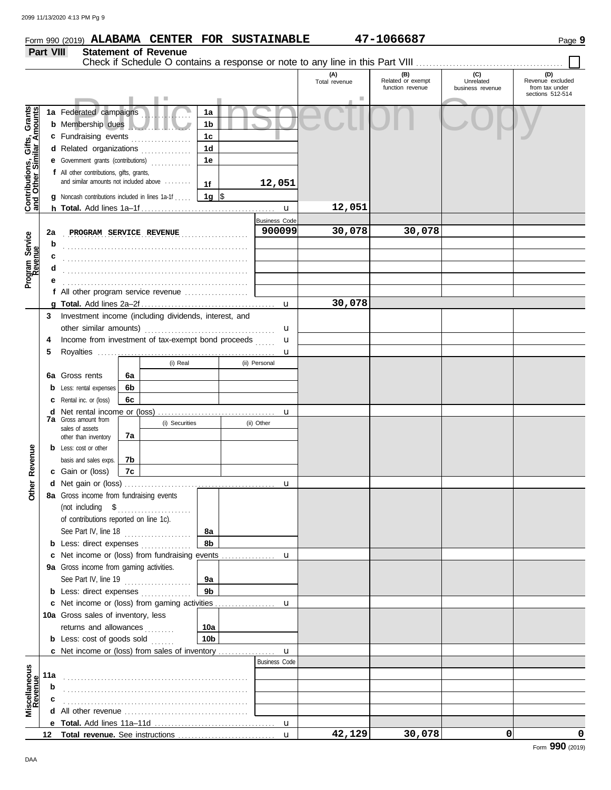|--|

|                                                           |                                                    | Form 990 (2019) ALABAMA CENTER FOR SUSTAINABLE          |          |                             |                 |        |                      |                      | 47-1066687                                   |                                      | Page 9                                                        |
|-----------------------------------------------------------|----------------------------------------------------|---------------------------------------------------------|----------|-----------------------------|-----------------|--------|----------------------|----------------------|----------------------------------------------|--------------------------------------|---------------------------------------------------------------|
|                                                           | Part VIII                                          |                                                         |          | <b>Statement of Revenue</b> |                 |        |                      |                      |                                              |                                      |                                                               |
|                                                           |                                                    |                                                         |          |                             |                 |        |                      |                      |                                              |                                      |                                                               |
|                                                           |                                                    |                                                         |          |                             |                 |        |                      | (A)<br>Total revenue | (B)<br>Related or exempt<br>function revenue | (C)<br>Unrelated<br>business revenue | (D)<br>Revenue excluded<br>from tax under<br>sections 512-514 |
|                                                           |                                                    | 1a Federated campaigns                                  |          |                             | 1a              |        |                      |                      |                                              |                                      |                                                               |
| Contributions, Gifts, Grants<br>and Other Similar Amounts |                                                    | <b>b</b> Membership dues                                |          |                             | 1 <sub>b</sub>  |        |                      |                      |                                              |                                      |                                                               |
|                                                           |                                                    | c Fundraising events                                    |          | .                           | 1c              |        |                      |                      |                                              |                                      |                                                               |
|                                                           |                                                    | d Related organizations                                 |          | an an Dùbhlachd a bhail     | 1 <sub>d</sub>  |        |                      |                      |                                              |                                      |                                                               |
|                                                           |                                                    | e Government grants (contributions)                     |          |                             | 1e              |        |                      |                      |                                              |                                      |                                                               |
|                                                           |                                                    | f All other contributions, gifts, grants,               |          |                             |                 |        |                      |                      |                                              |                                      |                                                               |
|                                                           |                                                    | and similar amounts not included above                  |          |                             | 1f              | 12,051 |                      |                      |                                              |                                      |                                                               |
|                                                           |                                                    | <b>g</b> Noncash contributions included in lines 1a-1f  |          |                             | 1g $\sqrt{3}$   |        |                      |                      |                                              |                                      |                                                               |
|                                                           |                                                    |                                                         |          |                             |                 |        | $\mathbf{u}$         | 12,051               |                                              |                                      |                                                               |
|                                                           |                                                    |                                                         |          |                             |                 |        | <b>Business Code</b> |                      |                                              |                                      |                                                               |
|                                                           | 2a                                                 | PROGRAM SERVICE REVENUE                                 |          |                             |                 |        | 900099               | 30,078               | 30,078                                       |                                      |                                                               |
|                                                           | b                                                  |                                                         |          |                             |                 |        |                      |                      |                                              |                                      |                                                               |
|                                                           | c                                                  |                                                         |          |                             |                 |        |                      |                      |                                              |                                      |                                                               |
|                                                           | d                                                  |                                                         |          |                             |                 |        |                      |                      |                                              |                                      |                                                               |
| Program Service<br>Revenue                                |                                                    |                                                         |          |                             |                 |        |                      |                      |                                              |                                      |                                                               |
|                                                           |                                                    | f All other program service revenue                     |          |                             |                 |        |                      |                      |                                              |                                      |                                                               |
|                                                           |                                                    |                                                         |          |                             |                 |        | u                    | 30,078               |                                              |                                      |                                                               |
|                                                           |                                                    | 3 Investment income (including dividends, interest, and |          |                             |                 |        |                      |                      |                                              |                                      |                                                               |
|                                                           |                                                    |                                                         |          |                             |                 |        | u                    |                      |                                              |                                      |                                                               |
|                                                           | Income from investment of tax-exempt bond proceeds |                                                         |          |                             | u               |        |                      |                      |                                              |                                      |                                                               |
|                                                           | 5                                                  |                                                         |          |                             |                 |        | u                    |                      |                                              |                                      |                                                               |
|                                                           |                                                    |                                                         |          | (i) Real                    |                 |        | (ii) Personal        |                      |                                              |                                      |                                                               |
|                                                           |                                                    | 6a Gross rents                                          | 6a       |                             |                 |        |                      |                      |                                              |                                      |                                                               |
|                                                           |                                                    | <b>b</b> Less: rental expenses                          | 6b<br>6c |                             |                 |        |                      |                      |                                              |                                      |                                                               |
|                                                           | <b>c</b> Rental inc. or (loss)                     |                                                         |          |                             |                 |        |                      |                      |                                              |                                      |                                                               |
|                                                           |                                                    | <b>7a</b> Gross amount from                             |          | (i) Securities              |                 |        | u<br>(ii) Other      |                      |                                              |                                      |                                                               |
|                                                           |                                                    | sales of assets                                         | 7а       |                             |                 |        |                      |                      |                                              |                                      |                                                               |
|                                                           |                                                    | other than inventory<br><b>b</b> Less: cost or other    |          |                             |                 |        |                      |                      |                                              |                                      |                                                               |
| Revenue                                                   |                                                    | basis and sales exps.                                   | 7b       |                             |                 |        |                      |                      |                                              |                                      |                                                               |
|                                                           |                                                    | c Gain or (loss)                                        | 7c       |                             |                 |        |                      |                      |                                              |                                      |                                                               |
|                                                           |                                                    |                                                         |          |                             |                 |        |                      |                      |                                              |                                      |                                                               |
| <b>Other</b>                                              |                                                    | 8a Gross income from fundraising events                 |          |                             |                 |        |                      |                      |                                              |                                      |                                                               |
|                                                           |                                                    | (not including \$                                       |          |                             |                 |        |                      |                      |                                              |                                      |                                                               |
|                                                           |                                                    | of contributions reported on line 1c).                  |          |                             |                 |        |                      |                      |                                              |                                      |                                                               |
|                                                           |                                                    | See Part IV, line 18                                    |          |                             | 8а              |        |                      |                      |                                              |                                      |                                                               |
|                                                           |                                                    | <b>b</b> Less: direct expenses                          |          |                             | 8b              |        |                      |                      |                                              |                                      |                                                               |
|                                                           |                                                    |                                                         |          |                             |                 |        |                      |                      |                                              |                                      |                                                               |
|                                                           |                                                    | 9a Gross income from gaming activities.                 |          |                             |                 |        |                      |                      |                                              |                                      |                                                               |
|                                                           |                                                    | See Part IV, line 19                                    |          |                             | 9а              |        |                      |                      |                                              |                                      |                                                               |
|                                                           |                                                    | <b>b</b> Less: direct expenses                          |          |                             | 9 <sub>b</sub>  |        |                      |                      |                                              |                                      |                                                               |
|                                                           |                                                    |                                                         |          |                             |                 |        |                      |                      |                                              |                                      |                                                               |
|                                                           |                                                    | 10a Gross sales of inventory, less                      |          |                             |                 |        |                      |                      |                                              |                                      |                                                               |
|                                                           |                                                    | returns and allowances                                  |          |                             | 10a             |        |                      |                      |                                              |                                      |                                                               |
|                                                           |                                                    | <b>b</b> Less: cost of goods sold $\ldots$              |          |                             | 10 <sub>b</sub> |        |                      |                      |                                              |                                      |                                                               |
|                                                           |                                                    |                                                         |          |                             |                 |        | $\mathbf{u}$         |                      |                                              |                                      |                                                               |
|                                                           |                                                    |                                                         |          |                             |                 |        | <b>Business Code</b> |                      |                                              |                                      |                                                               |
| Miscellaneous<br>Revenue                                  | 11a                                                |                                                         |          |                             |                 |        |                      |                      |                                              |                                      |                                                               |
|                                                           | b                                                  |                                                         |          |                             |                 |        |                      |                      |                                              |                                      |                                                               |
|                                                           |                                                    |                                                         |          |                             |                 |        |                      |                      |                                              |                                      |                                                               |
|                                                           |                                                    |                                                         |          |                             |                 |        |                      |                      |                                              |                                      |                                                               |
|                                                           |                                                    |                                                         |          |                             |                 |        |                      | 42,129               | 30,078                                       | 0                                    | 0                                                             |
|                                                           |                                                    |                                                         |          |                             |                 |        |                      |                      |                                              |                                      |                                                               |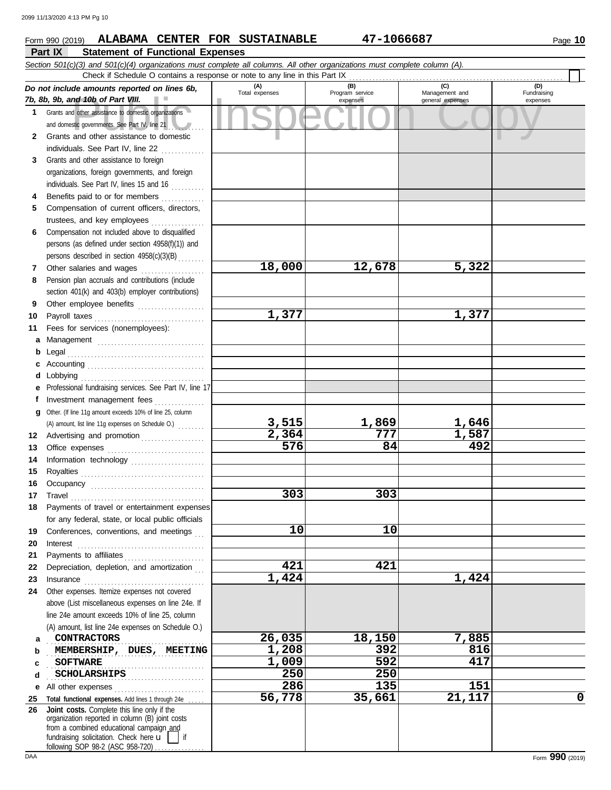#### nd 10b of Part VIII.<br>
dother assistance to domestic organizations<br>
and other assistance to domestic<br>
and other assistance to domestic **Part IX Statement of Functional Expenses Form 990 (2019) ALABAMA CENTER FOR SUSTAINABLE 47-1066687** Page 10 *Section 501(c)(3) and 501(c)(4) organizations must complete all columns. All other organizations must complete column (A). Do not include amounts reported on lines 6b, 7b, 8b, 9b, and 10b of Part VIII.* **1 2 3 4 5 6 7 8 9 10 11 a** Management ................................. **b** Legal . . . . . . . . . . . . . . . . . . . . . . . . . . . . . . . . . . . . . . . . . **c** Accounting . . . . . . . . . . . . . . . . . . . . . . . . . . . . . . . . . . . **d** Lobbying . . . . . . . . . . . . . . . . . . . . . . . . . . . . . . . . . . . . . **e** Professional fundraising services. See Part IV, line 17 **f g** Other. (If line 11g amount exceeds 10% of line 25, column **12** Advertising and promotion . . . . . . . . . . . . . . . . . . **13 14 15 16 17 18 19 20 21 22 23 24 a b c d e** All other expenses . . . . . . . . . . . . . . . . . . . . . . . . . . . Grants and other assistance to domestic organizations and domestic governments. See Part IV, line 21 Grants and other assistance to domestic individuals. See Part IV, line 22 .............. Grants and other assistance to foreign organizations, foreign governments, and foreign individuals. See Part IV, lines 15 and 16 Benefits paid to or for members ............. Compensation of current officers, directors, trustees, and key employees . . . . . . . . . . . . . . . . Compensation not included above to disqualified persons (as defined under section 4958(f)(1)) and persons described in section 4958(c)(3)(B) . . . . . . . . Other salaries and wages ................... Pension plan accruals and contributions (include section 401(k) and 403(b) employer contributions) Other employee benefits .................... Payroll taxes . . . . . . . . . . . . . . . . . . . . . . . . . . . . . . . . . Fees for services (nonemployees): Investment management fees ................ Office expenses ................................ Information technology ..................... Royalties . . . . . . . . . . . . . . . . . . . . . . . . . . . . . . . . . . . . . Occupancy . . . . . . . . . . . . . . . . . . . . . . . . . . . . . . . . . . Travel . . . . . . . . . . . . . . . . . . . . . . . . . . . . . . . . . . . . . . . . Payments of travel or entertainment expenses for any federal, state, or local public officials Conferences, conventions, and meetings Interest . . . . . . . . . . . . . . . . . . . . . . . . . . . . . . . . . . . . . . Payments to affiliates . . . . . . . . . . . . . . . . . . . . . . . . Depreciation, depletion, and amortization Insurance . . . . . . . . . . . . . . . . . . . . . . . . . . . . . . . . . . . . Other expenses. Itemize expenses not covered above (List miscellaneous expenses on line 24e. If line 24e amount exceeds 10% of line 25, column (A) amount, list line 24e expenses on Schedule O.) **(A) (B) (C) (D)** Management and expenses and general expenses (D)<br>Fundraising expenses . . . . . . . . . . . . . . . . . . . . . . . . . . . . . . . . . . . . . . . . . . . . . . . **CONTRACTORS 26,035 18,150 7,885** . . . . . . . . . . . . . . . . . . . . . . . . . . . . . . . . . . . . . . . . . . . . . . . **MEMBERSHIP, DUES, MEETING 1,208 392 816 SOFTWARE** . . . . . . . . . . . . . . . . . . . . . . . . . . . . . . . . . . . . . . . . . . . . . . . Check if Schedule O contains a response or note to any line in this Part IX (A) amount, list line 11g expenses on Schedule O.) ....... **18,000 12,678 5,322 1,377 1,377** <u>3,515 1,869 1,646</u><br>2,364 777 1,587 **2,364 777 1,587 576 84 492 303 303 10 10 421 421 1,424 1,424 SOFTWARE 1,009 592 417 SCHOLARSHIPS**<br> **250 250 250 250 250 250 250 250 286 135 151 56,778 35,661 21,117 0**

**25 Total functional expenses.** Add lines 1 through 24e . . . . . **26** fundraising solicitation. Check here  $\mathbf{u}$  | if organization reported in column (B) joint costs from a combined educational campaign and following SOP 98-2 (ASC 958-720) **Joint costs.** Complete this line only if the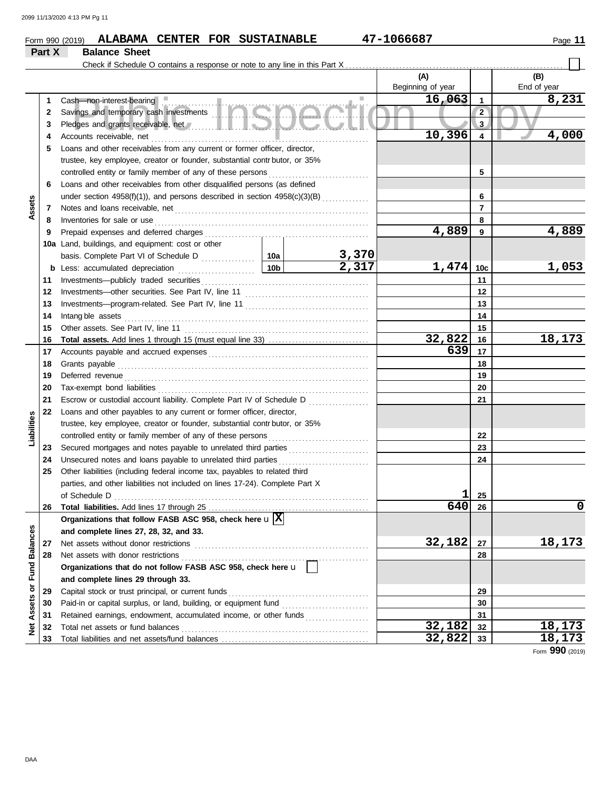## **Form 990 (2019) ALABAMA CENTER FOR SUSTAINABLE 47-1066687** Page 11 **Part X Balance Sheet**

|                         |    | Check if Schedule O contains a response or note to any line in this Part X                                                          |                 |                       |                          |                |                    |
|-------------------------|----|-------------------------------------------------------------------------------------------------------------------------------------|-----------------|-----------------------|--------------------------|----------------|--------------------|
|                         |    |                                                                                                                                     |                 |                       | (A)<br>Beginning of year |                | (B)<br>End of year |
|                         | 1  | Cash-non-interest-bearing                                                                                                           |                 |                       | 16,063                   | $\mathbf{1}$   | 8,231              |
|                         | 2  | Cash—non-interest-bearing<br>Savings and temporary cash investments                                                                 |                 |                       |                          | $\overline{2}$ |                    |
|                         | 3  | Pledges and grants receivable, net Manual Manual Manual Manual Manual Manual Manual Manual Manual Manual Manua                      |                 |                       | $\mathbf{3}$             |                |                    |
|                         | 4  | Accounts receivable, net                                                                                                            |                 | 10,396                | 4                        | 4,000          |                    |
|                         | 5  | Loans and other receivables from any current or former officer, director,                                                           |                 |                       |                          |                |                    |
|                         |    | trustee, key employee, creator or founder, substantial contr butor, or 35%                                                          |                 |                       |                          |                |                    |
|                         |    | controlled entity or family member of any of these persons                                                                          |                 | .                     |                          | 5              |                    |
|                         | 6  | Loans and other receivables from other disqualified persons (as defined                                                             |                 |                       |                          |                |                    |
|                         |    | under section 4958(f)(1)), and persons described in section 4958(c)(3)(B)                                                           |                 |                       | 6                        |                |                    |
| Assets                  | 7  |                                                                                                                                     |                 |                       |                          | 7              |                    |
|                         | 8  | Inventories for sale or use                                                                                                         |                 |                       |                          | 8              |                    |
|                         | 9  |                                                                                                                                     |                 |                       | 4,889                    | 9              | 4,889              |
|                         |    | 10a Land, buildings, and equipment: cost or other                                                                                   |                 |                       |                          |                |                    |
|                         |    |                                                                                                                                     |                 |                       |                          |                |                    |
|                         | b  | Less: accumulated depreciation                                                                                                      | 10 <sub>b</sub> | $\frac{3,370}{2,317}$ | 1,474                    | 10c            | <u>1,053</u>       |
|                         | 11 | Investments-publicly traded securities                                                                                              |                 |                       |                          | 11             |                    |
|                         | 12 |                                                                                                                                     |                 |                       | 12                       |                |                    |
|                         | 13 |                                                                                                                                     |                 |                       | 13                       |                |                    |
|                         | 14 | Intang ble assets                                                                                                                   |                 |                       | 14                       |                |                    |
|                         | 15 | Other assets. See Part IV, line 11                                                                                                  |                 |                       | 15                       |                |                    |
|                         | 16 |                                                                                                                                     |                 |                       | 32,822                   | 16             | 18,173             |
|                         | 17 |                                                                                                                                     |                 |                       | 639                      | 17             |                    |
|                         | 18 | Grants payable                                                                                                                      |                 |                       |                          | 18             |                    |
|                         | 19 | Deferred revenue                                                                                                                    |                 |                       | 19                       |                |                    |
|                         | 20 | Tax-exempt bond liabilities                                                                                                         |                 |                       | 20                       |                |                    |
|                         | 21 | Escrow or custodial account liability. Complete Part IV of Schedule D                                                               |                 |                       | 21                       |                |                    |
|                         | 22 | Loans and other payables to any current or former officer, director,                                                                |                 |                       |                          |                |                    |
| Liabilities             |    | trustee, key employee, creator or founder, substantial contr butor, or 35%                                                          |                 |                       |                          |                |                    |
|                         |    | controlled entity or family member of any of these persons                                                                          |                 |                       |                          | 22             |                    |
|                         | 23 | Secured mortgages and notes payable to unrelated third parties [111] Secured mortgages and notes payable to unrelated third parties |                 |                       |                          | 23             |                    |
|                         | 24 | Unsecured notes and loans payable to unrelated third parties                                                                        |                 |                       |                          | 24             |                    |
|                         | 25 | Other liabilities (including federal income tax, payables to related third                                                          |                 |                       |                          |                |                    |
|                         |    | parties, and other liabilities not included on lines 17-24). Complete Part X                                                        |                 |                       |                          |                |                    |
|                         |    |                                                                                                                                     |                 |                       |                          | 25             |                    |
|                         |    | 26 Total liabilities. Add lines 17 through 25                                                                                       |                 |                       | $\overline{640}$         | 26             | 0                  |
|                         |    | Organizations that follow FASB ASC 958, check here $\mathbf{u} \mathbf{X} $                                                         |                 |                       |                          |                |                    |
|                         |    | and complete lines 27, 28, 32, and 33.                                                                                              |                 |                       |                          |                |                    |
|                         | 27 | Net assets without donor restrictions                                                                                               |                 |                       | 32,182                   | 27             | <u>18,173</u>      |
|                         | 28 | Net assets with donor restrictions                                                                                                  |                 |                       |                          | 28             |                    |
|                         |    | Organizations that do not follow FASB ASC 958, check here u                                                                         |                 |                       |                          |                |                    |
|                         |    | and complete lines 29 through 33.                                                                                                   |                 |                       |                          |                |                    |
| Assets or Fund Balances | 29 | Capital stock or trust principal, or current funds                                                                                  |                 |                       |                          | 29             |                    |
|                         | 30 |                                                                                                                                     |                 |                       | 30                       |                |                    |
|                         | 31 | Retained earnings, endowment, accumulated income, or other funds                                                                    |                 |                       |                          | 31             |                    |
| ğ                       | 32 | Total net assets or fund balances                                                                                                   |                 |                       | 32,182                   | 32             | 18,173             |
|                         | 33 |                                                                                                                                     |                 |                       | 32,822                   | 33             | 18,173             |
|                         |    |                                                                                                                                     |                 |                       |                          |                | Form 990 (2019)    |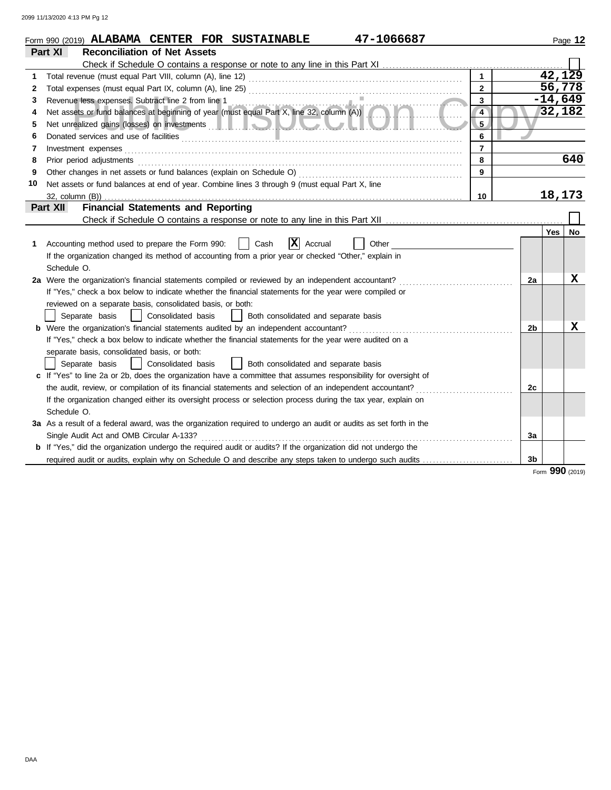|    | 47-1066687<br>Form 990 (2019) ALABAMA CENTER FOR SUSTAINABLE                                                                                                                                                                         |                |    |            | Page 12   |
|----|--------------------------------------------------------------------------------------------------------------------------------------------------------------------------------------------------------------------------------------|----------------|----|------------|-----------|
|    | <b>Reconciliation of Net Assets</b><br>Part XI                                                                                                                                                                                       |                |    |            |           |
|    |                                                                                                                                                                                                                                      |                |    |            |           |
| 1  |                                                                                                                                                                                                                                      |                |    |            | 42,129    |
| 2  |                                                                                                                                                                                                                                      | $\overline{2}$ |    |            | 56,778    |
| 3  |                                                                                                                                                                                                                                      | $\mathbf{3}$   |    |            | $-14,649$ |
| 4  | Revenue less expenses. Subtract line 2 from line 1<br>Net assets or fund balances at beginning of year (must equal Part X, line 32, column (A))                                                                                      | $\overline{4}$ |    |            | 32,182    |
| 5  | Net unrealized gains (losses) on investments <b>and the contract of the contract of the contract of the contract of the contract of the contract of the contract of the contract of the contract of the contract of the contract</b> | 5              |    |            |           |
| 6  |                                                                                                                                                                                                                                      | 6              |    |            |           |
| 7  | Investment expenses                                                                                                                                                                                                                  | $\overline{7}$ |    |            |           |
| 8  |                                                                                                                                                                                                                                      | 8              |    |            | 640       |
| 9  |                                                                                                                                                                                                                                      | 9              |    |            |           |
| 10 | Net assets or fund balances at end of year. Combine lines 3 through 9 (must equal Part X, line                                                                                                                                       |                |    |            |           |
|    |                                                                                                                                                                                                                                      | 10             |    |            | 18,173    |
|    | <b>Financial Statements and Reporting</b><br>Part XII                                                                                                                                                                                |                |    |            |           |
|    |                                                                                                                                                                                                                                      |                |    |            |           |
|    |                                                                                                                                                                                                                                      |                |    | <b>Yes</b> | No        |
| 1  | $ \mathbf{X} $ Accrual<br>Cash<br>Accounting method used to prepare the Form 990:<br>Other                                                                                                                                           |                |    |            |           |
|    | If the organization changed its method of accounting from a prior year or checked "Other," explain in                                                                                                                                |                |    |            |           |
|    | Schedule O.                                                                                                                                                                                                                          |                |    |            |           |
|    | 2a Were the organization's financial statements compiled or reviewed by an independent accountant?                                                                                                                                   |                | 2a |            | х         |
|    | If "Yes," check a box below to indicate whether the financial statements for the year were compiled or                                                                                                                               |                |    |            |           |
|    | reviewed on a separate basis, consolidated basis, or both:                                                                                                                                                                           |                |    |            |           |
|    | Separate basis<br>  Consolidated basis     Both consolidated and separate basis                                                                                                                                                      |                |    |            |           |
|    | <b>b</b> Were the organization's financial statements audited by an independent accountant?                                                                                                                                          |                | 2b |            | X         |
|    | If "Yes," check a box below to indicate whether the financial statements for the year were audited on a                                                                                                                              |                |    |            |           |
|    | separate basis, consolidated basis, or both:                                                                                                                                                                                         |                |    |            |           |
|    | Consolidated basis<br>Both consolidated and separate basis<br>Separate basis                                                                                                                                                         |                |    |            |           |
|    | c If "Yes" to line 2a or 2b, does the organization have a committee that assumes responsibility for oversight of                                                                                                                     |                |    |            |           |
|    | the audit, review, or compilation of its financial statements and selection of an independent accountant?                                                                                                                            |                | 2c |            |           |
|    | If the organization changed either its oversight process or selection process during the tax year, explain on                                                                                                                        |                |    |            |           |
|    | Schedule O.                                                                                                                                                                                                                          |                |    |            |           |
|    | 3a As a result of a federal award, was the organization required to undergo an audit or audits as set forth in the                                                                                                                   |                |    |            |           |
|    | Single Audit Act and OMB Circular A-133?                                                                                                                                                                                             |                | За |            |           |
|    | <b>b</b> If "Yes," did the organization undergo the required audit or audits? If the organization did not undergo the                                                                                                                |                |    |            |           |
|    | required audit or audits, explain why on Schedule O and describe any steps taken to undergo such audits                                                                                                                              |                | 3b |            |           |

Form **990** (2019)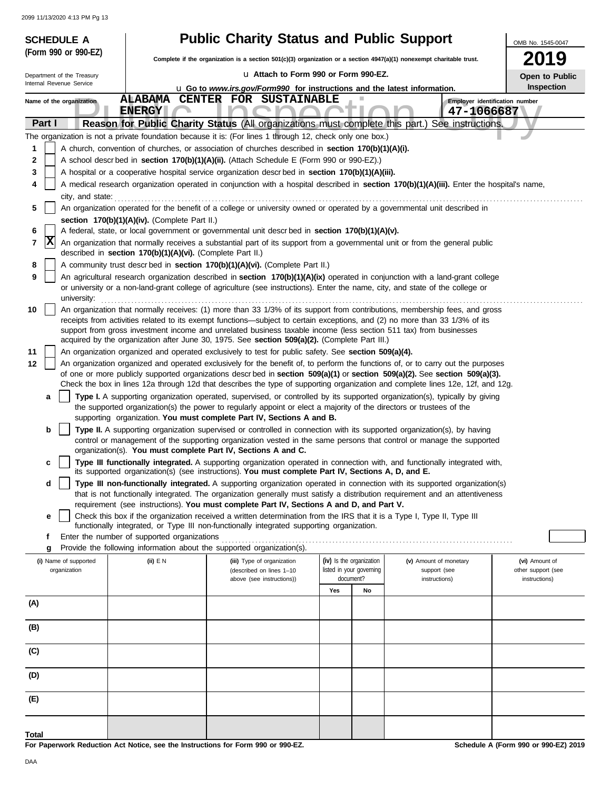| <b>SCHEDULE A</b>                     |                                                                                                                                            | <b>Public Charity Status and Public Support</b>                                                                                                                                                                      |                                                                                                                                     |                                                                                                                                                                                                                                                                 | OMB No. 1545-0047                    |  |  |  |  |  |
|---------------------------------------|--------------------------------------------------------------------------------------------------------------------------------------------|----------------------------------------------------------------------------------------------------------------------------------------------------------------------------------------------------------------------|-------------------------------------------------------------------------------------------------------------------------------------|-----------------------------------------------------------------------------------------------------------------------------------------------------------------------------------------------------------------------------------------------------------------|--------------------------------------|--|--|--|--|--|
| (Form 990 or 990-EZ)                  |                                                                                                                                            |                                                                                                                                                                                                                      | <b>2019</b><br>Complete if the organization is a section 501(c)(3) organization or a section 4947(a)(1) nonexempt charitable trust. |                                                                                                                                                                                                                                                                 |                                      |  |  |  |  |  |
| Department of the Treasury            |                                                                                                                                            | La Attach to Form 990 or Form 990-EZ.                                                                                                                                                                                | Open to Public                                                                                                                      |                                                                                                                                                                                                                                                                 |                                      |  |  |  |  |  |
| Internal Revenue Service              |                                                                                                                                            | <b>u</b> Go to www.irs.gov/Form990 for instructions and the latest information.                                                                                                                                      |                                                                                                                                     |                                                                                                                                                                                                                                                                 | Inspection                           |  |  |  |  |  |
| Name of the organization              |                                                                                                                                            | <b>ALABAMA CENTER FOR SUSTAINABLE</b>                                                                                                                                                                                |                                                                                                                                     |                                                                                                                                                                                                                                                                 | Employer identification number       |  |  |  |  |  |
|                                       | <b>ENERGY</b>                                                                                                                              |                                                                                                                                                                                                                      |                                                                                                                                     | 47-1066687                                                                                                                                                                                                                                                      |                                      |  |  |  |  |  |
| Part I                                |                                                                                                                                            | Reason for Public Charity Status (All organizations must complete this part.)                                                                                                                                        |                                                                                                                                     | See instructions.                                                                                                                                                                                                                                               |                                      |  |  |  |  |  |
| 1                                     |                                                                                                                                            | The organization is not a private foundation because it is: (For lines 1 through 12, check only one box.)<br>A church, convention of churches, or association of churches described in section 170(b)(1)(A)(i).      |                                                                                                                                     |                                                                                                                                                                                                                                                                 |                                      |  |  |  |  |  |
| 2                                     |                                                                                                                                            | A school descr bed in section 170(b)(1)(A)(ii). (Attach Schedule E (Form 990 or 990-EZ).)                                                                                                                            |                                                                                                                                     |                                                                                                                                                                                                                                                                 |                                      |  |  |  |  |  |
| 3                                     |                                                                                                                                            | A hospital or a cooperative hospital service organization descrbed in section 170(b)(1)(A)(iii).                                                                                                                     |                                                                                                                                     |                                                                                                                                                                                                                                                                 |                                      |  |  |  |  |  |
| 4                                     | A medical research organization operated in conjunction with a hospital described in section 170(b)(1)(A)(iii). Enter the hospital's name, |                                                                                                                                                                                                                      |                                                                                                                                     |                                                                                                                                                                                                                                                                 |                                      |  |  |  |  |  |
| city, and state:                      |                                                                                                                                            |                                                                                                                                                                                                                      |                                                                                                                                     |                                                                                                                                                                                                                                                                 |                                      |  |  |  |  |  |
| 5                                     | section 170(b)(1)(A)(iv). (Complete Part II.)                                                                                              |                                                                                                                                                                                                                      |                                                                                                                                     | An organization operated for the benefit of a college or university owned or operated by a governmental unit described in                                                                                                                                       |                                      |  |  |  |  |  |
| 6                                     |                                                                                                                                            | A federal, state, or local government or governmental unit descr bed in section 170(b)(1)(A)(v).                                                                                                                     |                                                                                                                                     |                                                                                                                                                                                                                                                                 |                                      |  |  |  |  |  |
| x<br>7                                | described in section 170(b)(1)(A)(vi). (Complete Part II.)                                                                                 |                                                                                                                                                                                                                      |                                                                                                                                     | An organization that normally receives a substantial part of its support from a governmental unit or from the general public                                                                                                                                    |                                      |  |  |  |  |  |
| 8                                     |                                                                                                                                            | A community trust described in section 170(b)(1)(A)(vi). (Complete Part II.)                                                                                                                                         |                                                                                                                                     |                                                                                                                                                                                                                                                                 |                                      |  |  |  |  |  |
| 9                                     |                                                                                                                                            |                                                                                                                                                                                                                      |                                                                                                                                     | An agricultural research organization described in section 170(b)(1)(A)(ix) operated in conjunction with a land-grant college<br>or university or a non-land-grant college of agriculture (see instructions). Enter the name, city, and state of the college or |                                      |  |  |  |  |  |
| university:                           |                                                                                                                                            |                                                                                                                                                                                                                      |                                                                                                                                     |                                                                                                                                                                                                                                                                 |                                      |  |  |  |  |  |
| 10                                    |                                                                                                                                            |                                                                                                                                                                                                                      |                                                                                                                                     | An organization that normally receives: (1) more than 33 1/3% of its support from contributions, membership fees, and gross<br>receipts from activities related to its exempt functions—subject to certain exceptions, and (2) no more than 33 1/3% of its      |                                      |  |  |  |  |  |
|                                       |                                                                                                                                            | support from gross investment income and unrelated business taxable income (less section 511 tax) from businesses                                                                                                    |                                                                                                                                     |                                                                                                                                                                                                                                                                 |                                      |  |  |  |  |  |
|                                       |                                                                                                                                            | acquired by the organization after June 30, 1975. See section 509(a)(2). (Complete Part III.)                                                                                                                        |                                                                                                                                     |                                                                                                                                                                                                                                                                 |                                      |  |  |  |  |  |
| 11<br>12                              |                                                                                                                                            | An organization organized and operated exclusively to test for public safety. See section 509(a)(4).                                                                                                                 |                                                                                                                                     | An organization organized and operated exclusively for the benefit of, to perform the functions of, or to carry out the purposes                                                                                                                                |                                      |  |  |  |  |  |
|                                       |                                                                                                                                            |                                                                                                                                                                                                                      |                                                                                                                                     | of one or more publicly supported organizations descrbed in section 509(a)(1) or section 509(a)(2). See section 509(a)(3).                                                                                                                                      |                                      |  |  |  |  |  |
|                                       |                                                                                                                                            |                                                                                                                                                                                                                      |                                                                                                                                     | Check the box in lines 12a through 12d that describes the type of supporting organization and complete lines 12e, 12f, and 12g.                                                                                                                                 |                                      |  |  |  |  |  |
| a                                     |                                                                                                                                            | the supported organization(s) the power to regularly appoint or elect a majority of the directors or trustees of the                                                                                                 |                                                                                                                                     | Type I. A supporting organization operated, supervised, or controlled by its supported organization(s), typically by giving                                                                                                                                     |                                      |  |  |  |  |  |
|                                       |                                                                                                                                            | supporting organization. You must complete Part IV, Sections A and B.                                                                                                                                                |                                                                                                                                     |                                                                                                                                                                                                                                                                 |                                      |  |  |  |  |  |
| b                                     |                                                                                                                                            |                                                                                                                                                                                                                      |                                                                                                                                     | Type II. A supporting organization supervised or controlled in connection with its supported organization(s), by having                                                                                                                                         |                                      |  |  |  |  |  |
|                                       |                                                                                                                                            | organization(s). You must complete Part IV, Sections A and C.                                                                                                                                                        |                                                                                                                                     | control or management of the supporting organization vested in the same persons that control or manage the supported                                                                                                                                            |                                      |  |  |  |  |  |
| c                                     |                                                                                                                                            |                                                                                                                                                                                                                      |                                                                                                                                     | Type III functionally integrated. A supporting organization operated in connection with, and functionally integrated with,                                                                                                                                      |                                      |  |  |  |  |  |
|                                       |                                                                                                                                            | its supported organization(s) (see instructions). You must complete Part IV, Sections A, D, and E.                                                                                                                   |                                                                                                                                     |                                                                                                                                                                                                                                                                 |                                      |  |  |  |  |  |
| d                                     |                                                                                                                                            |                                                                                                                                                                                                                      |                                                                                                                                     | Type III non-functionally integrated. A supporting organization operated in connection with its supported organization(s)<br>that is not functionally integrated. The organization generally must satisfy a distribution requirement and an attentiveness       |                                      |  |  |  |  |  |
|                                       |                                                                                                                                            | requirement (see instructions). You must complete Part IV, Sections A and D, and Part V.                                                                                                                             |                                                                                                                                     |                                                                                                                                                                                                                                                                 |                                      |  |  |  |  |  |
| е                                     |                                                                                                                                            | Check this box if the organization received a written determination from the IRS that it is a Type I, Type II, Type III<br>functionally integrated, or Type III non-functionally integrated supporting organization. |                                                                                                                                     |                                                                                                                                                                                                                                                                 |                                      |  |  |  |  |  |
| f                                     | Enter the number of supported organizations                                                                                                |                                                                                                                                                                                                                      |                                                                                                                                     |                                                                                                                                                                                                                                                                 |                                      |  |  |  |  |  |
| g                                     |                                                                                                                                            | Provide the following information about the supported organization(s).                                                                                                                                               |                                                                                                                                     |                                                                                                                                                                                                                                                                 |                                      |  |  |  |  |  |
| (i) Name of supported<br>organization | (ii) $E N$                                                                                                                                 | (iii) Type of organization<br>(described on lines 1-10                                                                                                                                                               | (iv) Is the organization<br>listed in your governing                                                                                | (v) Amount of monetary<br>support (see                                                                                                                                                                                                                          | (vi) Amount of<br>other support (see |  |  |  |  |  |
|                                       |                                                                                                                                            | above (see instructions))                                                                                                                                                                                            | document?                                                                                                                           | instructions)                                                                                                                                                                                                                                                   | instructions)                        |  |  |  |  |  |
|                                       |                                                                                                                                            |                                                                                                                                                                                                                      | Yes<br>No                                                                                                                           |                                                                                                                                                                                                                                                                 |                                      |  |  |  |  |  |
| (A)                                   |                                                                                                                                            |                                                                                                                                                                                                                      |                                                                                                                                     |                                                                                                                                                                                                                                                                 |                                      |  |  |  |  |  |
| (B)                                   |                                                                                                                                            |                                                                                                                                                                                                                      |                                                                                                                                     |                                                                                                                                                                                                                                                                 |                                      |  |  |  |  |  |
| (C)                                   |                                                                                                                                            |                                                                                                                                                                                                                      |                                                                                                                                     |                                                                                                                                                                                                                                                                 |                                      |  |  |  |  |  |
| (D)                                   |                                                                                                                                            |                                                                                                                                                                                                                      |                                                                                                                                     |                                                                                                                                                                                                                                                                 |                                      |  |  |  |  |  |
|                                       |                                                                                                                                            |                                                                                                                                                                                                                      |                                                                                                                                     |                                                                                                                                                                                                                                                                 |                                      |  |  |  |  |  |
| (E)                                   |                                                                                                                                            |                                                                                                                                                                                                                      |                                                                                                                                     |                                                                                                                                                                                                                                                                 |                                      |  |  |  |  |  |
|                                       |                                                                                                                                            |                                                                                                                                                                                                                      |                                                                                                                                     |                                                                                                                                                                                                                                                                 |                                      |  |  |  |  |  |
| Total                                 |                                                                                                                                            |                                                                                                                                                                                                                      |                                                                                                                                     |                                                                                                                                                                                                                                                                 |                                      |  |  |  |  |  |

**For Paperwork Reduction Act Notice, see the Instructions for Form 990 or 990-EZ.**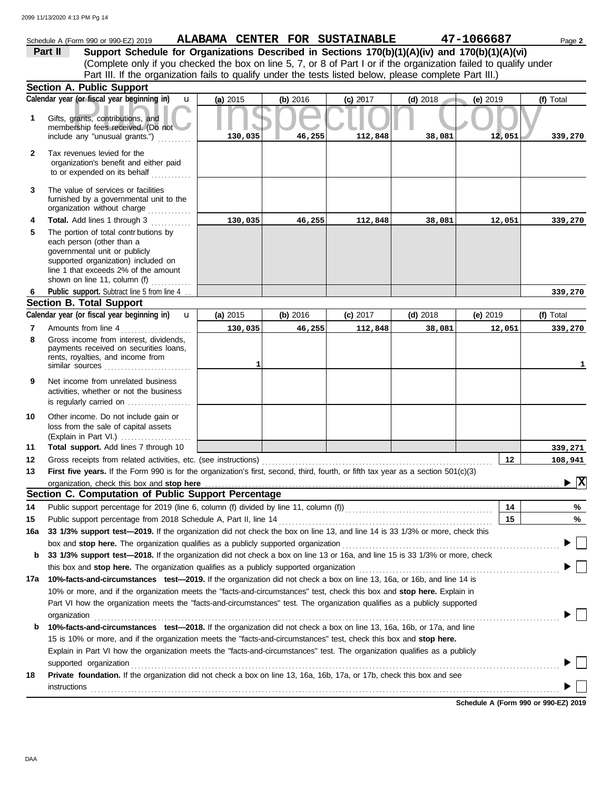|              | Schedule A (Form 990 or 990-EZ) 2019                                                                                                                                                                               |          |          | ALABAMA CENTER FOR SUSTAINABLE |            | 47-1066687 | Page 2                                      |
|--------------|--------------------------------------------------------------------------------------------------------------------------------------------------------------------------------------------------------------------|----------|----------|--------------------------------|------------|------------|---------------------------------------------|
|              | Support Schedule for Organizations Described in Sections 170(b)(1)(A)(iv) and 170(b)(1)(A)(vi)<br>Part II                                                                                                          |          |          |                                |            |            |                                             |
|              | (Complete only if you checked the box on line 5, 7, or 8 of Part I or if the organization failed to qualify under                                                                                                  |          |          |                                |            |            |                                             |
|              | Part III. If the organization fails to qualify under the tests listed below, please complete Part III.)                                                                                                            |          |          |                                |            |            |                                             |
|              | <b>Section A. Public Support</b>                                                                                                                                                                                   |          |          |                                |            |            |                                             |
|              | Calendar year (or fiscal year beginning in)<br>$\mathbf{u}$                                                                                                                                                        | (a) 2015 | (b) 2016 | $(c)$ 2017                     | $(d)$ 2018 | (e) 2019   | (f) Total                                   |
| 1            | Gifts, grants, contributions, and<br>membership fees received. (Do not                                                                                                                                             |          |          |                                |            |            |                                             |
|              | include any "unusual grants.")                                                                                                                                                                                     | 130,035  | 46,255   | 112,848                        | 38,081     | 12,051     | 339,270                                     |
| $\mathbf{2}$ | Tax revenues levied for the<br>organization's benefit and either paid<br>to or expended on its behalf                                                                                                              |          |          |                                |            |            |                                             |
| 3            | The value of services or facilities<br>furnished by a governmental unit to the<br>organization without charge                                                                                                      |          |          |                                |            |            |                                             |
| 4            | Total. Add lines 1 through 3                                                                                                                                                                                       | 130,035  | 46,255   | 112,848                        | 38,081     | 12,051     | 339,270                                     |
| 5            | The portion of total contr butions by<br>each person (other than a<br>governmental unit or publicly<br>supported organization) included on<br>line 1 that exceeds 2% of the amount<br>shown on line 11, column (f) |          |          |                                |            |            |                                             |
| 6            | Public support. Subtract line 5 from line 4                                                                                                                                                                        |          |          |                                |            |            | 339,270                                     |
|              | <b>Section B. Total Support</b>                                                                                                                                                                                    |          |          |                                |            |            |                                             |
|              | Calendar year (or fiscal year beginning in)<br>$\mathbf{u}$                                                                                                                                                        | (a) 2015 | (b) 2016 | $(c)$ 2017                     | $(d)$ 2018 | $(e)$ 2019 | (f) Total                                   |
| 7            | Amounts from line 4                                                                                                                                                                                                | 130,035  | 46,255   | 112,848                        | 38,081     | 12,051     | 339,270                                     |
| 8            | Gross income from interest, dividends,<br>payments received on securities loans,<br>rents, royalties, and income from<br>similar sources                                                                           | 1        |          |                                |            |            | 1                                           |
| 9            | Net income from unrelated business<br>activities, whether or not the business<br>is regularly carried on                                                                                                           |          |          |                                |            |            |                                             |
| 10           | Other income. Do not include gain or<br>loss from the sale of capital assets<br>(Explain in Part VI.)                                                                                                              |          |          |                                |            |            |                                             |
| 11           | Total support. Add lines 7 through 10                                                                                                                                                                              |          |          |                                |            |            | 339,271                                     |
| 12           | Gross receipts from related activities, etc. (see instructions)                                                                                                                                                    |          |          |                                |            | 12         | 108,941                                     |
| 13           | First five years. If the Form 990 is for the organization's first, second, third, fourth, or fifth tax year as a section 501(c)(3)                                                                                 |          |          |                                |            |            |                                             |
|              | organization, check this box and stop here                                                                                                                                                                         |          |          |                                |            |            | $\blacktriangleright \overline{\mathbf{X}}$ |
|              | Section C. Computation of Public Support Percentage                                                                                                                                                                |          |          |                                |            |            |                                             |
| 14           | Public support percentage for 2019 (line 6, column (f) divided by line 11, column (f)) [[[[[[[[[[[[[[[[[[[[[[                                                                                                      |          |          |                                |            | 14<br>15   | %                                           |
| 15           | Public support percentage from 2018 Schedule A, Part II, line 14<br>33 1/3% support test-2019. If the organization did not check the box on line 13, and line 14 is 33 1/3% or more, check this                    |          |          |                                |            |            | %                                           |
| 16a          | box and stop here. The organization qualifies as a publicly supported organization                                                                                                                                 |          |          |                                |            |            |                                             |
| b            | 33 1/3% support test-2018. If the organization did not check a box on line 13 or 16a, and line 15 is 33 1/3% or more, check                                                                                        |          |          |                                |            |            |                                             |
|              | this box and stop here. The organization qualifies as a publicly supported organization                                                                                                                            |          |          |                                |            |            |                                             |
| 17a          | 10%-facts-and-circumstances test-2019. If the organization did not check a box on line 13, 16a, or 16b, and line 14 is                                                                                             |          |          |                                |            |            |                                             |
|              | 10% or more, and if the organization meets the "facts-and-circumstances" test, check this box and stop here. Explain in                                                                                            |          |          |                                |            |            |                                             |
|              | Part VI how the organization meets the "facts-and-circumstances" test. The organization qualifies as a publicly supported                                                                                          |          |          |                                |            |            |                                             |
|              | organization                                                                                                                                                                                                       |          |          |                                |            |            |                                             |
| b            | 10%-facts-and-circumstances test-2018. If the organization did not check a box on line 13, 16a, 16b, or 17a, and line                                                                                              |          |          |                                |            |            |                                             |
|              | 15 is 10% or more, and if the organization meets the "facts-and-circumstances" test, check this box and stop here.                                                                                                 |          |          |                                |            |            |                                             |
|              | Explain in Part VI how the organization meets the "facts-and-circumstances" test. The organization qualifies as a publicly                                                                                         |          |          |                                |            |            |                                             |
|              | supported organization                                                                                                                                                                                             |          |          |                                |            |            |                                             |
| 18           | Private foundation. If the organization did not check a box on line 13, 16a, 16b, 17a, or 17b, check this box and see<br>instructions                                                                              |          |          |                                |            |            |                                             |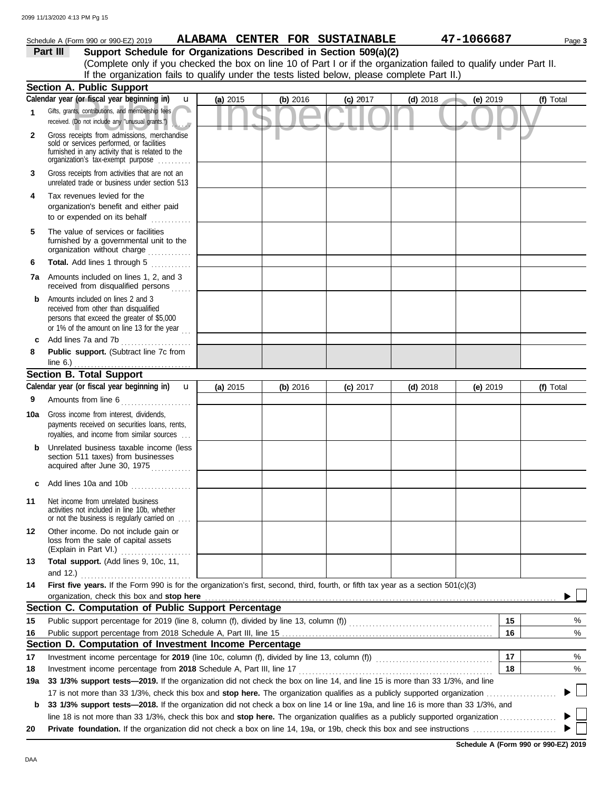|              | Schedule A (Form 990 or 990-EZ) 2019                                                                                                                                                                                                                                                                             |          |          | ALABAMA CENTER FOR SUSTAINABLE |            | 47-1066687 | Page 3    |
|--------------|------------------------------------------------------------------------------------------------------------------------------------------------------------------------------------------------------------------------------------------------------------------------------------------------------------------|----------|----------|--------------------------------|------------|------------|-----------|
|              | Support Schedule for Organizations Described in Section 509(a)(2)<br>Part III                                                                                                                                                                                                                                    |          |          |                                |            |            |           |
|              | (Complete only if you checked the box on line 10 of Part I or if the organization failed to qualify under Part II.                                                                                                                                                                                               |          |          |                                |            |            |           |
|              | If the organization fails to qualify under the tests listed below, please complete Part II.)                                                                                                                                                                                                                     |          |          |                                |            |            |           |
|              | <b>Section A. Public Support</b>                                                                                                                                                                                                                                                                                 |          |          |                                |            |            |           |
|              | Calendar year (or fiscal year beginning in)<br>$\mathbf{u}$                                                                                                                                                                                                                                                      | (a) 2015 | (b) 2016 | $(c)$ 2017                     | $(d)$ 2018 | (e) 2019   | (f) Total |
| 1            | Gifts, grants, contributions, and membership fees<br>received. (Do not include any "unusual grants.")                                                                                                                                                                                                            |          |          |                                |            |            |           |
| $\mathbf{2}$ | Gross receipts from admissions, merchandise<br>sold or services performed, or facilities<br>furnished in any activity that is related to the<br>organization's fax-exempt purpose                                                                                                                                |          |          |                                |            |            |           |
| 3            | Gross receipts from activities that are not an<br>unrelated trade or business under section 513                                                                                                                                                                                                                  |          |          |                                |            |            |           |
| 4            | Tax revenues levied for the<br>organization's benefit and either paid<br>to or expended on its behalf                                                                                                                                                                                                            |          |          |                                |            |            |           |
| 5            | The value of services or facilities<br>furnished by a governmental unit to the<br>organization without charge without in the search of the search of the search of the search of the search of the search of the search of the search of the search of the search of the search of the search of the search of t |          |          |                                |            |            |           |
| 6            | Total. Add lines 1 through 5                                                                                                                                                                                                                                                                                     |          |          |                                |            |            |           |
|              | <b>7a</b> Amounts included on lines 1, 2, and 3<br>received from disqualified persons                                                                                                                                                                                                                            |          |          |                                |            |            |           |
| b            | Amounts included on lines 2 and 3<br>received from other than disqualified<br>persons that exceed the greater of \$5,000<br>or 1% of the amount on line 13 for the year $\ldots$                                                                                                                                 |          |          |                                |            |            |           |
| c            | Add lines 7a and 7b                                                                                                                                                                                                                                                                                              |          |          |                                |            |            |           |
| 8            | Public support. (Subtract line 7c from<br>line $6.$ )                                                                                                                                                                                                                                                            |          |          |                                |            |            |           |
|              | <b>Section B. Total Support</b>                                                                                                                                                                                                                                                                                  |          |          |                                |            |            |           |
|              | Calendar year (or fiscal year beginning in)<br>$\mathbf{u}$                                                                                                                                                                                                                                                      | (a) 2015 | (b) 2016 | $(c)$ 2017                     | $(d)$ 2018 | $(e)$ 2019 | (f) Total |
| 9            | Amounts from line 6<br>.                                                                                                                                                                                                                                                                                         |          |          |                                |            |            |           |
| 10a          | Gross income from interest, dividends,<br>payments received on securities loans, rents,<br>royalties, and income from similar sources                                                                                                                                                                            |          |          |                                |            |            |           |
|              | Unrelated business taxable income (less<br>section 511 taxes) from businesses<br>acquired after June 30, 1975                                                                                                                                                                                                    |          |          |                                |            |            |           |
|              | Add lines 10a and 10b                                                                                                                                                                                                                                                                                            |          |          |                                |            |            |           |
| 11           | Net income from unrelated business<br>activities not included in line 10b, whether<br>or not the business is regularly carried on                                                                                                                                                                                |          |          |                                |            |            |           |
| 12           | Other income. Do not include gain or<br>loss from the sale of capital assets<br>(Explain in Part VI.)                                                                                                                                                                                                            |          |          |                                |            |            |           |
| 13           | Total support. (Add lines 9, 10c, 11,<br>and 12.)                                                                                                                                                                                                                                                                |          |          |                                |            |            |           |
| 14           | First five years. If the Form 990 is for the organization's first, second, third, fourth, or fifth tax year as a section 501(c)(3)                                                                                                                                                                               |          |          |                                |            |            |           |
|              | organization, check this box and stop here                                                                                                                                                                                                                                                                       |          |          |                                |            |            |           |
|              | Section C. Computation of Public Support Percentage                                                                                                                                                                                                                                                              |          |          |                                |            |            |           |
| 15           |                                                                                                                                                                                                                                                                                                                  |          |          |                                |            | 15         | %         |
| 16           |                                                                                                                                                                                                                                                                                                                  |          |          |                                |            | 16         | %         |
|              | Section D. Computation of Investment Income Percentage                                                                                                                                                                                                                                                           |          |          |                                |            |            |           |
| 17           | Investment income percentage for 2019 (line 10c, column (f), divided by line 13, column (f)) [[[[[[[[[[[[[[[[                                                                                                                                                                                                    |          |          |                                |            | 17         | %         |
| 18           | Investment income percentage from 2018 Schedule A, Part III, line 17                                                                                                                                                                                                                                             |          |          |                                |            | 18         | %         |
| 19a          | 33 1/3% support tests-2019. If the organization did not check the box on line 14, and line 15 is more than 33 1/3%, and line                                                                                                                                                                                     |          |          |                                |            |            |           |
|              |                                                                                                                                                                                                                                                                                                                  |          |          |                                |            |            |           |
| b            | 33 1/3% support tests-2018. If the organization did not check a box on line 14 or line 19a, and line 16 is more than 33 1/3%, and                                                                                                                                                                                |          |          |                                |            |            |           |
| 20           |                                                                                                                                                                                                                                                                                                                  |          |          |                                |            |            |           |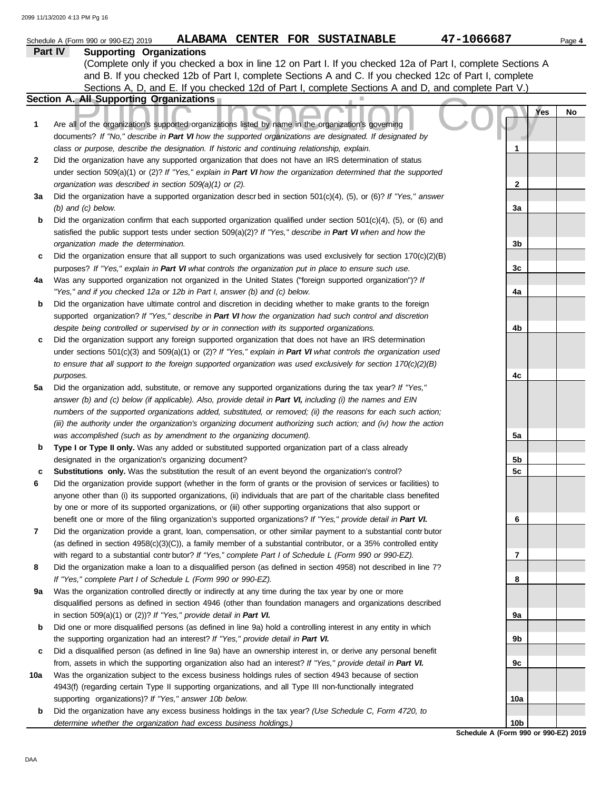|     | ALABAMA CENTER FOR SUSTAINABLE<br>Schedule A (Form 990 or 990-EZ) 2019                                                                                                                                                        | 47-1066687                           | Page 4 |
|-----|-------------------------------------------------------------------------------------------------------------------------------------------------------------------------------------------------------------------------------|--------------------------------------|--------|
|     | Part IV<br><b>Supporting Organizations</b>                                                                                                                                                                                    |                                      |        |
|     | (Complete only if you checked a box in line 12 on Part I. If you checked 12a of Part I, complete Sections A                                                                                                                   |                                      |        |
|     | and B. If you checked 12b of Part I, complete Sections A and C. If you checked 12c of Part I, complete                                                                                                                        |                                      |        |
|     | Sections A, D, and E. If you checked 12d of Part I, complete Sections A and D, and complete Part V.)                                                                                                                          |                                      |        |
|     | Section A. All Supporting Organizations                                                                                                                                                                                       |                                      |        |
| 1   | Are all of the organization's supported organizations listed by name in the organization's governing                                                                                                                          | Yes                                  | No     |
|     | documents? If "No," describe in Part VI how the supported organizations are designated. If designated by                                                                                                                      |                                      |        |
|     | class or purpose, describe the designation. If historic and continuing relationship, explain.                                                                                                                                 | 1                                    |        |
| 2   | Did the organization have any supported organization that does not have an IRS determination of status                                                                                                                        |                                      |        |
|     | under section 509(a)(1) or (2)? If "Yes," explain in Part VI how the organization determined that the supported                                                                                                               |                                      |        |
|     | organization was described in section 509(a)(1) or (2).                                                                                                                                                                       | $\mathbf{2}$                         |        |
| За  | Did the organization have a supported organization descrbed in section $501(c)(4)$ , (5), or (6)? If "Yes," answer<br>$(b)$ and $(c)$ below.                                                                                  | За                                   |        |
| b   | Did the organization confirm that each supported organization qualified under section $501(c)(4)$ , $(5)$ , or $(6)$ and                                                                                                      |                                      |        |
|     | satisfied the public support tests under section 509(a)(2)? If "Yes," describe in Part VI when and how the                                                                                                                    |                                      |        |
|     | organization made the determination.                                                                                                                                                                                          | 3b                                   |        |
| c   | Did the organization ensure that all support to such organizations was used exclusively for section $170(c)(2)(B)$                                                                                                            |                                      |        |
|     | purposes? If "Yes," explain in Part VI what controls the organization put in place to ensure such use.                                                                                                                        | 3c                                   |        |
| 4a  | Was any supported organization not organized in the United States ("foreign supported organization")? If                                                                                                                      |                                      |        |
|     | "Yes," and if you checked 12a or 12b in Part I, answer (b) and (c) below.                                                                                                                                                     | 4a                                   |        |
| b   | Did the organization have ultimate control and discretion in deciding whether to make grants to the foreign                                                                                                                   |                                      |        |
|     | supported organization? If "Yes," describe in Part VI how the organization had such control and discretion                                                                                                                    |                                      |        |
|     | despite being controlled or supervised by or in connection with its supported organizations.                                                                                                                                  | 4b                                   |        |
| c   | Did the organization support any foreign supported organization that does not have an IRS determination                                                                                                                       |                                      |        |
|     | under sections $501(c)(3)$ and $509(a)(1)$ or (2)? If "Yes," explain in Part VI what controls the organization used                                                                                                           |                                      |        |
|     | to ensure that all support to the foreign supported organization was used exclusively for section $170(c)(2)(B)$                                                                                                              |                                      |        |
|     | purposes.                                                                                                                                                                                                                     | 4c                                   |        |
| 5a  | Did the organization add, substitute, or remove any supported organizations during the tax year? If "Yes,"                                                                                                                    |                                      |        |
|     | answer (b) and (c) below (if applicable). Also, provide detail in Part VI, including (i) the names and EIN                                                                                                                    |                                      |        |
|     | numbers of the supported organizations added, substituted, or removed; (ii) the reasons for each such action;                                                                                                                 |                                      |        |
|     | (iii) the authority under the organization's organizing document authorizing such action; and (iv) how the action                                                                                                             |                                      |        |
|     | was accomplished (such as by amendment to the organizing document).                                                                                                                                                           | 5a                                   |        |
| b   | Type I or Type II only. Was any added or substituted supported organization part of a class already                                                                                                                           |                                      |        |
|     | designated in the organization's organizing document?                                                                                                                                                                         | 5b                                   |        |
| с   | Substitutions only. Was the substitution the result of an event beyond the organization's control?                                                                                                                            | 5c                                   |        |
| 6   | Did the organization provide support (whether in the form of grants or the provision of services or facilities) to                                                                                                            |                                      |        |
|     | anyone other than (i) its supported organizations, (ii) individuals that are part of the charitable class benefited                                                                                                           |                                      |        |
|     | by one or more of its supported organizations, or (iii) other supporting organizations that also support or                                                                                                                   |                                      |        |
|     | benefit one or more of the filing organization's supported organizations? If "Yes," provide detail in Part VI.                                                                                                                | 6                                    |        |
| 7   | Did the organization provide a grant, loan, compensation, or other similar payment to a substantial contributor                                                                                                               |                                      |        |
|     | (as defined in section $4958(c)(3)(C)$ ), a family member of a substantial contributor, or a 35% controlled entity<br>with regard to a substantial contr butor? If "Yes," complete Part I of Schedule L (Form 990 or 990-EZ). | 7                                    |        |
| 8   | Did the organization make a loan to a disqualified person (as defined in section 4958) not described in line 7?                                                                                                               |                                      |        |
|     | If "Yes," complete Part I of Schedule L (Form 990 or 990-EZ).                                                                                                                                                                 | 8                                    |        |
| 9а  | Was the organization controlled directly or indirectly at any time during the tax year by one or more                                                                                                                         |                                      |        |
|     | disqualified persons as defined in section 4946 (other than foundation managers and organizations described                                                                                                                   |                                      |        |
|     | in section $509(a)(1)$ or (2))? If "Yes," provide detail in Part VI.                                                                                                                                                          | 9а                                   |        |
| b   | Did one or more disqualified persons (as defined in line 9a) hold a controlling interest in any entity in which                                                                                                               |                                      |        |
|     | the supporting organization had an interest? If "Yes," provide detail in Part VI.                                                                                                                                             | 9b                                   |        |
| c   | Did a disqualified person (as defined in line 9a) have an ownership interest in, or derive any personal benefit                                                                                                               |                                      |        |
|     | from, assets in which the supporting organization also had an interest? If "Yes," provide detail in Part VI.                                                                                                                  | 9с                                   |        |
| 10a | Was the organization subject to the excess business holdings rules of section 4943 because of section                                                                                                                         |                                      |        |
|     | 4943(f) (regarding certain Type II supporting organizations, and all Type III non-functionally integrated                                                                                                                     |                                      |        |
|     | supporting organizations)? If "Yes," answer 10b below.                                                                                                                                                                        | 10a                                  |        |
| b   | Did the organization have any excess business holdings in the tax year? (Use Schedule C, Form 4720, to                                                                                                                        |                                      |        |
|     | determine whether the organization had excess business holdings.)                                                                                                                                                             | 10 <sub>b</sub>                      |        |
|     |                                                                                                                                                                                                                               | Schedule A (Form 990 or 990-EZ) 2019 |        |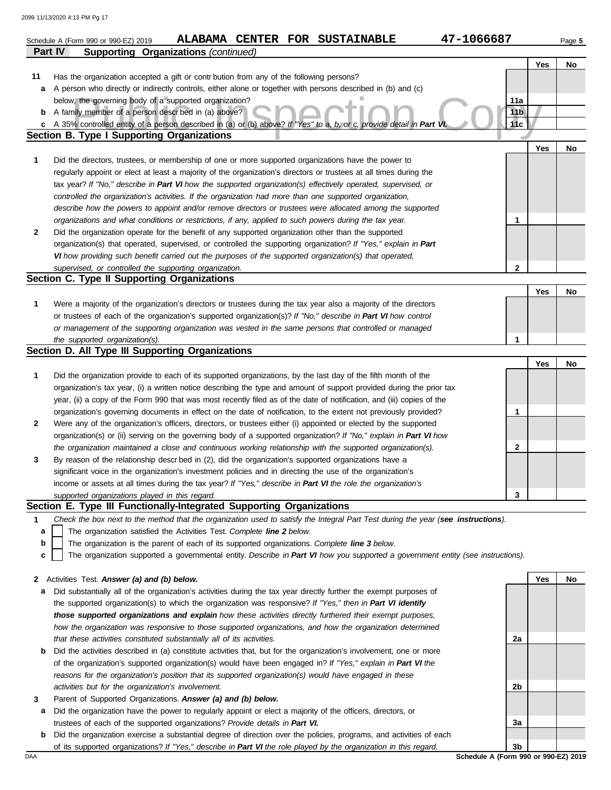|                                                               | 47-1066687<br>ALABAMA CENTER FOR SUSTAINABLE<br>Schedule A (Form 990 or 990-EZ) 2019                                                                                                                                                       |                 |            | Page 5 |  |  |  |
|---------------------------------------------------------------|--------------------------------------------------------------------------------------------------------------------------------------------------------------------------------------------------------------------------------------------|-----------------|------------|--------|--|--|--|
|                                                               | <b>Supporting Organizations (continued)</b><br><b>Part IV</b>                                                                                                                                                                              |                 |            |        |  |  |  |
|                                                               |                                                                                                                                                                                                                                            |                 | <b>Yes</b> | No     |  |  |  |
| 11                                                            | Has the organization accepted a gift or contribution from any of the following persons?                                                                                                                                                    |                 |            |        |  |  |  |
| а                                                             | A person who directly or indirectly controls, either alone or together with persons described in (b) and (c)                                                                                                                               |                 |            |        |  |  |  |
| below, the governing body of a supported organization?<br>11a |                                                                                                                                                                                                                                            |                 |            |        |  |  |  |
| b                                                             | A family member of a person described in (a) above?                                                                                                                                                                                        | 11 <sub>b</sub> |            |        |  |  |  |
| c                                                             | A 35% controlled entity of a person described in (a) or (b) above? If "Yes" to a, b, or c, provide detail in Part VI                                                                                                                       | 11c             |            |        |  |  |  |
|                                                               | <b>Section B. Type I Supporting Organizations</b>                                                                                                                                                                                          |                 |            |        |  |  |  |
|                                                               |                                                                                                                                                                                                                                            |                 | Yes        | No     |  |  |  |
| 1                                                             | Did the directors, trustees, or membership of one or more supported organizations have the power to                                                                                                                                        |                 |            |        |  |  |  |
|                                                               | regularly appoint or elect at least a majority of the organization's directors or trustees at all times during the                                                                                                                         |                 |            |        |  |  |  |
|                                                               | tax year? If "No," describe in Part VI how the supported organization(s) effectively operated, supervised, or                                                                                                                              |                 |            |        |  |  |  |
|                                                               | controlled the organization's activities. If the organization had more than one supported organization,                                                                                                                                    |                 |            |        |  |  |  |
|                                                               | describe how the powers to appoint and/or remove directors or trustees were allocated among the supported                                                                                                                                  |                 |            |        |  |  |  |
|                                                               | organizations and what conditions or restrictions, if any, applied to such powers during the tax year.                                                                                                                                     | 1               |            |        |  |  |  |
| $\mathbf{2}$                                                  | Did the organization operate for the benefit of any supported organization other than the supported                                                                                                                                        |                 |            |        |  |  |  |
|                                                               | organization(s) that operated, supervised, or controlled the supporting organization? If "Yes," explain in Part                                                                                                                            |                 |            |        |  |  |  |
|                                                               | VI how providing such benefit carried out the purposes of the supported organization(s) that operated,                                                                                                                                     |                 |            |        |  |  |  |
|                                                               | supervised, or controlled the supporting organization.                                                                                                                                                                                     | $\mathbf{2}$    |            |        |  |  |  |
|                                                               | Section C. Type II Supporting Organizations                                                                                                                                                                                                |                 |            |        |  |  |  |
|                                                               |                                                                                                                                                                                                                                            |                 | Yes        | No     |  |  |  |
| 1                                                             | Were a majority of the organization's directors or trustees during the tax year also a majority of the directors                                                                                                                           |                 |            |        |  |  |  |
|                                                               | or trustees of each of the organization's supported organization(s)? If "No," describe in Part VI how control                                                                                                                              |                 |            |        |  |  |  |
|                                                               | or management of the supporting organization was vested in the same persons that controlled or managed                                                                                                                                     |                 |            |        |  |  |  |
|                                                               | the supported organization(s).                                                                                                                                                                                                             | 1               |            |        |  |  |  |
|                                                               | Section D. All Type III Supporting Organizations                                                                                                                                                                                           |                 |            |        |  |  |  |
|                                                               |                                                                                                                                                                                                                                            |                 | Yes        | No     |  |  |  |
| 1                                                             | Did the organization provide to each of its supported organizations, by the last day of the fifth month of the                                                                                                                             |                 |            |        |  |  |  |
|                                                               | organization's tax year, (i) a written notice describing the type and amount of support provided during the prior tax                                                                                                                      |                 |            |        |  |  |  |
|                                                               | year, (ii) a copy of the Form 990 that was most recently filed as of the date of notification, and (iii) copies of the<br>organization's governing documents in effect on the date of notification, to the extent not previously provided? |                 |            |        |  |  |  |
| 2                                                             | Were any of the organization's officers, directors, or trustees either (i) appointed or elected by the supported                                                                                                                           | 1               |            |        |  |  |  |
|                                                               | organization(s) or (ii) serving on the governing body of a supported organization? If "No," explain in Part VI how                                                                                                                         |                 |            |        |  |  |  |
|                                                               | the organization maintained a close and continuous working relationship with the supported organization(s).                                                                                                                                | 2               |            |        |  |  |  |
|                                                               | By reason of the relationship descr bed in (2), did the organization's supported organizations have a                                                                                                                                      |                 |            |        |  |  |  |
| 3                                                             | significant voice in the organization's investment policies and in directing the use of the organization's                                                                                                                                 |                 |            |        |  |  |  |
|                                                               | income or assets at all times during the tax year? If "Yes," describe in Part VI the role the organization's                                                                                                                               |                 |            |        |  |  |  |
|                                                               | supported organizations played in this regard.                                                                                                                                                                                             | 3               |            |        |  |  |  |
|                                                               | Section E. Type III Functionally-Integrated Supporting Organizations                                                                                                                                                                       |                 |            |        |  |  |  |
| 1                                                             | Check the box next to the method that the organization used to satisfy the Integral Part Test during the year (see instructions).                                                                                                          |                 |            |        |  |  |  |
| а                                                             | The organization satisfied the Activities Test. Complete line 2 below.                                                                                                                                                                     |                 |            |        |  |  |  |
| b                                                             | The organization is the parent of each of its supported organizations. Complete line 3 below.                                                                                                                                              |                 |            |        |  |  |  |
| c                                                             | The organization supported a governmental entity. Describe in Part VI how you supported a government entity (see instructions).                                                                                                            |                 |            |        |  |  |  |
|                                                               |                                                                                                                                                                                                                                            |                 |            |        |  |  |  |
| $\mathbf{2}$                                                  | Activities Test. Answer (a) and (b) below.                                                                                                                                                                                                 |                 | Yes        | No     |  |  |  |
| а                                                             | Did substantially all of the organization's activities during the tax year directly further the exempt purposes of                                                                                                                         |                 |            |        |  |  |  |
|                                                               | the supported organization(s) to which the organization was responsive? If "Yes," then in Part VI identify                                                                                                                                 |                 |            |        |  |  |  |
|                                                               | those supported organizations and explain how these activities directly furthered their exempt purposes,                                                                                                                                   |                 |            |        |  |  |  |
|                                                               | how the organization was responsive to those supported organizations, and how the organization determined                                                                                                                                  |                 |            |        |  |  |  |
|                                                               | that these activities constituted substantially all of its activities.                                                                                                                                                                     | 2a              |            |        |  |  |  |
| b                                                             | Did the activities described in (a) constitute activities that, but for the organization's involvement, one or more                                                                                                                        |                 |            |        |  |  |  |
|                                                               | of the organization's supported organization(s) would have been engaged in? If "Yes," explain in Part VI the                                                                                                                               |                 |            |        |  |  |  |
|                                                               | reasons for the organization's position that its supported organization(s) would have engaged in these                                                                                                                                     |                 |            |        |  |  |  |
|                                                               | activities but for the organization's involvement.                                                                                                                                                                                         | 2b              |            |        |  |  |  |
| 3                                                             | Parent of Supported Organizations. Answer (a) and (b) below.                                                                                                                                                                               |                 |            |        |  |  |  |

- **a** Did the organization have the power to regularly appoint or elect a majority of the officers, directors, or trustees of each of the supported organizations? *Provide details in Part VI.*
- **b** Did the organization exercise a substantial degree of direction over the policies, programs, and activities of each of its supported organizations? *If "Yes," describe in Part VI the role played by the organization in this regard.*

DAA **Schedule A (Form 990 or 990-EZ) 2019 3b**

**3a**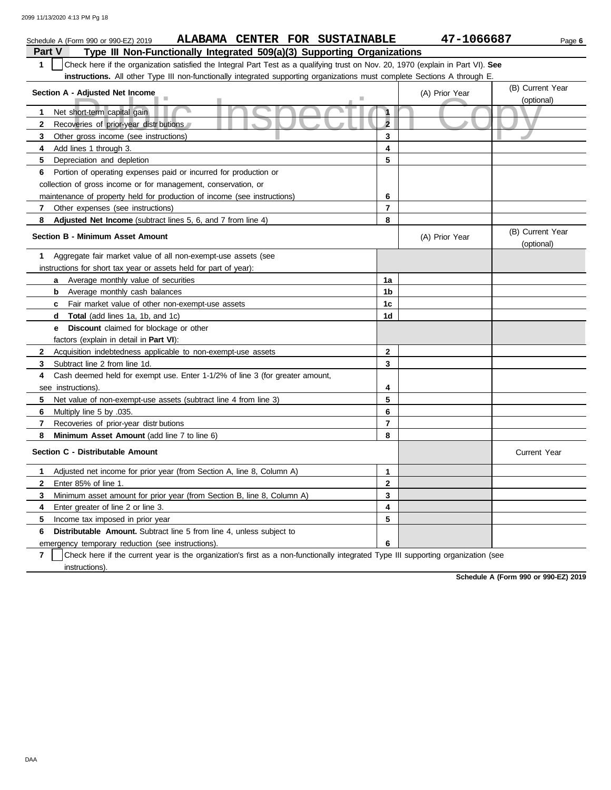| ALABAMA CENTER FOR SUSTAINABLE<br>Schedule A (Form 990 or 990-EZ) 2019                                                                           |                                | 47-1066687     | Page 6                         |
|--------------------------------------------------------------------------------------------------------------------------------------------------|--------------------------------|----------------|--------------------------------|
| Type III Non-Functionally Integrated 509(a)(3) Supporting Organizations<br><b>Part V</b>                                                         |                                |                |                                |
| $\mathbf{1}$<br>Check here if the organization satisfied the Integral Part Test as a qualifying trust on Nov. 20, 1970 (explain in Part VI). See |                                |                |                                |
| instructions. All other Type III non-functionally integrated supporting organizations must complete Sections A through E.                        |                                |                |                                |
| Section A - Adjusted Net Income                                                                                                                  | (B) Current Year<br>(optional) |                |                                |
|                                                                                                                                                  | $\mathbf{1}$                   |                |                                |
| Net short-term capital gain<br>1.                                                                                                                | $\overline{2}$                 |                |                                |
| Recoveries of prior-year distributions<br>$\mathbf{2}$                                                                                           | 3                              |                |                                |
| 3<br>Other gross income (see instructions)                                                                                                       |                                |                |                                |
| Add lines 1 through 3.<br>4                                                                                                                      | 4<br>5                         |                |                                |
| 5<br>Depreciation and depletion                                                                                                                  |                                |                |                                |
| Portion of operating expenses paid or incurred for production or<br>6                                                                            |                                |                |                                |
| collection of gross income or for management, conservation, or                                                                                   |                                |                |                                |
| maintenance of property held for production of income (see instructions)                                                                         | 6                              |                |                                |
| Other expenses (see instructions)<br>7                                                                                                           | $\overline{7}$                 |                |                                |
| 8<br><b>Adjusted Net Income</b> (subtract lines 5, 6, and 7 from line 4)                                                                         | 8                              |                |                                |
| <b>Section B - Minimum Asset Amount</b>                                                                                                          |                                | (A) Prior Year | (B) Current Year<br>(optional) |
| Aggregate fair market value of all non-exempt-use assets (see<br>1                                                                               |                                |                |                                |
| instructions for short tax year or assets held for part of year):                                                                                |                                |                |                                |
| Average monthly value of securities<br>a                                                                                                         | 1a                             |                |                                |
| <b>b</b> Average monthly cash balances                                                                                                           | 1 <sub>b</sub>                 |                |                                |
| c Fair market value of other non-exempt-use assets                                                                                               | 1 <sub>c</sub>                 |                |                                |
| <b>Total</b> (add lines 1a, 1b, and 1c)<br>d                                                                                                     | 1d                             |                |                                |
| <b>Discount</b> claimed for blockage or other<br>e –                                                                                             |                                |                |                                |
| factors (explain in detail in <b>Part VI)</b> :                                                                                                  |                                |                |                                |
| $\mathbf{2}$<br>Acquisition indebtedness applicable to non-exempt-use assets                                                                     | $\mathbf{2}$                   |                |                                |
| Subtract line 2 from line 1d.<br>3                                                                                                               | 3                              |                |                                |
| Cash deemed held for exempt use. Enter 1-1/2% of line 3 (for greater amount,<br>4                                                                |                                |                |                                |
| see instructions).                                                                                                                               | 4                              |                |                                |
| 5<br>Net value of non-exempt-use assets (subtract line 4 from line 3)                                                                            | 5                              |                |                                |
| 6<br>Multiply line 5 by .035.                                                                                                                    | 6                              |                |                                |
| 7<br>Recoveries of prior-year distrbutions                                                                                                       | $\overline{7}$                 |                |                                |
| 8<br>Minimum Asset Amount (add line 7 to line 6)                                                                                                 | 8                              |                |                                |
| Section C - Distributable Amount                                                                                                                 |                                |                | <b>Current Year</b>            |
| 1<br>Adjusted net income for prior year (from Section A, line 8, Column A)                                                                       | $\mathbf{1}$                   |                |                                |
| $\mathbf{2}$<br>Enter 85% of line 1.                                                                                                             | $\mathbf{2}$                   |                |                                |
| 3<br>Minimum asset amount for prior year (from Section B, line 8, Column A)                                                                      | 3                              |                |                                |
| 4<br>Enter greater of line 2 or line 3.                                                                                                          | 4                              |                |                                |
| 5<br>Income tax imposed in prior year                                                                                                            | 5                              |                |                                |
| 6<br><b>Distributable Amount.</b> Subtract line 5 from line 4, unless subject to                                                                 |                                |                |                                |
|                                                                                                                                                  | 6                              |                |                                |
| emergency temporary reduction (see instructions).                                                                                                |                                |                |                                |

**7** | Check here if the current year is the organization's first as a non-functionally integrated Type III supporting organization (see instructions).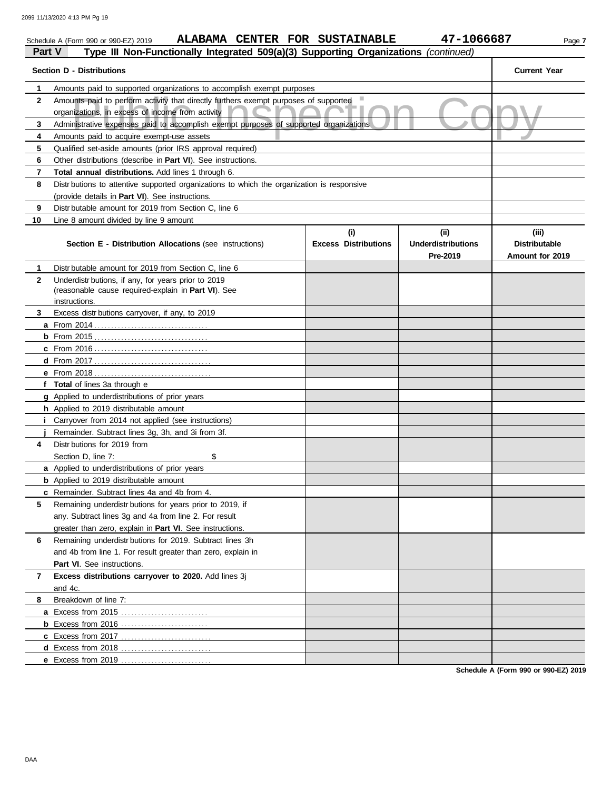|              | ALABAMA CENTER FOR SUSTAINABLE<br>Schedule A (Form 990 or 990-EZ) 2019                                                                   |                                    | 47-1066687                                    | Page 7                                           |
|--------------|------------------------------------------------------------------------------------------------------------------------------------------|------------------------------------|-----------------------------------------------|--------------------------------------------------|
| Part V       | Type III Non-Functionally Integrated 509(a)(3) Supporting Organizations (continued)                                                      |                                    |                                               |                                                  |
|              | <b>Section D - Distributions</b>                                                                                                         |                                    |                                               | <b>Current Year</b>                              |
| 1            | Amounts paid to supported organizations to accomplish exempt purposes                                                                    |                                    |                                               |                                                  |
| $\mathbf{2}$ | Amounts paid to perform activity that directly furthers exempt purposes of supported<br>organizations, in excess of income from activity |                                    |                                               |                                                  |
| 3            | Administrative expenses paid to accomplish exempt purposes of supported organizations                                                    |                                    |                                               |                                                  |
| 4            | Amounts paid to acquire exempt-use assets                                                                                                |                                    |                                               |                                                  |
| 5            | Qualified set-aside amounts (prior IRS approval required)                                                                                |                                    |                                               |                                                  |
| 6            | Other distributions (describe in Part VI). See instructions.                                                                             |                                    |                                               |                                                  |
| 7            | Total annual distributions. Add lines 1 through 6.                                                                                       |                                    |                                               |                                                  |
| 8            | Distr butions to attentive supported organizations to which the organization is responsive                                               |                                    |                                               |                                                  |
|              | (provide details in Part VI). See instructions.                                                                                          |                                    |                                               |                                                  |
| 9            | Distr butable amount for 2019 from Section C, line 6                                                                                     |                                    |                                               |                                                  |
| 10           | Line 8 amount divided by line 9 amount                                                                                                   |                                    |                                               |                                                  |
|              | <b>Section E - Distribution Allocations</b> (see instructions)                                                                           | (i)<br><b>Excess Distributions</b> | (ii)<br><b>Underdistributions</b><br>Pre-2019 | (iii)<br><b>Distributable</b><br>Amount for 2019 |
| 1            | Distr butable amount for 2019 from Section C, line 6                                                                                     |                                    |                                               |                                                  |
| $\mathbf{2}$ | Underdistr butions, if any, for years prior to 2019<br>(reasonable cause required-explain in Part VI). See                               |                                    |                                               |                                                  |
|              | instructions.                                                                                                                            |                                    |                                               |                                                  |
| 3            | Excess distributions carryover, if any, to 2019                                                                                          |                                    |                                               |                                                  |
|              |                                                                                                                                          |                                    |                                               |                                                  |
|              |                                                                                                                                          |                                    |                                               |                                                  |
|              |                                                                                                                                          |                                    |                                               |                                                  |
|              |                                                                                                                                          |                                    |                                               |                                                  |
|              |                                                                                                                                          |                                    |                                               |                                                  |
|              | f Total of lines 3a through e                                                                                                            |                                    |                                               |                                                  |
|              | g Applied to underdistributions of prior years                                                                                           |                                    |                                               |                                                  |
|              | h Applied to 2019 distributable amount                                                                                                   |                                    |                                               |                                                  |
|              | <i>i</i> Carryover from 2014 not applied (see instructions)                                                                              |                                    |                                               |                                                  |
|              | Remainder. Subtract lines 3q, 3h, and 3i from 3f.                                                                                        |                                    |                                               |                                                  |
| 4            | Distr butions for 2019 from                                                                                                              |                                    |                                               |                                                  |
|              | Section D, line 7:<br>\$                                                                                                                 |                                    |                                               |                                                  |
|              | a Applied to underdistributions of prior years                                                                                           |                                    |                                               |                                                  |
|              | <b>b</b> Applied to 2019 distributable amount                                                                                            |                                    |                                               |                                                  |
| 5            | c Remainder. Subtract lines 4a and 4b from 4.<br>Remaining underdistr butions for years prior to 2019, if                                |                                    |                                               |                                                  |
|              | any. Subtract lines 3g and 4a from line 2. For result                                                                                    |                                    |                                               |                                                  |
|              | greater than zero, explain in Part VI. See instructions.                                                                                 |                                    |                                               |                                                  |
|              |                                                                                                                                          |                                    |                                               |                                                  |
| 6            | Remaining underdistr butions for 2019. Subtract lines 3h                                                                                 |                                    |                                               |                                                  |
|              | and 4b from line 1. For result greater than zero, explain in                                                                             |                                    |                                               |                                                  |
|              | Part VI. See instructions.                                                                                                               |                                    |                                               |                                                  |
| 7            | Excess distributions carryover to 2020. Add lines 3j                                                                                     |                                    |                                               |                                                  |
|              | and 4c.                                                                                                                                  |                                    |                                               |                                                  |
| 8            | Breakdown of line 7:                                                                                                                     |                                    |                                               |                                                  |
|              |                                                                                                                                          |                                    |                                               |                                                  |
|              |                                                                                                                                          |                                    |                                               |                                                  |
|              |                                                                                                                                          |                                    |                                               |                                                  |
|              |                                                                                                                                          |                                    |                                               |                                                  |
|              | e Excess from 2019                                                                                                                       |                                    |                                               |                                                  |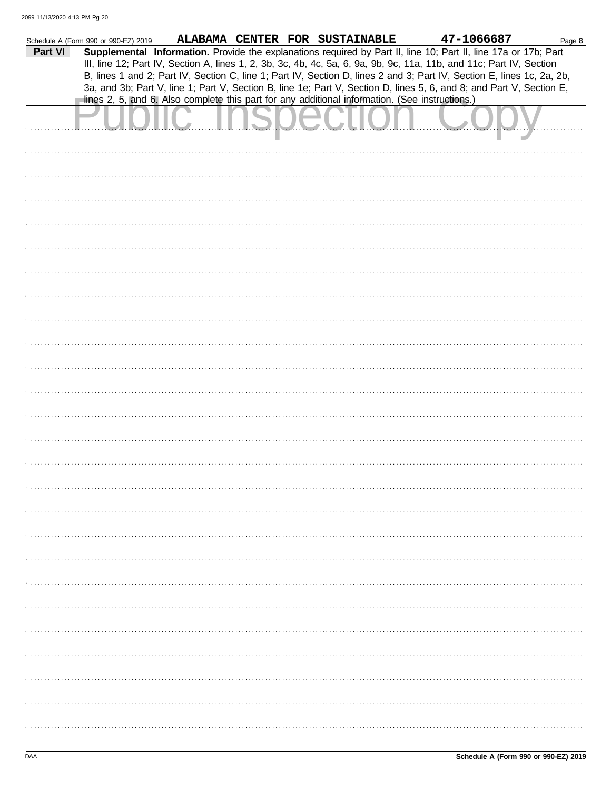|         | Schedule A (Form 990 or 990-EZ) 2019 |                                                                                                |  | ALABAMA CENTER FOR SUSTAINABLE | 47-1066687                                                                                                             | Page 8 |
|---------|--------------------------------------|------------------------------------------------------------------------------------------------|--|--------------------------------|------------------------------------------------------------------------------------------------------------------------|--------|
| Part VI |                                      |                                                                                                |  |                                | Supplemental Information. Provide the explanations required by Part II, line 10; Part II, line 17a or 17b; Part        |        |
|         |                                      |                                                                                                |  |                                | III, line 12; Part IV, Section A, lines 1, 2, 3b, 3c, 4b, 4c, 5a, 6, 9a, 9b, 9c, 11a, 11b, and 11c; Part IV, Section   |        |
|         |                                      |                                                                                                |  |                                |                                                                                                                        |        |
|         |                                      |                                                                                                |  |                                | B, lines 1 and 2; Part IV, Section C, line 1; Part IV, Section D, lines 2 and 3; Part IV, Section E, lines 1c, 2a, 2b, |        |
|         |                                      |                                                                                                |  |                                | 3a, and 3b; Part V, line 1; Part V, Section B, line 1e; Part V, Section D, lines 5, 6, and 8; and Part V, Section E,   |        |
|         |                                      | lines 2, 5, and 6. Also complete this part for any additional information. (See instructions.) |  |                                |                                                                                                                        |        |
|         |                                      |                                                                                                |  |                                |                                                                                                                        |        |
|         |                                      |                                                                                                |  |                                |                                                                                                                        |        |
|         |                                      |                                                                                                |  | <u>San American State</u>      |                                                                                                                        |        |
|         |                                      |                                                                                                |  |                                |                                                                                                                        |        |
|         |                                      |                                                                                                |  |                                |                                                                                                                        |        |
|         |                                      |                                                                                                |  |                                |                                                                                                                        |        |
|         |                                      |                                                                                                |  |                                |                                                                                                                        |        |
|         |                                      |                                                                                                |  |                                |                                                                                                                        |        |
|         |                                      |                                                                                                |  |                                |                                                                                                                        |        |
|         |                                      |                                                                                                |  |                                |                                                                                                                        |        |
|         |                                      |                                                                                                |  |                                |                                                                                                                        |        |
|         |                                      |                                                                                                |  |                                |                                                                                                                        |        |
|         |                                      |                                                                                                |  |                                |                                                                                                                        |        |
|         |                                      |                                                                                                |  |                                |                                                                                                                        |        |
|         |                                      |                                                                                                |  |                                |                                                                                                                        |        |
|         |                                      |                                                                                                |  |                                |                                                                                                                        |        |
|         |                                      |                                                                                                |  |                                |                                                                                                                        |        |
|         |                                      |                                                                                                |  |                                |                                                                                                                        |        |
|         |                                      |                                                                                                |  |                                |                                                                                                                        |        |
|         |                                      |                                                                                                |  |                                |                                                                                                                        |        |
|         |                                      |                                                                                                |  |                                |                                                                                                                        |        |
|         |                                      |                                                                                                |  |                                |                                                                                                                        |        |
|         |                                      |                                                                                                |  |                                |                                                                                                                        |        |
|         |                                      |                                                                                                |  |                                |                                                                                                                        |        |
|         |                                      |                                                                                                |  |                                |                                                                                                                        |        |
|         |                                      |                                                                                                |  |                                |                                                                                                                        |        |
|         |                                      |                                                                                                |  |                                |                                                                                                                        |        |
|         |                                      |                                                                                                |  |                                |                                                                                                                        |        |
|         |                                      |                                                                                                |  |                                |                                                                                                                        |        |
|         |                                      |                                                                                                |  |                                |                                                                                                                        |        |
|         |                                      |                                                                                                |  |                                |                                                                                                                        |        |
|         |                                      |                                                                                                |  |                                |                                                                                                                        |        |
|         |                                      |                                                                                                |  |                                |                                                                                                                        |        |
|         |                                      |                                                                                                |  |                                |                                                                                                                        |        |
|         |                                      |                                                                                                |  |                                |                                                                                                                        |        |
|         |                                      |                                                                                                |  |                                |                                                                                                                        |        |
|         |                                      |                                                                                                |  |                                |                                                                                                                        |        |
|         |                                      |                                                                                                |  |                                |                                                                                                                        |        |
|         |                                      |                                                                                                |  |                                |                                                                                                                        |        |
|         |                                      |                                                                                                |  |                                |                                                                                                                        |        |
|         |                                      |                                                                                                |  |                                |                                                                                                                        |        |
|         |                                      |                                                                                                |  |                                |                                                                                                                        |        |
|         |                                      |                                                                                                |  |                                |                                                                                                                        |        |
|         |                                      |                                                                                                |  |                                |                                                                                                                        |        |
|         |                                      |                                                                                                |  |                                |                                                                                                                        |        |
|         |                                      |                                                                                                |  |                                |                                                                                                                        |        |
|         |                                      |                                                                                                |  |                                |                                                                                                                        |        |
|         |                                      |                                                                                                |  |                                |                                                                                                                        |        |
|         |                                      |                                                                                                |  |                                |                                                                                                                        |        |
|         |                                      |                                                                                                |  |                                |                                                                                                                        |        |
|         |                                      |                                                                                                |  |                                |                                                                                                                        |        |
|         |                                      |                                                                                                |  |                                |                                                                                                                        |        |
|         |                                      |                                                                                                |  |                                |                                                                                                                        |        |
|         |                                      |                                                                                                |  |                                |                                                                                                                        |        |
|         |                                      |                                                                                                |  |                                |                                                                                                                        |        |
|         |                                      |                                                                                                |  |                                |                                                                                                                        |        |
|         |                                      |                                                                                                |  |                                |                                                                                                                        |        |
|         |                                      |                                                                                                |  |                                |                                                                                                                        |        |
|         |                                      |                                                                                                |  |                                |                                                                                                                        |        |
|         |                                      |                                                                                                |  |                                |                                                                                                                        |        |
|         |                                      |                                                                                                |  |                                |                                                                                                                        |        |
|         |                                      |                                                                                                |  |                                |                                                                                                                        |        |
|         |                                      |                                                                                                |  |                                |                                                                                                                        |        |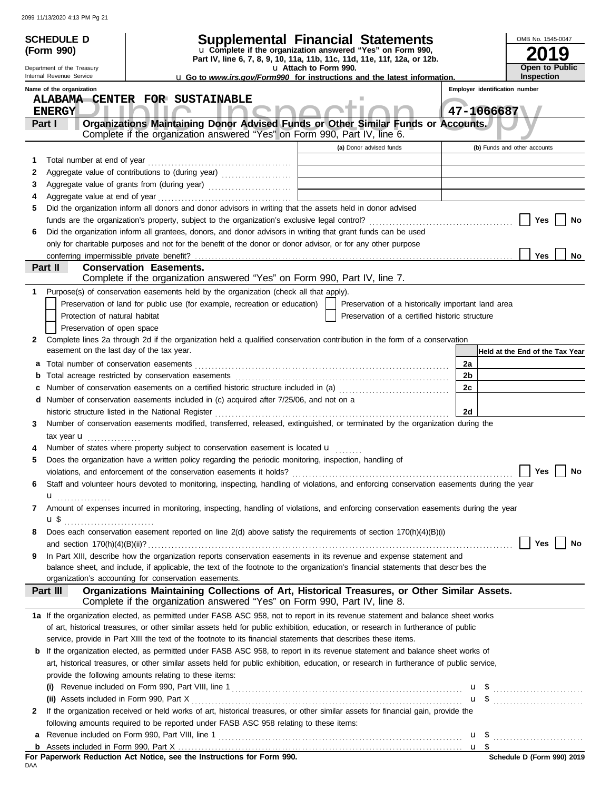|                                                            | <b>SCHEDULE D</b>                         |                                                                                                                                                                                                                                |  |                       |                                                                                        |                       |                                |                              | OMB No. 1545-0047 |                                                                                                                              |
|------------------------------------------------------------|-------------------------------------------|--------------------------------------------------------------------------------------------------------------------------------------------------------------------------------------------------------------------------------|--|-----------------------|----------------------------------------------------------------------------------------|-----------------------|--------------------------------|------------------------------|-------------------|------------------------------------------------------------------------------------------------------------------------------|
|                                                            | (Form 990)                                | Supplemental Financial Statements<br>u Complete if the organization answered "Yes" on Form 990,<br>Part IV, line 6, 7, 8, 9, 10, 11a, 11b, 11c, 11d, 11e, 11f, 12a, or 12b.                                                    |  |                       |                                                                                        |                       |                                |                              |                   | 9                                                                                                                            |
|                                                            | Department of the Treasury                |                                                                                                                                                                                                                                |  | u Attach to Form 990. |                                                                                        | <b>Open to Public</b> |                                |                              |                   |                                                                                                                              |
|                                                            | Internal Revenue Service                  |                                                                                                                                                                                                                                |  |                       | <b>u</b> Go to <i>www.irs.gov/Form990</i> for instructions and the latest information. |                       | Employer identification number |                              | <b>Inspection</b> |                                                                                                                              |
| Name of the organization<br>ALABAMA CENTER FOR SUSTAINABLE |                                           |                                                                                                                                                                                                                                |  |                       |                                                                                        |                       |                                |                              |                   |                                                                                                                              |
|                                                            | <b>ENERGY</b>                             |                                                                                                                                                                                                                                |  |                       |                                                                                        |                       | 47-1066687                     |                              |                   |                                                                                                                              |
|                                                            | Part I                                    | Organizations Maintaining Donor Advised Funds or Other Similar Funds or Accounts.                                                                                                                                              |  |                       |                                                                                        |                       |                                |                              |                   |                                                                                                                              |
|                                                            |                                           | Complete if the organization answered "Yes" on Form 990, Part IV, line 6.                                                                                                                                                      |  |                       | (a) Donor advised funds                                                                |                       |                                | (b) Funds and other accounts |                   |                                                                                                                              |
| 1                                                          |                                           |                                                                                                                                                                                                                                |  |                       |                                                                                        |                       |                                |                              |                   |                                                                                                                              |
| 2                                                          |                                           |                                                                                                                                                                                                                                |  |                       |                                                                                        |                       |                                |                              |                   |                                                                                                                              |
| 3                                                          |                                           | Aggregate value of grants from (during year) Mathematical Land Mathematical Contract of the Mathematical Contract Dental Mathematical Contract Dental Mathematical Contract Dental Mathematical Contract Dental Mathematical C |  |                       |                                                                                        |                       |                                |                              |                   |                                                                                                                              |
| 4                                                          | Aggregate value at end of year            |                                                                                                                                                                                                                                |  |                       |                                                                                        |                       |                                |                              |                   |                                                                                                                              |
| 5                                                          |                                           | Did the organization inform all donors and donor advisors in writing that the assets held in donor advised                                                                                                                     |  |                       |                                                                                        |                       |                                |                              |                   |                                                                                                                              |
|                                                            |                                           |                                                                                                                                                                                                                                |  |                       |                                                                                        |                       |                                |                              | Yes               | No                                                                                                                           |
| 6                                                          |                                           | Did the organization inform all grantees, donors, and donor advisors in writing that grant funds can be used                                                                                                                   |  |                       |                                                                                        |                       |                                |                              |                   |                                                                                                                              |
|                                                            |                                           | only for charitable purposes and not for the benefit of the donor or donor advisor, or for any other purpose                                                                                                                   |  |                       |                                                                                        |                       |                                |                              |                   |                                                                                                                              |
|                                                            | Part II                                   | <b>Conservation Easements.</b>                                                                                                                                                                                                 |  |                       |                                                                                        |                       |                                |                              | Yes               | No                                                                                                                           |
|                                                            |                                           | Complete if the organization answered "Yes" on Form 990, Part IV, line 7.                                                                                                                                                      |  |                       |                                                                                        |                       |                                |                              |                   |                                                                                                                              |
|                                                            |                                           | Purpose(s) of conservation easements held by the organization (check all that apply).                                                                                                                                          |  |                       |                                                                                        |                       |                                |                              |                   |                                                                                                                              |
|                                                            |                                           | Preservation of land for public use (for example, recreation or education)                                                                                                                                                     |  |                       | Preservation of a historically important land area                                     |                       |                                |                              |                   |                                                                                                                              |
|                                                            | Protection of natural habitat             |                                                                                                                                                                                                                                |  |                       | Preservation of a certified historic structure                                         |                       |                                |                              |                   |                                                                                                                              |
|                                                            | Preservation of open space                |                                                                                                                                                                                                                                |  |                       |                                                                                        |                       |                                |                              |                   |                                                                                                                              |
| 2                                                          | easement on the last day of the tax year. | Complete lines 2a through 2d if the organization held a qualified conservation contribution in the form of a conservation                                                                                                      |  |                       |                                                                                        |                       |                                |                              |                   | Held at the End of the Tax Year                                                                                              |
| а                                                          | Total number of conservation easements    |                                                                                                                                                                                                                                |  |                       |                                                                                        |                       | 2a                             |                              |                   |                                                                                                                              |
|                                                            |                                           |                                                                                                                                                                                                                                |  |                       |                                                                                        |                       | 2b                             |                              |                   |                                                                                                                              |
|                                                            |                                           | Number of conservation easements on a certified historic structure included in (a) [[[[[ [ [ ]]]                                                                                                                               |  |                       |                                                                                        |                       | 2c                             |                              |                   |                                                                                                                              |
| d                                                          |                                           | Number of conservation easements included in (c) acquired after 7/25/06, and not on a                                                                                                                                          |  |                       |                                                                                        |                       |                                |                              |                   |                                                                                                                              |
|                                                            |                                           | historic structure listed in the National Register                                                                                                                                                                             |  |                       |                                                                                        |                       | 2d                             |                              |                   |                                                                                                                              |
| 3                                                          |                                           | Number of conservation easements modified, transferred, released, extinguished, or terminated by the organization during the                                                                                                   |  |                       |                                                                                        |                       |                                |                              |                   |                                                                                                                              |
|                                                            | tax year <b>u</b>                         | Number of states where property subject to conservation easement is located u                                                                                                                                                  |  |                       |                                                                                        |                       |                                |                              |                   |                                                                                                                              |
|                                                            |                                           | Does the organization have a written policy regarding the periodic monitoring, inspection, handling of                                                                                                                         |  |                       |                                                                                        |                       |                                |                              |                   |                                                                                                                              |
|                                                            |                                           |                                                                                                                                                                                                                                |  |                       |                                                                                        |                       |                                |                              |                   | $\left  \begin{array}{ c c c } \hline \end{array} \right $ Yes $\left  \begin{array}{ c c c } \hline \end{array} \right $ No |
| 6                                                          |                                           | Staff and volunteer hours devoted to monitoring, inspecting, handling of violations, and enforcing conservation easements during the year                                                                                      |  |                       |                                                                                        |                       |                                |                              |                   |                                                                                                                              |
|                                                            | u <sub></sub> .                           |                                                                                                                                                                                                                                |  |                       |                                                                                        |                       |                                |                              |                   |                                                                                                                              |
| 7                                                          |                                           | Amount of expenses incurred in monitoring, inspecting, handling of violations, and enforcing conservation easements during the year                                                                                            |  |                       |                                                                                        |                       |                                |                              |                   |                                                                                                                              |
|                                                            | <b>u</b> \$                               |                                                                                                                                                                                                                                |  |                       |                                                                                        |                       |                                |                              |                   |                                                                                                                              |
| 8                                                          |                                           | Does each conservation easement reported on line 2(d) above satisfy the requirements of section 170(h)(4)(B)(i)                                                                                                                |  |                       |                                                                                        |                       |                                |                              |                   |                                                                                                                              |
|                                                            |                                           |                                                                                                                                                                                                                                |  |                       |                                                                                        |                       |                                |                              | Yes               | No                                                                                                                           |
| 9                                                          |                                           | In Part XIII, describe how the organization reports conservation easements in its revenue and expense statement and                                                                                                            |  |                       |                                                                                        |                       |                                |                              |                   |                                                                                                                              |
|                                                            |                                           | balance sheet, and include, if applicable, the text of the footnote to the organization's financial statements that descrbes the<br>organization's accounting for conservation easements.                                      |  |                       |                                                                                        |                       |                                |                              |                   |                                                                                                                              |
|                                                            | Part III                                  | Organizations Maintaining Collections of Art, Historical Treasures, or Other Similar Assets.<br>Complete if the organization answered "Yes" on Form 990, Part IV, line 8.                                                      |  |                       |                                                                                        |                       |                                |                              |                   |                                                                                                                              |
|                                                            |                                           | 1a If the organization elected, as permitted under FASB ASC 958, not to report in its revenue statement and balance sheet works                                                                                                |  |                       |                                                                                        |                       |                                |                              |                   |                                                                                                                              |
|                                                            |                                           | of art, historical treasures, or other similar assets held for public exhibition, education, or research in furtherance of public                                                                                              |  |                       |                                                                                        |                       |                                |                              |                   |                                                                                                                              |
|                                                            |                                           | service, provide in Part XIII the text of the footnote to its financial statements that describes these items.                                                                                                                 |  |                       |                                                                                        |                       |                                |                              |                   |                                                                                                                              |
| b                                                          |                                           | If the organization elected, as permitted under FASB ASC 958, to report in its revenue statement and balance sheet works of                                                                                                    |  |                       |                                                                                        |                       |                                |                              |                   |                                                                                                                              |
|                                                            |                                           | art, historical treasures, or other similar assets held for public exhibition, education, or research in furtherance of public service,                                                                                        |  |                       |                                                                                        |                       |                                |                              |                   |                                                                                                                              |
|                                                            |                                           | provide the following amounts relating to these items:                                                                                                                                                                         |  |                       |                                                                                        |                       |                                |                              |                   |                                                                                                                              |
|                                                            |                                           |                                                                                                                                                                                                                                |  |                       |                                                                                        |                       |                                |                              |                   | $\mathbf{u}$ \$                                                                                                              |
|                                                            | (ii) Assets included in Form 990, Part X  |                                                                                                                                                                                                                                |  |                       |                                                                                        |                       |                                |                              |                   |                                                                                                                              |
| 2                                                          |                                           | If the organization received or held works of art, historical treasures, or other similar assets for financial gain, provide the                                                                                               |  |                       |                                                                                        |                       |                                |                              |                   |                                                                                                                              |
|                                                            |                                           | following amounts required to be reported under FASB ASC 958 relating to these items:                                                                                                                                          |  |                       |                                                                                        |                       |                                |                              |                   |                                                                                                                              |
| а                                                          |                                           |                                                                                                                                                                                                                                |  |                       |                                                                                        |                       |                                |                              |                   |                                                                                                                              |
|                                                            |                                           |                                                                                                                                                                                                                                |  |                       |                                                                                        |                       |                                |                              |                   |                                                                                                                              |

**For Paperwork Reduction Act Notice, see the Instructions for Form 990.**<br><sub>DAA</sub>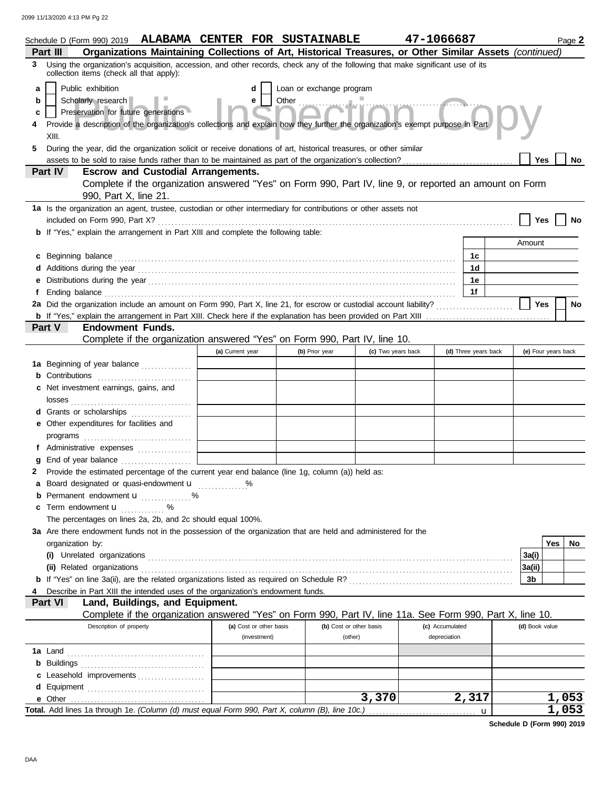| Schedule D (Form 990) 2019 ALABAMA CENTER FOR SUSTAINABLE<br>Organizations Maintaining Collections of Art, Historical Treasures, or Other Similar Assets (continued)<br>Part III                                                         |                         |                          |                         | 47-1066687      |                      |                | Page 2              |
|------------------------------------------------------------------------------------------------------------------------------------------------------------------------------------------------------------------------------------------|-------------------------|--------------------------|-------------------------|-----------------|----------------------|----------------|---------------------|
| 3 Using the organization's acquisition, accession, and other records, check any of the following that make significant use of its                                                                                                        |                         |                          |                         |                 |                      |                |                     |
| collection items (check all that apply):                                                                                                                                                                                                 |                         |                          |                         |                 |                      |                |                     |
| Public exhibition<br>a                                                                                                                                                                                                                   | d                       | Loan or exchange program |                         |                 |                      |                |                     |
| Scholarly research<br>b                                                                                                                                                                                                                  | e                       | Other martinn Col        |                         |                 |                      |                |                     |
| Preservation for future generations<br>c                                                                                                                                                                                                 |                         |                          |                         |                 |                      |                |                     |
| Provide a description of the organization's collections and explain how they further the organization's exempt purpose in Part                                                                                                           |                         |                          |                         |                 |                      |                |                     |
| XIII.                                                                                                                                                                                                                                    |                         |                          |                         |                 |                      |                |                     |
| During the year, did the organization solicit or receive donations of art, historical treasures, or other similar<br>5                                                                                                                   |                         |                          |                         |                 |                      |                |                     |
| Part IV                                                                                                                                                                                                                                  |                         |                          |                         |                 |                      | <b>Yes</b>     | No                  |
| <b>Escrow and Custodial Arrangements.</b><br>Complete if the organization answered "Yes" on Form 990, Part IV, line 9, or reported an amount on Form                                                                                     |                         |                          |                         |                 |                      |                |                     |
| 990, Part X, line 21.                                                                                                                                                                                                                    |                         |                          |                         |                 |                      |                |                     |
| 1a Is the organization an agent, trustee, custodian or other intermediary for contributions or other assets not                                                                                                                          |                         |                          |                         |                 |                      |                |                     |
|                                                                                                                                                                                                                                          |                         |                          |                         |                 |                      | Yes            |                     |
| b If "Yes," explain the arrangement in Part XIII and complete the following table:                                                                                                                                                       |                         |                          |                         |                 |                      |                |                     |
|                                                                                                                                                                                                                                          |                         |                          |                         |                 |                      | Amount         |                     |
| c Beginning balance <b>contract to the contract of the set of the contract of the contract of the contract of the contract of the contract of the contract of the contract of the contract of the contract of the contract of th</b>     |                         |                          |                         |                 | 1c                   |                |                     |
| Additions during the year contains and an account of the year contained and account of the year contains and a                                                                                                                           |                         |                          |                         |                 | 1d                   |                |                     |
| е                                                                                                                                                                                                                                        |                         |                          |                         |                 | 1е                   |                |                     |
| Ending balance <i>communication</i> and the contract of the contract of the contract of the contract of the contract of the contract of the contract of the contract of the contract of the contract of the contract of the contrac<br>f |                         |                          |                         |                 | 1f                   |                |                     |
| 2a Did the organization include an amount on Form 990, Part X, line 21, for escrow or custodial account liability?                                                                                                                       |                         |                          |                         |                 |                      | Yes            | <b>No</b>           |
|                                                                                                                                                                                                                                          |                         |                          |                         |                 |                      |                |                     |
| Part V<br><b>Endowment Funds.</b>                                                                                                                                                                                                        |                         |                          |                         |                 |                      |                |                     |
| Complete if the organization answered "Yes" on Form 990, Part IV, line 10.                                                                                                                                                               |                         |                          |                         |                 |                      |                |                     |
|                                                                                                                                                                                                                                          | (a) Current year        | (b) Prior year           | (c) Two years back      |                 | (d) Three years back |                | (e) Four years back |
| 1a Beginning of year balance                                                                                                                                                                                                             |                         |                          |                         |                 |                      |                |                     |
| <b>b</b> Contributions <b>contributions</b>                                                                                                                                                                                              |                         |                          |                         |                 |                      |                |                     |
| c Net investment earnings, gains, and                                                                                                                                                                                                    |                         |                          |                         |                 |                      |                |                     |
|                                                                                                                                                                                                                                          |                         |                          |                         |                 |                      |                |                     |
| d Grants or scholarships                                                                                                                                                                                                                 |                         |                          |                         |                 |                      |                |                     |
| e Other expenditures for facilities and                                                                                                                                                                                                  |                         |                          |                         |                 |                      |                |                     |
|                                                                                                                                                                                                                                          |                         |                          |                         |                 |                      |                |                     |
| f Administrative expenses                                                                                                                                                                                                                |                         |                          |                         |                 |                      |                |                     |
| a<br>Provide the estimated percentage of the current year end balance (line 1g, column (a)) held as:                                                                                                                                     |                         |                          |                         |                 |                      |                |                     |
| 2<br>a Board designated or quasi-endowment u                                                                                                                                                                                             |                         |                          |                         |                 |                      |                |                     |
| <b>b</b> Permanent endowment $\mathbf{u}$ %                                                                                                                                                                                              |                         |                          |                         |                 |                      |                |                     |
| c Term endowment <b>u</b>                                                                                                                                                                                                                |                         |                          |                         |                 |                      |                |                     |
| The percentages on lines 2a, 2b, and 2c should equal 100%.                                                                                                                                                                               |                         |                          |                         |                 |                      |                |                     |
| 3a Are there endowment funds not in the possession of the organization that are held and administered for the                                                                                                                            |                         |                          |                         |                 |                      |                |                     |
| organization by:                                                                                                                                                                                                                         |                         |                          |                         |                 |                      |                | Yes<br>No.          |
|                                                                                                                                                                                                                                          |                         |                          |                         |                 |                      | 3a(i)          |                     |
|                                                                                                                                                                                                                                          |                         |                          |                         |                 |                      | 3a(ii)         |                     |
|                                                                                                                                                                                                                                          |                         |                          |                         |                 |                      | 3b             |                     |
| Describe in Part XIII the intended uses of the organization's endowment funds.                                                                                                                                                           |                         |                          |                         |                 |                      |                |                     |
| Part VI<br>Land, Buildings, and Equipment.                                                                                                                                                                                               |                         |                          |                         |                 |                      |                |                     |
| Complete if the organization answered "Yes" on Form 990, Part IV, line 11a. See Form 990, Part X, line 10.                                                                                                                               |                         |                          |                         |                 |                      |                |                     |
| Description of property                                                                                                                                                                                                                  | (a) Cost or other basis |                          | (b) Cost or other basis | (c) Accumulated |                      | (d) Book value |                     |
|                                                                                                                                                                                                                                          | (investment)            |                          | (other)                 | depreciation    |                      |                |                     |
|                                                                                                                                                                                                                                          |                         |                          |                         |                 |                      |                |                     |
|                                                                                                                                                                                                                                          |                         |                          |                         |                 |                      |                |                     |
| c Leasehold improvements                                                                                                                                                                                                                 |                         |                          |                         |                 |                      |                |                     |
|                                                                                                                                                                                                                                          |                         |                          |                         |                 |                      |                |                     |
| e Other                                                                                                                                                                                                                                  |                         |                          | 3,370                   |                 | 2,317                |                | 1,053               |
|                                                                                                                                                                                                                                          |                         |                          |                         |                 | u                    |                | 1,053               |

**Schedule D (Form 990) 2019**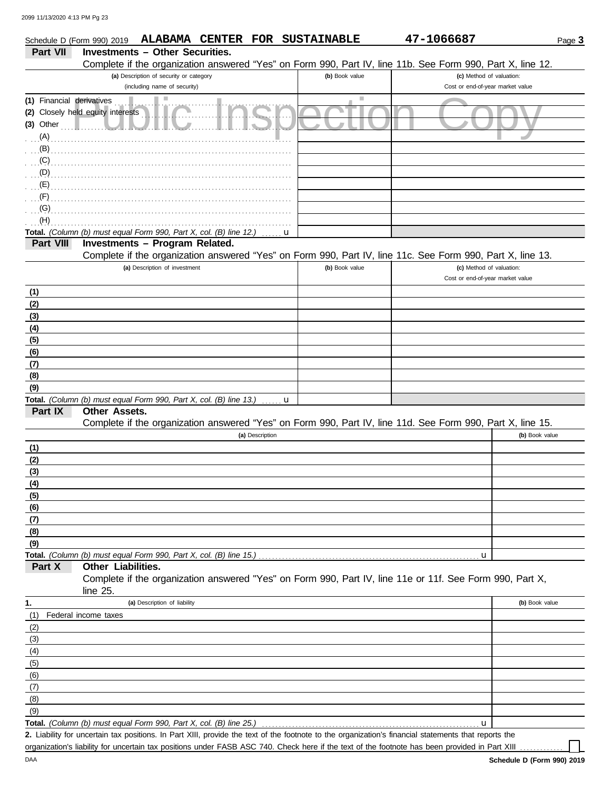| Schedule D (Form 990) 2019 |                                                                                                                                                                                                                                   |                                         |                 |   | ALABAMA CENTER FOR SUSTAINABLE | 47-1066687                                                                                                 | Page 3         |
|----------------------------|-----------------------------------------------------------------------------------------------------------------------------------------------------------------------------------------------------------------------------------|-----------------------------------------|-----------------|---|--------------------------------|------------------------------------------------------------------------------------------------------------|----------------|
| Part VII                   | <b>Investments - Other Securities.</b>                                                                                                                                                                                            |                                         |                 |   |                                |                                                                                                            |                |
|                            |                                                                                                                                                                                                                                   |                                         |                 |   |                                | Complete if the organization answered "Yes" on Form 990, Part IV, line 11b. See Form 990, Part X, line 12. |                |
|                            |                                                                                                                                                                                                                                   | (a) Description of security or category |                 |   | (b) Book value                 | (c) Method of valuation:                                                                                   |                |
|                            |                                                                                                                                                                                                                                   | (including name of security)            |                 |   |                                | Cost or end-of-year market value                                                                           |                |
| (1) Financial derivatives  |                                                                                                                                                                                                                                   |                                         |                 |   | Ш                              |                                                                                                            |                |
|                            | (2) Closely held equity interests                                                                                                                                                                                                 |                                         |                 |   |                                |                                                                                                            |                |
| $(3)$ Other                |                                                                                                                                                                                                                                   |                                         |                 |   |                                |                                                                                                            |                |
| (A)                        |                                                                                                                                                                                                                                   |                                         |                 |   |                                |                                                                                                            |                |
|                            | $(B)$ . The continuum of the continuum of the continuum of the continuum of the continuum of the continuum of the continuum of $(B)$                                                                                              |                                         |                 |   |                                |                                                                                                            |                |
|                            |                                                                                                                                                                                                                                   |                                         |                 |   |                                |                                                                                                            |                |
| (D)                        |                                                                                                                                                                                                                                   |                                         |                 |   |                                |                                                                                                            |                |
|                            | $\mathbf{E}$ (E) and the contract of the contract of the contract of the contract of the contract of the contract of the contract of the contract of the contract of the contract of the contract of the contract of the contract |                                         |                 |   |                                |                                                                                                            |                |
| (F)<br>(G)                 |                                                                                                                                                                                                                                   |                                         |                 |   |                                |                                                                                                            |                |
| (H)                        |                                                                                                                                                                                                                                   |                                         |                 |   |                                |                                                                                                            |                |
|                            | Total. (Column (b) must equal Form 990, Part X, col. (B) line 12.)                                                                                                                                                                |                                         |                 | u |                                |                                                                                                            |                |
| Part VIII                  | Investments - Program Related.                                                                                                                                                                                                    |                                         |                 |   |                                |                                                                                                            |                |
|                            |                                                                                                                                                                                                                                   |                                         |                 |   |                                | Complete if the organization answered "Yes" on Form 990, Part IV, line 11c. See Form 990, Part X, line 13. |                |
|                            |                                                                                                                                                                                                                                   | (a) Description of investment           |                 |   | (b) Book value                 | (c) Method of valuation:                                                                                   |                |
|                            |                                                                                                                                                                                                                                   |                                         |                 |   |                                | Cost or end-of-year market value                                                                           |                |
| (1)                        |                                                                                                                                                                                                                                   |                                         |                 |   |                                |                                                                                                            |                |
| (2)                        |                                                                                                                                                                                                                                   |                                         |                 |   |                                |                                                                                                            |                |
| (3)                        |                                                                                                                                                                                                                                   |                                         |                 |   |                                |                                                                                                            |                |
| (4)                        |                                                                                                                                                                                                                                   |                                         |                 |   |                                |                                                                                                            |                |
| (5)                        |                                                                                                                                                                                                                                   |                                         |                 |   |                                |                                                                                                            |                |
| (6)                        |                                                                                                                                                                                                                                   |                                         |                 |   |                                |                                                                                                            |                |
| (7)                        |                                                                                                                                                                                                                                   |                                         |                 |   |                                |                                                                                                            |                |
| (8)                        |                                                                                                                                                                                                                                   |                                         |                 |   |                                |                                                                                                            |                |
| (9)                        |                                                                                                                                                                                                                                   |                                         |                 |   |                                |                                                                                                            |                |
|                            | Total. (Column (b) must equal Form 990, Part X, col. (B) line 13.)                                                                                                                                                                |                                         |                 | u |                                |                                                                                                            |                |
| Part IX                    | Other Assets.                                                                                                                                                                                                                     |                                         |                 |   |                                |                                                                                                            |                |
|                            |                                                                                                                                                                                                                                   |                                         |                 |   |                                | Complete if the organization answered "Yes" on Form 990, Part IV, line 11d. See Form 990, Part X, line 15. |                |
|                            |                                                                                                                                                                                                                                   |                                         | (a) Description |   |                                |                                                                                                            | (b) Book value |
| (1)                        |                                                                                                                                                                                                                                   |                                         |                 |   |                                |                                                                                                            |                |
| (2)                        |                                                                                                                                                                                                                                   |                                         |                 |   |                                |                                                                                                            |                |
| (3)                        |                                                                                                                                                                                                                                   |                                         |                 |   |                                |                                                                                                            |                |
| (4)                        |                                                                                                                                                                                                                                   |                                         |                 |   |                                |                                                                                                            |                |
| (5)                        |                                                                                                                                                                                                                                   |                                         |                 |   |                                |                                                                                                            |                |
| (6)                        |                                                                                                                                                                                                                                   |                                         |                 |   |                                |                                                                                                            |                |
| (7)                        |                                                                                                                                                                                                                                   |                                         |                 |   |                                |                                                                                                            |                |
| (8)<br>(9)                 |                                                                                                                                                                                                                                   |                                         |                 |   |                                |                                                                                                            |                |
|                            | Total. (Column (b) must equal Form 990, Part X, col. (B) line 15.)                                                                                                                                                                |                                         |                 |   |                                | u                                                                                                          |                |
| Part X                     | Other Liabilities.                                                                                                                                                                                                                |                                         |                 |   |                                |                                                                                                            |                |
|                            |                                                                                                                                                                                                                                   |                                         |                 |   |                                | Complete if the organization answered "Yes" on Form 990, Part IV, line 11e or 11f. See Form 990, Part X,   |                |
|                            | line 25.                                                                                                                                                                                                                          |                                         |                 |   |                                |                                                                                                            |                |
| 1.                         |                                                                                                                                                                                                                                   | (a) Description of liability            |                 |   |                                |                                                                                                            | (b) Book value |
| (1)                        | Federal income taxes                                                                                                                                                                                                              |                                         |                 |   |                                |                                                                                                            |                |
| (2)                        |                                                                                                                                                                                                                                   |                                         |                 |   |                                |                                                                                                            |                |
| (3)                        |                                                                                                                                                                                                                                   |                                         |                 |   |                                |                                                                                                            |                |
| (4)                        |                                                                                                                                                                                                                                   |                                         |                 |   |                                |                                                                                                            |                |
| (5)                        |                                                                                                                                                                                                                                   |                                         |                 |   |                                |                                                                                                            |                |
| (6)                        |                                                                                                                                                                                                                                   |                                         |                 |   |                                |                                                                                                            |                |
| (7)                        |                                                                                                                                                                                                                                   |                                         |                 |   |                                |                                                                                                            |                |
| (8)                        |                                                                                                                                                                                                                                   |                                         |                 |   |                                |                                                                                                            |                |
| (9)                        |                                                                                                                                                                                                                                   |                                         |                 |   |                                |                                                                                                            |                |
|                            | Total. (Column (b) must equal Form 990, Part X, col. (B) line 25.)                                                                                                                                                                |                                         |                 |   |                                | u                                                                                                          |                |

Liability for uncertain tax positions. In Part XIII, provide the text of the footnote to the organization's financial statements that reports the **2.** organization's liability for uncertain tax positions under FASB ASC 740. Check here if the text of the footnote has been provided in Part XIII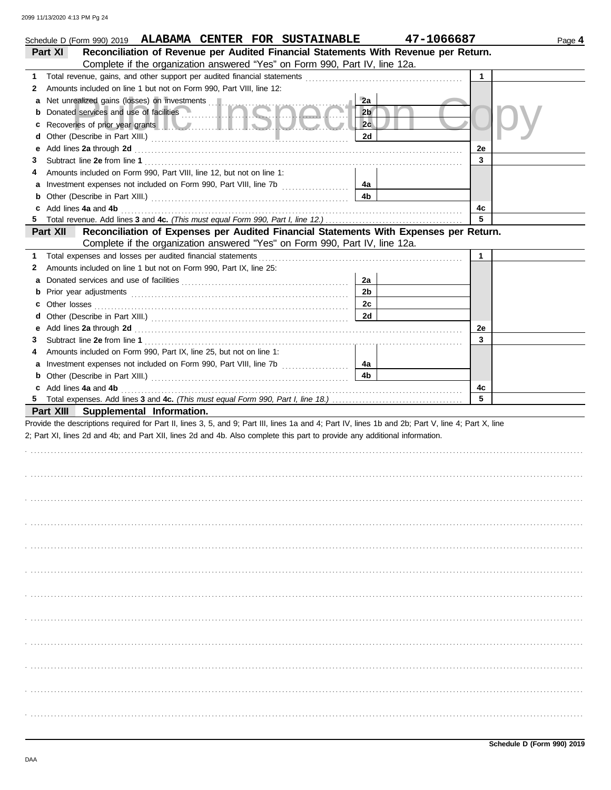|   | Schedule D (Form 990) 2019 ALABAMA CENTER FOR SUSTAINABLE                                                                                                                                                                                                                             |                      | 47-1066687 |              | Page 4 |
|---|---------------------------------------------------------------------------------------------------------------------------------------------------------------------------------------------------------------------------------------------------------------------------------------|----------------------|------------|--------------|--------|
|   | Reconciliation of Revenue per Audited Financial Statements With Revenue per Return.<br>Part XI                                                                                                                                                                                        |                      |            |              |        |
|   | Complete if the organization answered "Yes" on Form 990, Part IV, line 12a.                                                                                                                                                                                                           |                      |            |              |        |
| 1 |                                                                                                                                                                                                                                                                                       |                      |            | $\mathbf{1}$ |        |
| 2 | Amounts included on line 1 but not on Form 990, Part VIII, line 12:                                                                                                                                                                                                                   |                      |            |              |        |
| а |                                                                                                                                                                                                                                                                                       | 2a                   |            |              |        |
|   | Donated services and use of facilities <b>with the service of the service of facilities</b>                                                                                                                                                                                           | 2 <sub>b</sub>       |            |              |        |
| c | Recoveries of prior year grants <b>All According to the Contract of Prior</b>                                                                                                                                                                                                         | 2c                   |            |              |        |
| d |                                                                                                                                                                                                                                                                                       | 2d                   |            |              |        |
| е | Add lines 2a through 2d [11, 12] Additional Additional Additional Additional Additional Additional Additional A                                                                                                                                                                       |                      |            | 2e           |        |
| 3 |                                                                                                                                                                                                                                                                                       |                      |            | 3            |        |
|   | Amounts included on Form 990, Part VIII, line 12, but not on line 1:                                                                                                                                                                                                                  |                      |            |              |        |
| а |                                                                                                                                                                                                                                                                                       | 4a                   |            |              |        |
| b |                                                                                                                                                                                                                                                                                       | 4 <sub>b</sub>       |            |              |        |
|   |                                                                                                                                                                                                                                                                                       |                      |            | 4c           |        |
| 5 |                                                                                                                                                                                                                                                                                       |                      |            | 5            |        |
|   | Reconciliation of Expenses per Audited Financial Statements With Expenses per Return.<br>Part XII                                                                                                                                                                                     |                      |            |              |        |
|   | Complete if the organization answered "Yes" on Form 990, Part IV, line 12a.                                                                                                                                                                                                           |                      |            |              |        |
| 1 |                                                                                                                                                                                                                                                                                       |                      |            | $\mathbf{1}$ |        |
| 2 | Amounts included on line 1 but not on Form 990, Part IX, line 25:                                                                                                                                                                                                                     |                      |            |              |        |
| а |                                                                                                                                                                                                                                                                                       | 2a<br>2 <sub>b</sub> |            |              |        |
| b |                                                                                                                                                                                                                                                                                       |                      |            |              |        |
|   |                                                                                                                                                                                                                                                                                       | 2c                   |            |              |        |
| d |                                                                                                                                                                                                                                                                                       | 2d                   |            |              |        |
| е | Add lines 2a through 2d [11] March 2014 [12] March 2014 [12] March 2014 [12] March 2014 [12] March 2014 [12] March 2014 [12] March 2014 [12] March 2014 [12] March 2014 [12] March 2014 [12] March 2014 [12] March 2014 [12] M                                                        |                      |            | 2e<br>3      |        |
| 3 |                                                                                                                                                                                                                                                                                       |                      |            |              |        |
|   | Amounts included on Form 990, Part IX, line 25, but not on line 1:                                                                                                                                                                                                                    | 4a                   |            |              |        |
|   |                                                                                                                                                                                                                                                                                       | 4 <sub>b</sub>       |            |              |        |
|   |                                                                                                                                                                                                                                                                                       |                      |            | 4c           |        |
|   | c Add lines 4a and 4b (a) and $\frac{4}{3}$ and $\frac{4}{3}$ and $\frac{4}{3}$ and $\frac{4}{3}$ and $\frac{4}{3}$ and $\frac{4}{3}$ and $\frac{4}{3}$ and $\frac{4}{3}$ and $\frac{4}{3}$ and $\frac{4}{3}$ and $\frac{4}{3}$ and $\frac{4}{3}$ and $\frac{4}{3}$ and $\frac{4}{3}$ |                      |            | 5            |        |
|   | Part XIII Supplemental Information.                                                                                                                                                                                                                                                   |                      |            |              |        |
|   | Provide the descriptions required for Part II, lines 3, 5, and 9; Part III, lines 1a and 4; Part IV, lines 1b and 2b; Part V, line 4; Part X, line                                                                                                                                    |                      |            |              |        |
|   | 2; Part XI, lines 2d and 4b; and Part XII, lines 2d and 4b. Also complete this part to provide any additional information.                                                                                                                                                            |                      |            |              |        |
|   |                                                                                                                                                                                                                                                                                       |                      |            |              |        |
|   |                                                                                                                                                                                                                                                                                       |                      |            |              |        |
|   |                                                                                                                                                                                                                                                                                       |                      |            |              |        |
|   |                                                                                                                                                                                                                                                                                       |                      |            |              |        |
|   |                                                                                                                                                                                                                                                                                       |                      |            |              |        |
|   |                                                                                                                                                                                                                                                                                       |                      |            |              |        |
|   |                                                                                                                                                                                                                                                                                       |                      |            |              |        |
|   |                                                                                                                                                                                                                                                                                       |                      |            |              |        |
|   |                                                                                                                                                                                                                                                                                       |                      |            |              |        |
|   |                                                                                                                                                                                                                                                                                       |                      |            |              |        |
|   |                                                                                                                                                                                                                                                                                       |                      |            |              |        |
|   |                                                                                                                                                                                                                                                                                       |                      |            |              |        |
|   |                                                                                                                                                                                                                                                                                       |                      |            |              |        |
|   |                                                                                                                                                                                                                                                                                       |                      |            |              |        |
|   |                                                                                                                                                                                                                                                                                       |                      |            |              |        |
|   |                                                                                                                                                                                                                                                                                       |                      |            |              |        |
|   |                                                                                                                                                                                                                                                                                       |                      |            |              |        |
|   |                                                                                                                                                                                                                                                                                       |                      |            |              |        |
|   |                                                                                                                                                                                                                                                                                       |                      |            |              |        |
|   |                                                                                                                                                                                                                                                                                       |                      |            |              |        |
|   |                                                                                                                                                                                                                                                                                       |                      |            |              |        |
|   |                                                                                                                                                                                                                                                                                       |                      |            |              |        |
|   |                                                                                                                                                                                                                                                                                       |                      |            |              |        |
|   |                                                                                                                                                                                                                                                                                       |                      |            |              |        |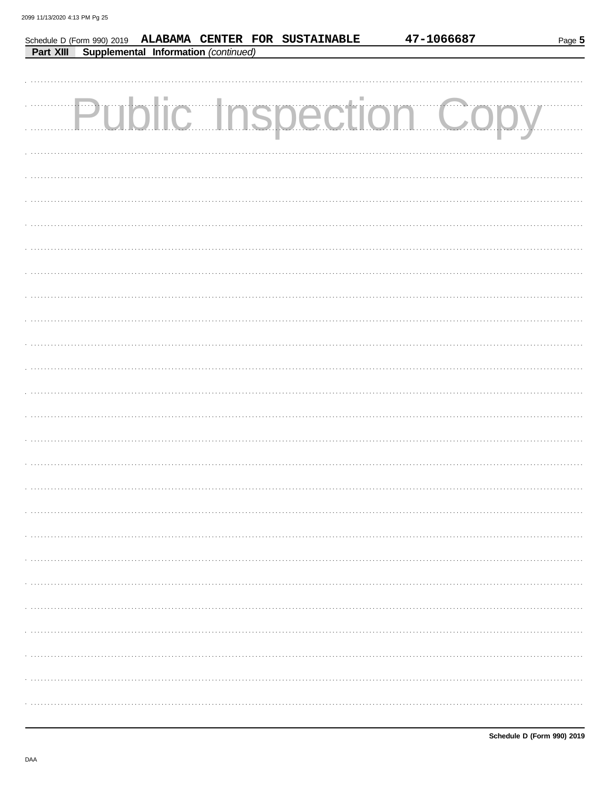|           |                                      | Schedule D (Form 990) 2019 ALABAMA CENTER FOR SUSTAINABLE | 47-1066687                    | Page 5 |
|-----------|--------------------------------------|-----------------------------------------------------------|-------------------------------|--------|
| Part XIII | Supplemental Information (continued) |                                                           |                               |        |
|           |                                      |                                                           |                               |        |
|           |                                      |                                                           |                               |        |
|           |                                      |                                                           | <b>Public Inspection Copy</b> |        |
|           |                                      |                                                           |                               |        |
|           |                                      |                                                           |                               |        |
|           |                                      |                                                           |                               |        |
|           |                                      |                                                           |                               |        |
|           |                                      |                                                           |                               |        |
|           |                                      |                                                           |                               |        |
|           |                                      |                                                           |                               |        |
|           |                                      |                                                           |                               |        |
|           |                                      |                                                           |                               |        |
|           |                                      |                                                           |                               |        |
|           |                                      |                                                           |                               |        |
|           |                                      |                                                           |                               |        |
|           |                                      |                                                           |                               |        |
|           |                                      |                                                           |                               |        |
|           |                                      |                                                           |                               |        |
|           |                                      |                                                           |                               |        |
|           |                                      |                                                           |                               |        |
|           |                                      |                                                           |                               |        |
|           |                                      |                                                           |                               |        |
|           |                                      |                                                           |                               |        |
|           |                                      |                                                           |                               |        |
|           |                                      |                                                           |                               |        |
|           |                                      |                                                           |                               |        |
|           |                                      |                                                           |                               |        |
|           |                                      |                                                           |                               |        |
|           |                                      |                                                           |                               |        |
|           |                                      |                                                           |                               |        |
|           |                                      |                                                           |                               |        |
|           |                                      |                                                           |                               |        |
|           |                                      |                                                           |                               |        |
|           |                                      |                                                           |                               |        |
|           |                                      |                                                           |                               |        |
|           |                                      |                                                           |                               |        |
|           |                                      |                                                           |                               |        |
|           |                                      |                                                           |                               |        |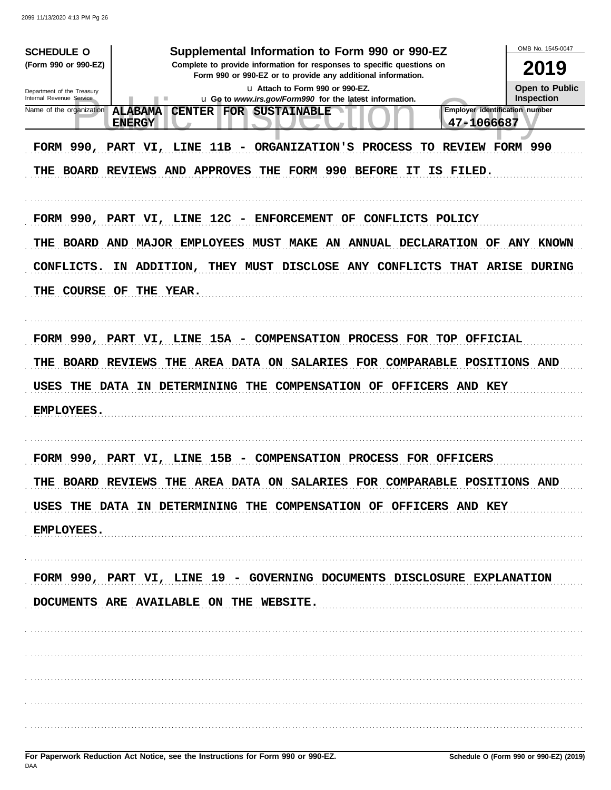| <b>SCHEDULE O</b>                                      | Supplemental Information to Form 990 or 990-EZ                                                                             | OMB No. 1545-0047                   |
|--------------------------------------------------------|----------------------------------------------------------------------------------------------------------------------------|-------------------------------------|
| (Form 990 or 990-EZ)                                   | Complete to provide information for responses to specific questions on                                                     | 2019                                |
|                                                        | Form 990 or 990-EZ or to provide any additional information.                                                               |                                     |
| Department of the Treasury<br>Internal Revenue Service | La Attach to Form 990 or 990-EZ.<br>u Go to www.irs.gov/Form990 for the latest information.<br>ш                           | Open to Public<br><b>Inspection</b> |
| Name of the organization                               | <b>Employer identification number</b><br><b>ALABAMA</b><br><b>CENTER</b><br>FOR SUSTAINABLE<br>47-1066687<br><b>ENERGY</b> |                                     |
|                                                        | FORM 990, PART VI, LINE 11B - ORGANIZATION'S PROCESS<br>TO REVIEW FORM 990                                                 |                                     |
|                                                        | THE BOARD REVIEWS AND APPROVES<br>THE FORM 990 BEFORE IT<br>IS FILED.                                                      |                                     |
|                                                        |                                                                                                                            |                                     |
|                                                        | FORM 990, PART VI, LINE 12C - ENFORCEMENT<br>OF<br>CONFLICTS POLICY                                                        |                                     |
|                                                        | THE BOARD AND MAJOR EMPLOYEES MUST MAKE AN ANNUAL DECLARATION OF ANY KNOWN                                                 |                                     |
| CONFLICTS.                                             | IN ADDITION,<br>THEY MUST DISCLOSE ANY CONFLICTS<br><b>THAT</b><br><b>ARISE</b>                                            | <b>DURING</b>                       |
| COURSE OF<br>THE                                       | THE YEAR.                                                                                                                  |                                     |
|                                                        |                                                                                                                            |                                     |
|                                                        | FORM 990, PART VI, LINE 15A - COMPENSATION PROCESS FOR TOP OFFICIAL                                                        |                                     |
| THE                                                    | THE AREA DATA ON SALARIES FOR COMPARABLE POSITIONS AND<br><b>BOARD REVIEWS</b>                                             |                                     |
| USES                                                   | THE DATA IN DETERMINING<br><b>COMPENSATION OF</b><br>THE<br>OFFICERS AND KEY                                               |                                     |
| <b>EMPLOYEES.</b>                                      |                                                                                                                            |                                     |
|                                                        |                                                                                                                            |                                     |
|                                                        | FORM 990, PART VI, LINE 15B - COMPENSATION PROCESS FOR OFFICERS                                                            |                                     |
|                                                        | THE BOARD REVIEWS THE AREA DATA ON SALARIES FOR COMPARABLE POSITIONS AND                                                   |                                     |
|                                                        | USES THE DATA IN DETERMINING THE COMPENSATION OF OFFICERS AND KEY                                                          |                                     |
| <b>EMPLOYEES.</b>                                      |                                                                                                                            |                                     |
|                                                        |                                                                                                                            |                                     |
|                                                        | FORM 990, PART VI, LINE 19 - GOVERNING DOCUMENTS DISCLOSURE EXPLANATION                                                    |                                     |
|                                                        | DOCUMENTS ARE AVAILABLE ON THE WEBSITE.                                                                                    |                                     |
|                                                        |                                                                                                                            |                                     |
|                                                        |                                                                                                                            |                                     |
|                                                        |                                                                                                                            |                                     |
|                                                        |                                                                                                                            |                                     |
|                                                        |                                                                                                                            |                                     |